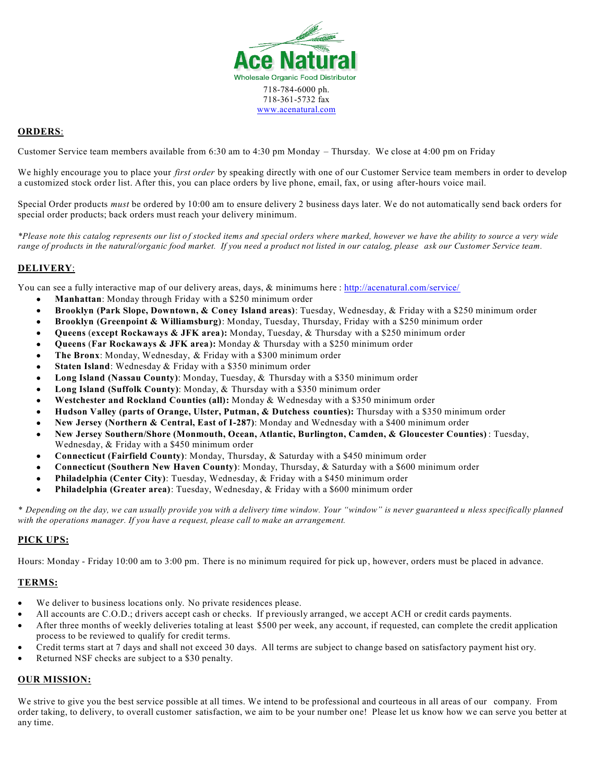

#### **ORDERS**:

Customer Service team members available from 6:30 am to 4:30 pm Monday – Thursday. We close at 4:00 pm on Friday

We highly encourage you to place your *first order* by speaking directly with one of our Customer Service team members in order to develop a customized stock order list. After this, you can place orders by live phone, email, fax, or using after-hours voice mail.

Special Order products *must* be ordered by 10:00 am to ensure delivery 2 business days later. We do not automatically send back orders for special order products; back orders must reach your delivery minimum.

*\*Please note this catalog represents our list o f stocked items and special orders where marked, however we have the ability to source a very wide range of products in the natural/organic food market. If you need a product not listed in our catalog, please ask our Customer Service team.*

#### **DELIVERY**:

You can see a fully interactive map of our delivery areas, days, & minimums here : http://acenatural.com/service/

- **Manhattan**: Monday through Friday with a \$250 minimum order
- **Brooklyn (Park Slope, Downtown, & Coney Island areas)**: Tuesday, Wednesday, & Friday with a \$250 minimum order
- **Brooklyn (Greenpoint & Williamsburg)**: Monday, Tuesday, Thursday, Friday with a \$250 minimum order
- **Queens** (**except Rockaways & JFK area):** Monday, Tuesday, & Thursday with a \$250 minimum order
- **Queens** (**Far Rockaways & JFK area):** Monday & Thursday with a \$250 minimum order
- **The Bronx**: Monday, Wednesday, & Friday with a \$300 minimum order
- **Staten Island:** Wednesday & Friday with a \$350 minimum order
- **Long Island (Nassau County)**: Monday, Tuesday, & Thursday with a \$350 minimum order
- **Long Island (Suffolk County)**: Monday, & Thursday with a \$350 minimum order
- **Westchester and Rockland Counties (all):** Monday & Wednesday with a \$350 minimum order
- **Hudson Valley (parts of Orange, Ulster, Putman, & Dutchess counties):** Thursday with a \$350 minimum order
- **New Jersey (Northern & Central, East of I-287)**: Monday and Wednesday with a \$400 minimum order
- **New Jersey Southern/Shore (Monmouth, Ocean, Atlantic, Burlington, Camden, & Gloucester Counties)** : Tuesday, Wednesday, & Friday with a \$450 minimum order
- **Connecticut (Fairfield County)**: Monday, Thursday, & Saturday with a \$450 minimum order
- **Connecticut (Southern New Haven County)**: Monday, Thursday, & Saturday with a \$600 minimum order
- **Philadelphia (Center City)**: Tuesday, Wednesday, & Friday with a \$450 minimum order
- **Philadelphia (Greater area)**: Tuesday, Wednesday, & Friday with a \$600 minimum order

*\* Depending on the day, we can usually provide you with a delivery time window. Your "window" is never guaranteed u nless specifically planned with the operations manager. If you have a request, please call to make an arrangement.*

#### **PICK UPS:**

Hours: Monday - Friday 10:00 am to 3:00 pm. There is no minimum required for pick up, however, orders must be placed in advance.

#### **TERMS:**

- We deliver to business locations only. No private residences please.
- All accounts are C.O.D.; drivers accept cash or checks. If previously arranged, we accept ACH or credit cards payments.
- After three months of weekly deliveries totaling at least \$500 per week, any account, if requested, can complete the credit application process to be reviewed to qualify for credit terms.
- Credit terms start at 7 days and shall not exceed 30 days. All terms are subject to change based on satisfactory payment hist ory.
- Returned NSF checks are subject to a \$30 penalty.

#### **OUR MISSION:**

We strive to give you the best service possible at all times. We intend to be professional and courteous in all areas of our company. From order taking, to delivery, to overall customer satisfaction, we aim to be your number one! Please let us know how we can serve you better at any time.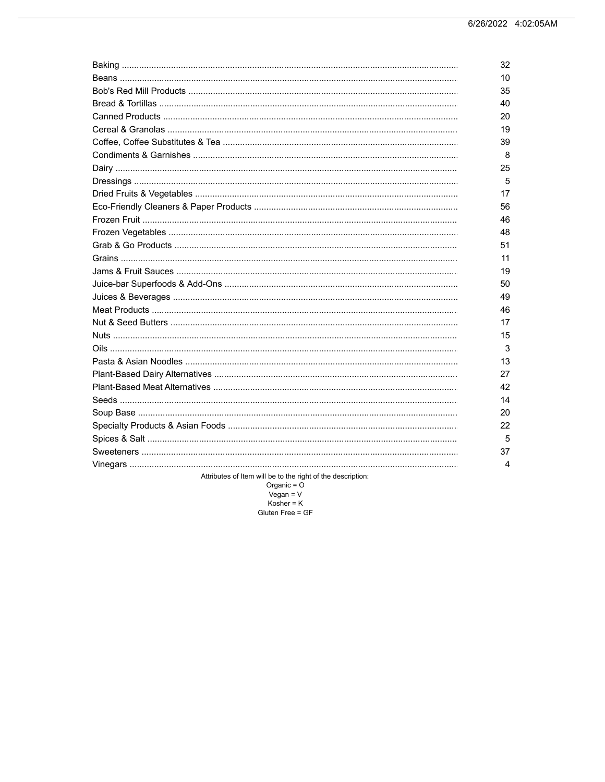|                                                                     | 32 |
|---------------------------------------------------------------------|----|
|                                                                     | 10 |
|                                                                     | 35 |
|                                                                     | 40 |
|                                                                     | 20 |
|                                                                     | 19 |
|                                                                     | 39 |
|                                                                     | 8  |
|                                                                     | 25 |
|                                                                     | 5  |
|                                                                     | 17 |
|                                                                     | 56 |
|                                                                     | 46 |
|                                                                     | 48 |
|                                                                     | 51 |
|                                                                     | 11 |
|                                                                     | 19 |
|                                                                     | 50 |
|                                                                     | 49 |
|                                                                     | 46 |
|                                                                     | 17 |
|                                                                     | 15 |
|                                                                     | 3  |
|                                                                     | 13 |
|                                                                     | 27 |
|                                                                     | 42 |
|                                                                     | 14 |
|                                                                     | 20 |
|                                                                     | 22 |
|                                                                     | 5  |
|                                                                     | 37 |
|                                                                     | 4  |
| المتواطن والمتواصل والمتعارض والمتعارض والمتعارف والمتعارف والمتحدث |    |

Attributes of Item will be to the right of the description:

 $\begin{aligned}\n\text{Organic} &= \text{O} \\
\text{Vegan} &= \text{V} \\
\text{Kosher} &= \text{K}\n\end{aligned}$ 

Gluten Free = GF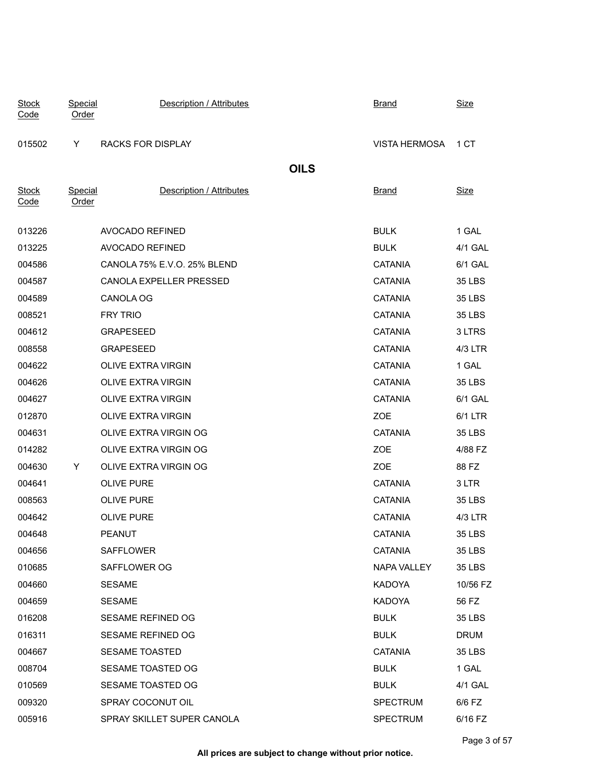| <b>Stock</b><br>Code | Special<br>Order        | Description / Attributes    | <b>Brand</b>    | <b>Size</b>   |
|----------------------|-------------------------|-----------------------------|-----------------|---------------|
| 015502               | Y                       | <b>RACKS FOR DISPLAY</b>    | VISTA HERMOSA   | 1 CT          |
|                      |                         |                             | <b>OILS</b>     |               |
| <b>Stock</b><br>Code | Special<br><b>Order</b> | Description / Attributes    | <u>Brand</u>    | <b>Size</b>   |
| 013226               |                         | AVOCADO REFINED             | <b>BULK</b>     | 1 GAL         |
| 013225               |                         | AVOCADO REFINED             | <b>BULK</b>     | 4/1 GAL       |
| 004586               |                         | CANOLA 75% E.V.O. 25% BLEND | <b>CATANIA</b>  | 6/1 GAL       |
| 004587               |                         | CANOLA EXPELLER PRESSED     | <b>CATANIA</b>  | 35 LBS        |
| 004589               |                         | CANOLA OG                   | <b>CATANIA</b>  | 35 LBS        |
| 008521               |                         | <b>FRY TRIO</b>             | <b>CATANIA</b>  | 35 LBS        |
| 004612               |                         | <b>GRAPESEED</b>            | <b>CATANIA</b>  | 3 LTRS        |
| 008558               |                         | <b>GRAPESEED</b>            | <b>CATANIA</b>  | 4/3 LTR       |
| 004622               |                         | <b>OLIVE EXTRA VIRGIN</b>   | <b>CATANIA</b>  | 1 GAL         |
| 004626               |                         | <b>OLIVE EXTRA VIRGIN</b>   | <b>CATANIA</b>  | 35 LBS        |
| 004627               |                         | <b>OLIVE EXTRA VIRGIN</b>   | <b>CATANIA</b>  | 6/1 GAL       |
| 012870               |                         | <b>OLIVE EXTRA VIRGIN</b>   | ZOE             | 6/1 LTR       |
| 004631               |                         | OLIVE EXTRA VIRGIN OG       | <b>CATANIA</b>  | 35 LBS        |
| 014282               |                         | OLIVE EXTRA VIRGIN OG       | ZOE             | 4/88 FZ       |
| 004630               | Y                       | OLIVE EXTRA VIRGIN OG       | ZOE             | 88 FZ         |
| 004641               |                         | <b>OLIVE PURE</b>           | <b>CATANIA</b>  | 3 LTR         |
| 008563               |                         | <b>OLIVE PURE</b>           | <b>CATANIA</b>  | 35 LBS        |
| 004642               |                         | <b>OLIVE PURE</b>           | <b>CATANIA</b>  | 4/3 LTR       |
| 004648               |                         | <b>PEANUT</b>               | <b>CATANIA</b>  | 35 LBS        |
| 004656               |                         | <b>SAFFLOWER</b>            | CATANIA         | 35 LBS        |
| 010685               |                         | SAFFLOWER OG                | NAPA VALLEY     | <b>35 LBS</b> |
| 004660               |                         | <b>SESAME</b>               | <b>KADOYA</b>   | 10/56 FZ      |
| 004659               |                         | <b>SESAME</b>               | <b>KADOYA</b>   | 56 FZ         |
| 016208               |                         | SESAME REFINED OG           | <b>BULK</b>     | 35 LBS        |
| 016311               |                         | SESAME REFINED OG           | <b>BULK</b>     | <b>DRUM</b>   |
| 004667               |                         | SESAME TOASTED              | <b>CATANIA</b>  | 35 LBS        |
| 008704               |                         | SESAME TOASTED OG           | <b>BULK</b>     | 1 GAL         |
| 010569               |                         | SESAME TOASTED OG           | <b>BULK</b>     | 4/1 GAL       |
| 009320               |                         | SPRAY COCONUT OIL           | <b>SPECTRUM</b> | 6/6 FZ        |
| 005916               |                         | SPRAY SKILLET SUPER CANOLA  | <b>SPECTRUM</b> | 6/16 FZ       |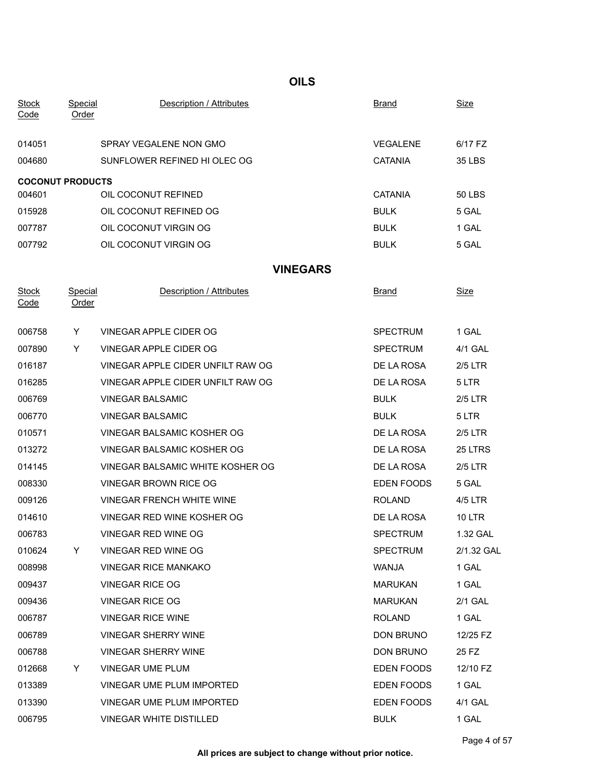# **Stock** Code Special **Description / Attributes** Brand Brand Size Order INSERT INTO TableOfContents VALUES ('1.00',3,'2022-06-26 04:02:05') 014051 SPRAY VEGALENE NON GMO DRY SAND SALENE 6/17 FZ 004680 SUNFLOWER REFINED HI OLEC OG CATANIA 35 LBS **COCONUT PRODUCTS** 004601 OIL COCONUT REFINED CATANIA 50 LBS 015928 OIL COCONUT REFINED OG BULK 5 GAL 007787 OIL COCONUT VIRGIN OG NET BULK 1 GAL DRY-OVER HADRY-OVER HADRY-OVER HADRY-OVER HADRY-OVER HADRY-OVER HA 007792 OIL COCONUT VIRGIN OG BULK 5 GAL DRY-OVK **VINEGARS Stock** Code Special **Description / Attributes** Brand Brand Size order Institute Values into the Contents VALUES ('1.00', 2022-06-26 04:02:05') ('1.00', 2022-06-26 04:02:05') ('1.00') ('1.00') ('1.00') ('1.00') ('1.00') ('1.00') ('1.00') ('1.00') ('1.00') ('1.00') ('1.00') ('1.00') ('1. 006758 Y VINEGAR APPLE CIDER OG NEW SPECTRUM 1 GAL 007890 Y VINEGAR APPLE CIDER OG SPECTRUM 4/1 GAL 016187 VINEGAR APPLE CIDER UNFILT RAW OG DE LA ROSA 2/5 LTR 016285 VINEGAR APPLE CIDER UNFILT RAW OG DRY-OVK DE LA ROSA 5 LTR 006769 VINEGAR BALSAMIC DRY BULK 2/5 LTR 006770 VINEGAR BALSAMIC DRY BULK 5 LTR 010571 VINEGAR BALSAMIC KOSHER OG DRY-OVER DRY-OVER DRY-OVER 2/5 LTR 013272 VINEGAR BALSAMIC KOSHER OG DE LA ROSA 25 LTRS 014145 VINEGAR BALSAMIC WHITE KOSHER OG DRY-OVER LA ROSA 2/5 LTR 008330 VINEGAR BROWN RICE OG SAL DRY-ORD EDEN FOODS 5 GAL 009126 VINEGAR FRENCH WHITE WINE NE ALL AND ROLAND 4/5 LTR 014610 VINEGAR RED WINE KOSHER OG DE LA ROSA 10 LTR 006783 VINEGAR RED WINE OG SPECTRUM 1.32 GAL 010624 Y VINEGAR RED WINE OG SPECTRUM 2/1.32 GAL 008998 VINEGAR RICE MANKAKO WANJA 1 GAL DRY 009437 VINEGAR RICE OG MARUKAN 1 GAL DRY 009436 VINEGAR RICE OG MARUKAN 2/1 GAL 006787 VINEGAR RICE WINE ROLAND 1 GAL DRY-VK 006789 VINEGAR SHERRY WINE NERRY-VINE And DON BRUNO 12/25 FZ 006788 VINEGAR SHERRY WINE NE CONSIDER THE DON BRUNO 25 FZ 012668 Y VINEGAR UME PLUM DRY-K EDEN FOODS 12/10 FZ 013389 VINEGAR UME PLUM IMPORTED CONTROLLED TO BE SEEN FOODS 1 GAL 013390 VINEGAR UME PLUM IMPORTED EDEN FOODS 4/1 GAL 006795 VINEGAR WHITE DISTILLED BULK 1 GAL DRY

**OILS**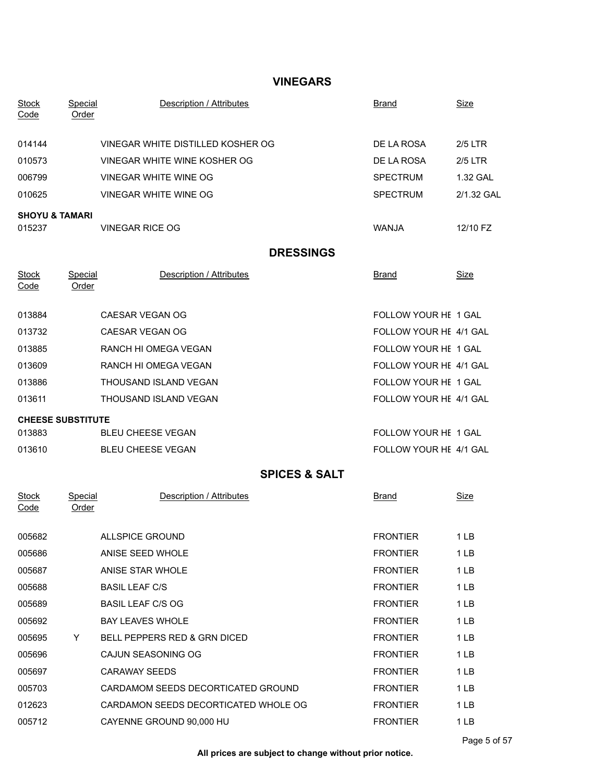## **VINEGARS**

| <b>Stock</b><br>Code      | Special<br>Order        | Description / Attributes             | <u>Brand</u>           | <u>Size</u>     |
|---------------------------|-------------------------|--------------------------------------|------------------------|-----------------|
| 014144                    |                         | VINEGAR WHITE DISTILLED KOSHER OG    | DE LA ROSA             | $2/5$ LTR       |
| 010573                    |                         | VINEGAR WHITE WINE KOSHER OG         | DE LA ROSA             | 2/5 LTR         |
| 006799                    |                         | <b>VINEGAR WHITE WINE OG</b>         | <b>SPECTRUM</b>        | 1.32 GAL        |
| 010625                    |                         | VINEGAR WHITE WINE OG                | <b>SPECTRUM</b>        | 2/1.32 GAL      |
| <b>SHOYU &amp; TAMARI</b> |                         |                                      |                        |                 |
| 015237                    |                         | <b>VINEGAR RICE OG</b>               | <b>WANJA</b>           | 12/10 FZ        |
|                           |                         | <b>DRESSINGS</b>                     |                        |                 |
| <b>Stock</b><br>Code      | Special<br>Order        | Description / Attributes             | Brand                  | <u>Size</u>     |
| 013884                    |                         | CAESAR VEGAN OG                      | FOLLOW YOUR HE 1 GAL   |                 |
| 013732                    |                         | CAESAR VEGAN OG                      | FOLLOW YOUR HE 4/1 GAL |                 |
| 013885                    |                         | RANCH HI OMEGA VEGAN                 | FOLLOW YOUR HE 1 GAL   |                 |
| 013609                    |                         | RANCH HI OMEGA VEGAN                 | FOLLOW YOUR HE 4/1 GAL |                 |
| 013886                    |                         | THOUSAND ISLAND VEGAN                | FOLLOW YOUR HE 1 GAL   |                 |
| 013611                    |                         | THOUSAND ISLAND VEGAN                | FOLLOW YOUR HE 4/1 GAL |                 |
| <b>CHEESE SUBSTITUTE</b>  |                         |                                      |                        |                 |
| 013883                    |                         | <b>BLEU CHEESE VEGAN</b>             | FOLLOW YOUR HE 1 GAL   |                 |
| 013610                    |                         | <b>BLEU CHEESE VEGAN</b>             | FOLLOW YOUR HE 4/1 GAL |                 |
|                           |                         | <b>SPICES &amp; SALT</b>             |                        |                 |
| <b>Stock</b><br>Code      | <b>Special</b><br>Order | Description / Attributes             | <u>Brand</u>           | <u>Size</u>     |
| 005682                    |                         | <b>ALLSPICE GROUND</b>               | <b>FRONTIER</b>        | 1LB             |
| 005686                    |                         | ANISE SEED WHOLE                     | <b>FRONTIER</b>        | 1 <sub>LB</sub> |
| 005687                    |                         | ANISE STAR WHOLE                     | <b>FRONTIER</b>        | 1LB             |
| 005688                    |                         | <b>BASIL LEAF C/S</b>                | <b>FRONTIER</b>        | 1LB             |
| 005689                    |                         | <b>BASIL LEAF C/S OG</b>             | <b>FRONTIER</b>        | 1LB             |
| 005692                    |                         | <b>BAY LEAVES WHOLE</b>              | <b>FRONTIER</b>        | 1LB             |
| 005695                    | Y                       | BELL PEPPERS RED & GRN DICED         | <b>FRONTIER</b>        | 1 <sub>LB</sub> |
| 005696                    |                         | CAJUN SEASONING OG                   | <b>FRONTIER</b>        | 1LB             |
| 005697                    |                         | <b>CARAWAY SEEDS</b>                 | <b>FRONTIER</b>        | 1LB             |
| 005703                    |                         | CARDAMOM SEEDS DECORTICATED GROUND   | <b>FRONTIER</b>        | 1 <sub>LB</sub> |
| 012623                    |                         | CARDAMON SEEDS DECORTICATED WHOLE OG | <b>FRONTIER</b>        | 1LB             |
| 005712                    |                         | CAYENNE GROUND 90,000 HU             | <b>FRONTIER</b>        | 1 <sub>LB</sub> |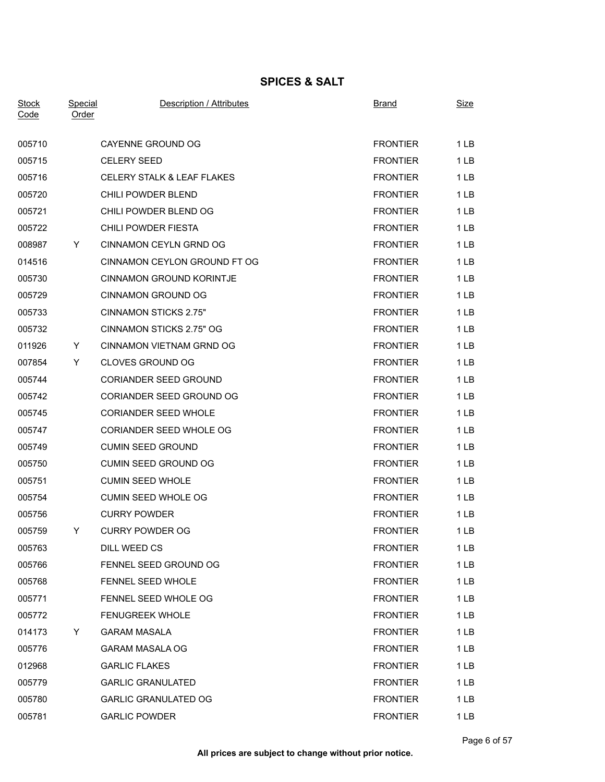## **SPICES & SALT**

| <b>Stock</b><br>Code | <b>Special</b><br>Order | Description / Attributes              | <b>Brand</b>    | <b>Size</b>     |
|----------------------|-------------------------|---------------------------------------|-----------------|-----------------|
| 005710               |                         | CAYENNE GROUND OG                     | <b>FRONTIER</b> | 1 <sub>LB</sub> |
| 005715               |                         | <b>CELERY SEED</b>                    | <b>FRONTIER</b> | 1LB             |
| 005716               |                         | <b>CELERY STALK &amp; LEAF FLAKES</b> | <b>FRONTIER</b> | 1 <sub>LB</sub> |
| 005720               |                         | CHILI POWDER BLEND                    | <b>FRONTIER</b> | 1 <sub>LB</sub> |
| 005721               |                         | CHILI POWDER BLEND OG                 | <b>FRONTIER</b> | 1LB             |
| 005722               |                         | CHILI POWDER FIESTA                   | <b>FRONTIER</b> | 1LB             |
| 008987               | Y.                      | CINNAMON CEYLN GRND OG                | <b>FRONTIER</b> | 1LB             |
| 014516               |                         | CINNAMON CEYLON GROUND FT OG          | <b>FRONTIER</b> | 1LB             |
| 005730               |                         | <b>CINNAMON GROUND KORINTJE</b>       | <b>FRONTIER</b> | 1 <sub>LB</sub> |
| 005729               |                         | <b>CINNAMON GROUND OG</b>             | <b>FRONTIER</b> | 1LB             |
| 005733               |                         | <b>CINNAMON STICKS 2.75"</b>          | <b>FRONTIER</b> | 1LB             |
| 005732               |                         | CINNAMON STICKS 2.75" OG              | <b>FRONTIER</b> | 1 <sub>LB</sub> |
| 011926               | Y.                      | CINNAMON VIETNAM GRND OG              | <b>FRONTIER</b> | 1LB             |
| 007854               | Y.                      | <b>CLOVES GROUND OG</b>               | <b>FRONTIER</b> | 1 LB            |
| 005744               |                         | <b>CORIANDER SEED GROUND</b>          | <b>FRONTIER</b> | 1LB             |
| 005742               |                         | CORIANDER SEED GROUND OG              | <b>FRONTIER</b> | 1 <sub>LB</sub> |
| 005745               |                         | <b>CORIANDER SEED WHOLE</b>           | <b>FRONTIER</b> | 1LB             |
| 005747               |                         | CORIANDER SEED WHOLE OG               | <b>FRONTIER</b> | 1 <sub>LB</sub> |
| 005749               |                         | <b>CUMIN SEED GROUND</b>              | <b>FRONTIER</b> | 1LB             |
| 005750               |                         | <b>CUMIN SEED GROUND OG</b>           | <b>FRONTIER</b> | 1 <sub>LB</sub> |
| 005751               |                         | <b>CUMIN SEED WHOLE</b>               | <b>FRONTIER</b> | 1LB             |
| 005754               |                         | <b>CUMIN SEED WHOLE OG</b>            | <b>FRONTIER</b> | 1LB             |
| 005756               |                         | <b>CURRY POWDER</b>                   | <b>FRONTIER</b> | 1LB             |
| 005759               | Y.                      | <b>CURRY POWDER OG</b>                | <b>FRONTIER</b> | 1LB             |
| 005763               |                         | DILL WEED CS                          | <b>FRONTIER</b> | 1 LB            |
| 005766               |                         | FENNEL SEED GROUND OG                 | <b>FRONTIER</b> | 1 <sub>LB</sub> |
| 005768               |                         | FENNEL SEED WHOLE                     | <b>FRONTIER</b> | 1 <sub>LB</sub> |
| 005771               |                         | FENNEL SEED WHOLE OG                  | <b>FRONTIER</b> | 1 <sub>LB</sub> |
| 005772               |                         | <b>FENUGREEK WHOLE</b>                | <b>FRONTIER</b> | 1 <sub>LB</sub> |
| 014173               | Y                       | <b>GARAM MASALA</b>                   | <b>FRONTIER</b> | 1LB             |
| 005776               |                         | <b>GARAM MASALA OG</b>                | <b>FRONTIER</b> | 1 <sub>LB</sub> |
| 012968               |                         | <b>GARLIC FLAKES</b>                  | <b>FRONTIER</b> | 1LB             |
| 005779               |                         | <b>GARLIC GRANULATED</b>              | <b>FRONTIER</b> | 1 <sub>LB</sub> |
| 005780               |                         | <b>GARLIC GRANULATED OG</b>           | <b>FRONTIER</b> | 1 <sub>LB</sub> |
| 005781               |                         | <b>GARLIC POWDER</b>                  | <b>FRONTIER</b> | 1 <sub>LB</sub> |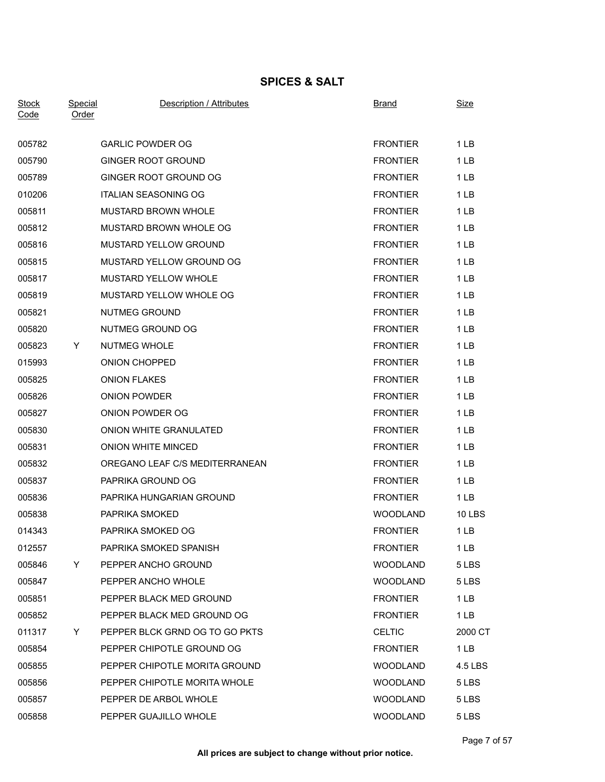## **SPICES & SALT**

| <b>Stock</b><br>Code | <b>Special</b><br>Order | Description / Attributes       | <b>Brand</b>    | <b>Size</b>     |
|----------------------|-------------------------|--------------------------------|-----------------|-----------------|
| 005782               |                         | <b>GARLIC POWDER OG</b>        | <b>FRONTIER</b> | 1 <sub>LB</sub> |
| 005790               |                         | <b>GINGER ROOT GROUND</b>      | <b>FRONTIER</b> | 1 <sub>LB</sub> |
| 005789               |                         | GINGER ROOT GROUND OG          | <b>FRONTIER</b> | 1 <sub>LB</sub> |
| 010206               |                         | <b>ITALIAN SEASONING OG</b>    | <b>FRONTIER</b> | 1 <sub>LB</sub> |
| 005811               |                         | <b>MUSTARD BROWN WHOLE</b>     | <b>FRONTIER</b> | 1 <sub>LB</sub> |
| 005812               |                         | MUSTARD BROWN WHOLE OG         | <b>FRONTIER</b> | 1LB             |
| 005816               |                         | <b>MUSTARD YELLOW GROUND</b>   | <b>FRONTIER</b> | 1 <sub>LB</sub> |
| 005815               |                         | MUSTARD YELLOW GROUND OG       | <b>FRONTIER</b> | 1 <sub>LB</sub> |
| 005817               |                         | MUSTARD YELLOW WHOLE           | <b>FRONTIER</b> | 1 <sub>LB</sub> |
| 005819               |                         | MUSTARD YELLOW WHOLE OG        | <b>FRONTIER</b> | 1LB             |
| 005821               |                         | <b>NUTMEG GROUND</b>           | <b>FRONTIER</b> | 1 <sub>LB</sub> |
| 005820               |                         | NUTMEG GROUND OG               | <b>FRONTIER</b> | 1LB             |
| 005823               | Y.                      | <b>NUTMEG WHOLE</b>            | <b>FRONTIER</b> | 1 <sub>LB</sub> |
| 015993               |                         | ONION CHOPPED                  | <b>FRONTIER</b> | 1 <sub>LB</sub> |
| 005825               |                         | <b>ONION FLAKES</b>            | <b>FRONTIER</b> | 1 <sub>LB</sub> |
| 005826               |                         | <b>ONION POWDER</b>            | <b>FRONTIER</b> | 1 <sub>LB</sub> |
| 005827               |                         | ONION POWDER OG                | <b>FRONTIER</b> | 1LB             |
| 005830               |                         | ONION WHITE GRANULATED         | <b>FRONTIER</b> | 1 <sub>LB</sub> |
| 005831               |                         | ONION WHITE MINCED             | <b>FRONTIER</b> | 1LB             |
| 005832               |                         | OREGANO LEAF C/S MEDITERRANEAN | <b>FRONTIER</b> | 1 <sub>LB</sub> |
| 005837               |                         | PAPRIKA GROUND OG              | <b>FRONTIER</b> | 1LB             |
| 005836               |                         | PAPRIKA HUNGARIAN GROUND       | <b>FRONTIER</b> | 1 <sub>LB</sub> |
| 005838               |                         | PAPRIKA SMOKED                 | <b>WOODLAND</b> | <b>10 LBS</b>   |
| 014343               |                         | PAPRIKA SMOKED OG              | <b>FRONTIER</b> | 1LB             |
| 012557               |                         | PAPRIKA SMOKED SPANISH         | <b>FRONTIER</b> | 1 LB            |
| 005846               | Y.                      | PEPPER ANCHO GROUND            | <b>WOODLAND</b> | 5 LBS           |
| 005847               |                         | PEPPER ANCHO WHOLE             | <b>WOODLAND</b> | 5 LBS           |
| 005851               |                         | PEPPER BLACK MED GROUND        | <b>FRONTIER</b> | 1 <sub>LB</sub> |
| 005852               |                         | PEPPER BLACK MED GROUND OG     | <b>FRONTIER</b> | 1 <sub>LB</sub> |
| 011317               | Y.                      | PEPPER BLCK GRND OG TO GO PKTS | <b>CELTIC</b>   | 2000 CT         |
| 005854               |                         | PEPPER CHIPOTLE GROUND OG      | <b>FRONTIER</b> | 1 LB            |
| 005855               |                         | PEPPER CHIPOTLE MORITA GROUND  | <b>WOODLAND</b> | 4.5 LBS         |
| 005856               |                         | PEPPER CHIPOTLE MORITA WHOLE   | <b>WOODLAND</b> | 5 LBS           |
| 005857               |                         | PEPPER DE ARBOL WHOLE          | <b>WOODLAND</b> | 5 LBS           |
| 005858               |                         | PEPPER GUAJILLO WHOLE          | WOODLAND        | 5 LBS           |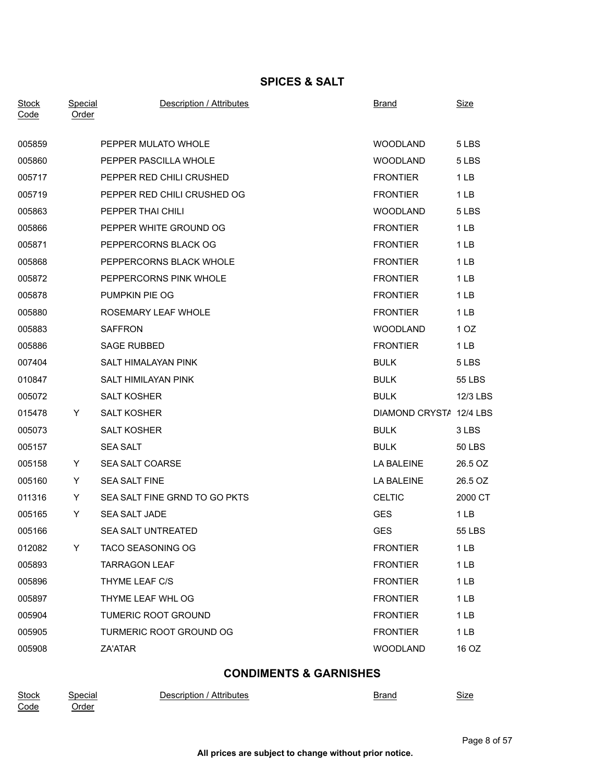## **SPICES & SALT**

| <b>Stock</b><br>Code | <b>Special</b><br>Order | Description / Attributes      | <b>Brand</b>            | <b>Size</b>     |
|----------------------|-------------------------|-------------------------------|-------------------------|-----------------|
| 005859               |                         | PEPPER MULATO WHOLE           | <b>WOODLAND</b>         | 5 LBS           |
| 005860               |                         | PEPPER PASCILLA WHOLE         | <b>WOODLAND</b>         | 5 LBS           |
| 005717               |                         | PEPPER RED CHILI CRUSHED      | <b>FRONTIER</b>         | 1 <sub>LB</sub> |
| 005719               |                         | PEPPER RED CHILI CRUSHED OG   | <b>FRONTIER</b>         | 1 <sub>LB</sub> |
| 005863               |                         | PEPPER THAI CHILI             | <b>WOODLAND</b>         | 5 LBS           |
| 005866               |                         | PEPPER WHITE GROUND OG        | <b>FRONTIER</b>         | 1 <sub>LB</sub> |
| 005871               |                         | PEPPERCORNS BLACK OG          | <b>FRONTIER</b>         | 1 <sub>LB</sub> |
| 005868               |                         | PEPPERCORNS BLACK WHOLE       | <b>FRONTIER</b>         | 1LB             |
| 005872               |                         | PEPPERCORNS PINK WHOLE        | <b>FRONTIER</b>         | 1 <sub>LB</sub> |
| 005878               |                         | PUMPKIN PIE OG                | <b>FRONTIER</b>         | 1LB             |
| 005880               |                         | ROSEMARY LEAF WHOLE           | <b>FRONTIER</b>         | 1 <sub>LB</sub> |
| 005883               |                         | <b>SAFFRON</b>                | <b>WOODLAND</b>         | 1 <sub>OZ</sub> |
| 005886               |                         | <b>SAGE RUBBED</b>            | <b>FRONTIER</b>         | 1 <sub>LB</sub> |
| 007404               |                         | SALT HIMALAYAN PINK           | <b>BULK</b>             | 5 LBS           |
| 010847               |                         | SALT HIMILAYAN PINK           | <b>BULK</b>             | 55 LBS          |
| 005072               |                         | <b>SALT KOSHER</b>            | <b>BULK</b>             | 12/3 LBS        |
| 015478               | Y                       | <b>SALT KOSHER</b>            | DIAMOND CRYSTA 12/4 LBS |                 |
| 005073               |                         | <b>SALT KOSHER</b>            | <b>BULK</b>             | 3 LBS           |
| 005157               |                         | <b>SEA SALT</b>               | <b>BULK</b>             | 50 LBS          |
| 005158               | Y.                      | SEA SALT COARSE               | LA BALEINE              | 26.5 OZ         |
| 005160               | Y.                      | <b>SEA SALT FINE</b>          | LA BALEINE              | 26.5 OZ         |
| 011316               | Y                       | SEA SALT FINE GRND TO GO PKTS | <b>CELTIC</b>           | 2000 CT         |
| 005165               | Y                       | SEA SALT JADE                 | <b>GES</b>              | 1 <sub>LB</sub> |
| 005166               |                         | <b>SEA SALT UNTREATED</b>     | <b>GES</b>              | 55 LBS          |
| 012082               | Y.                      | TACO SEASONING OG             | <b>FRONTIER</b>         | 1 <sub>LB</sub> |
| 005893               |                         | <b>TARRAGON LEAF</b>          | <b>FRONTIER</b>         | 1 <sub>LB</sub> |
| 005896               |                         | THYME LEAF C/S                | <b>FRONTIER</b>         | 1 <sub>LB</sub> |
| 005897               |                         | THYME LEAF WHL OG             | <b>FRONTIER</b>         | 1 <sub>LB</sub> |
| 005904               |                         | TUMERIC ROOT GROUND           | <b>FRONTIER</b>         | 1 <sub>LB</sub> |
| 005905               |                         | TURMERIC ROOT GROUND OG       | <b>FRONTIER</b>         | 1 <sub>LB</sub> |
| 005908               |                         | ZA'ATAR                       | WOODLAND                | 16 OZ           |
|                      |                         |                               |                         |                 |

# **CONDIMENTS & GARNISHES**

| <b>Stock</b> | Special      | ' Attributes<br><b>Jescription</b><br>, | Brand | - -<br>Size |
|--------------|--------------|-----------------------------------------|-------|-------------|
| Code         | <u>Jrder</u> |                                         |       |             |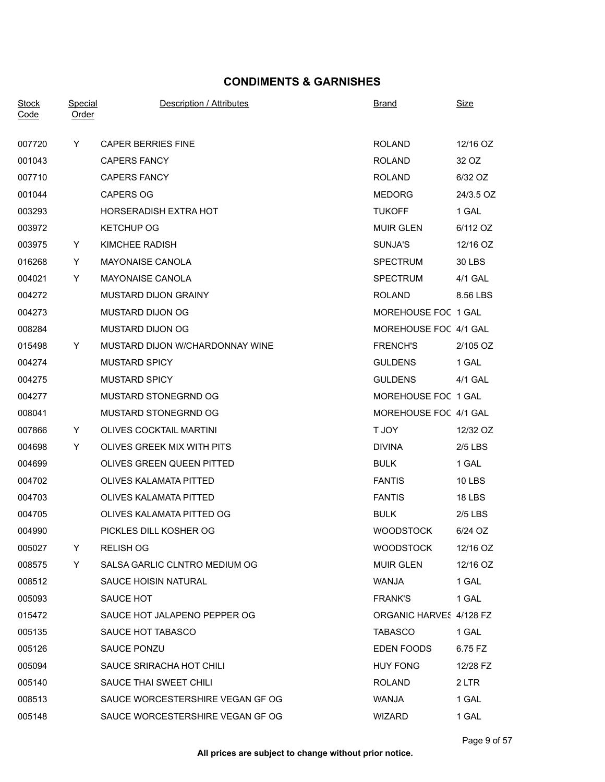## **CONDIMENTS & GARNISHES**

| <b>Stock</b><br>Code | Special<br>Order | Description / Attributes         | Brand                   | <u>Size</u>   |
|----------------------|------------------|----------------------------------|-------------------------|---------------|
| 007720               | Y                | <b>CAPER BERRIES FINE</b>        | <b>ROLAND</b>           | 12/16 OZ      |
| 001043               |                  | <b>CAPERS FANCY</b>              | <b>ROLAND</b>           | 32 OZ         |
| 007710               |                  | <b>CAPERS FANCY</b>              | <b>ROLAND</b>           | 6/32 OZ       |
| 001044               |                  | <b>CAPERS OG</b>                 | <b>MEDORG</b>           | 24/3.5 OZ     |
| 003293               |                  | <b>HORSERADISH EXTRA HOT</b>     | <b>TUKOFF</b>           | 1 GAL         |
| 003972               |                  | <b>KETCHUP OG</b>                | <b>MUIR GLEN</b>        | 6/112 OZ      |
| 003975               | Y.               | KIMCHEE RADISH                   | SUNJA'S                 | 12/16 OZ      |
| 016268               | Y                | <b>MAYONAISE CANOLA</b>          | <b>SPECTRUM</b>         | 30 LBS        |
| 004021               | Y                | <b>MAYONAISE CANOLA</b>          | <b>SPECTRUM</b>         | 4/1 GAL       |
| 004272               |                  | MUSTARD DIJON GRAINY             | <b>ROLAND</b>           | 8.56 LBS      |
| 004273               |                  | MUSTARD DIJON OG                 | MOREHOUSE FOC 1 GAL     |               |
| 008284               |                  | MUSTARD DIJON OG                 | MOREHOUSE FOC 4/1 GAL   |               |
| 015498               | Y.               | MUSTARD DIJON W/CHARDONNAY WINE  | <b>FRENCH'S</b>         | 2/105 OZ      |
| 004274               |                  | <b>MUSTARD SPICY</b>             | <b>GULDENS</b>          | 1 GAL         |
| 004275               |                  | <b>MUSTARD SPICY</b>             | <b>GULDENS</b>          | 4/1 GAL       |
| 004277               |                  | MUSTARD STONEGRND OG             | MOREHOUSE FOC 1 GAL     |               |
| 008041               |                  | MUSTARD STONEGRND OG             | MOREHOUSE FOC 4/1 GAL   |               |
| 007866               | Y.               | OLIVES COCKTAIL MARTINI          | T JOY                   | 12/32 OZ      |
| 004698               | Y                | OLIVES GREEK MIX WITH PITS       | <b>DIVINA</b>           | $2/5$ LBS     |
| 004699               |                  | OLIVES GREEN QUEEN PITTED        | <b>BULK</b>             | 1 GAL         |
| 004702               |                  | OLIVES KALAMATA PITTED           | <b>FANTIS</b>           | <b>10 LBS</b> |
| 004703               |                  | <b>OLIVES KALAMATA PITTED</b>    | <b>FANTIS</b>           | <b>18 LBS</b> |
| 004705               |                  | OLIVES KALAMATA PITTED OG        | <b>BULK</b>             | $2/5$ LBS     |
| 004990               |                  | PICKLES DILL KOSHER OG           | <b>WOODSTOCK</b>        | 6/24 OZ       |
| 005027               | Y.               | <b>RELISH OG</b>                 | <b>WOODSTOCK</b>        | 12/16 OZ      |
| 008575               | Y                | SALSA GARLIC CLNTRO MEDIUM OG    | <b>MUIR GLEN</b>        | 12/16 OZ      |
| 008512               |                  | SAUCE HOISIN NATURAL             | WANJA                   | 1 GAL         |
| 005093               |                  | SAUCE HOT                        | <b>FRANK'S</b>          | 1 GAL         |
| 015472               |                  | SAUCE HOT JALAPENO PEPPER OG     | ORGANIC HARVES 4/128 FZ |               |
| 005135               |                  | SAUCE HOT TABASCO                | <b>TABASCO</b>          | 1 GAL         |
| 005126               |                  | SAUCE PONZU                      | EDEN FOODS              | 6.75 FZ       |
| 005094               |                  | SAUCE SRIRACHA HOT CHILI         | <b>HUY FONG</b>         | 12/28 FZ      |
| 005140               |                  | SAUCE THAI SWEET CHILI           | <b>ROLAND</b>           | 2 LTR         |
| 008513               |                  | SAUCE WORCESTERSHIRE VEGAN GF OG | WANJA                   | 1 GAL         |
| 005148               |                  | SAUCE WORCESTERSHIRE VEGAN GF OG | WIZARD                  | 1 GAL         |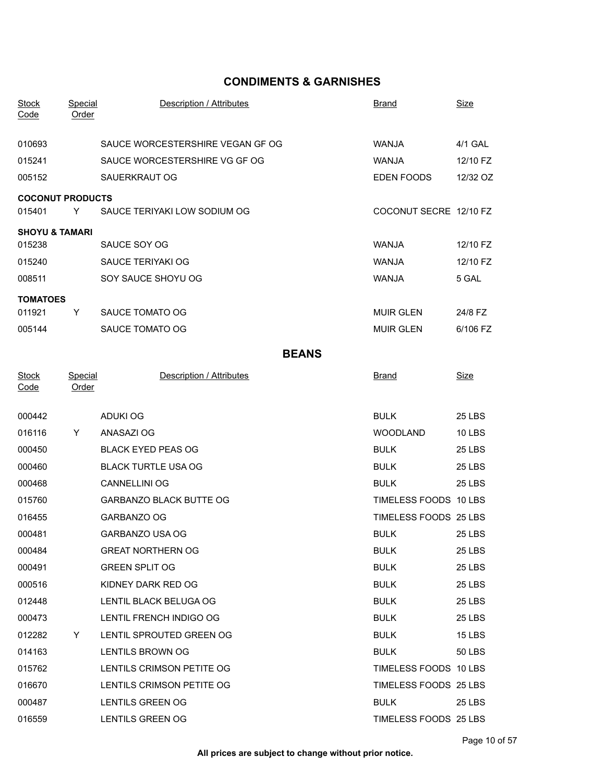### **CONDIMENTS & GARNISHES**

| <b>Stock</b><br>Code      | <b>Special</b><br>Order | Description / Attributes         | <b>Brand</b>           | <b>Size</b>   |
|---------------------------|-------------------------|----------------------------------|------------------------|---------------|
| 010693                    |                         | SAUCE WORCESTERSHIRE VEGAN GF OG | <b>WANJA</b>           | 4/1 GAL       |
| 015241                    |                         | SAUCE WORCESTERSHIRE VG GF OG    | <b>WANJA</b>           | 12/10 FZ      |
| 005152                    |                         | SAUERKRAUT OG                    | EDEN FOODS             | 12/32 OZ      |
| <b>COCONUT PRODUCTS</b>   |                         |                                  |                        |               |
| 015401                    | Y                       | SAUCE TERIYAKI LOW SODIUM OG     | COCONUT SECRE 12/10 FZ |               |
| <b>SHOYU &amp; TAMARI</b> |                         |                                  |                        |               |
| 015238                    |                         | SAUCE SOY OG                     | <b>WANJA</b>           | 12/10 FZ      |
| 015240                    |                         | SAUCE TERIYAKI OG                | <b>WANJA</b>           | 12/10 FZ      |
| 008511                    |                         | SOY SAUCE SHOYU OG               | <b>WANJA</b>           | 5 GAL         |
| <b>TOMATOES</b>           |                         |                                  |                        |               |
| 011921                    | Y                       | SAUCE TOMATO OG                  | <b>MUIR GLEN</b>       | 24/8 FZ       |
| 005144                    |                         | SAUCE TOMATO OG                  | <b>MUIR GLEN</b>       | 6/106 FZ      |
|                           |                         | <b>BEANS</b>                     |                        |               |
| <b>Stock</b><br>Code      | Special<br><b>Order</b> | Description / Attributes         | <b>Brand</b>           | <b>Size</b>   |
| 000442                    |                         | <b>ADUKI OG</b>                  | <b>BULK</b>            | <b>25 LBS</b> |
| 016116                    | Y                       | ANASAZI OG                       | <b>WOODLAND</b>        | <b>10 LBS</b> |
| 000450                    |                         | <b>BLACK EYED PEAS OG</b>        | <b>BULK</b>            | <b>25 LBS</b> |
| 000460                    |                         | <b>BLACK TURTLE USA OG</b>       | <b>BULK</b>            | <b>25 LBS</b> |
| 000468                    |                         | <b>CANNELLINI OG</b>             | <b>BULK</b>            | <b>25 LBS</b> |
| 015760                    |                         | <b>GARBANZO BLACK BUTTE OG</b>   | TIMELESS FOODS 10 LBS  |               |
| 016455                    |                         | GARBANZO OG                      | TIMELESS FOODS 25 LBS  |               |
| 000481                    |                         | GARBANZO USA OG                  | <b>BULK</b>            | <b>25 LBS</b> |
| 000484                    |                         | <b>GREAT NORTHERN OG</b>         | <b>BULK</b>            | 25 LBS        |
| 000491                    |                         | <b>GREEN SPLIT OG</b>            | <b>BULK</b>            | 25 LBS        |
| 000516                    |                         | KIDNEY DARK RED OG               | <b>BULK</b>            | 25 LBS        |
| 012448                    |                         | LENTIL BLACK BELUGA OG           | <b>BULK</b>            | 25 LBS        |
| 000473                    |                         | LENTIL FRENCH INDIGO OG          | <b>BULK</b>            | 25 LBS        |
| 012282                    | Y                       | LENTIL SPROUTED GREEN OG         | <b>BULK</b>            | <b>15 LBS</b> |
| 014163                    |                         | LENTILS BROWN OG                 | <b>BULK</b>            | <b>50 LBS</b> |
| 015762                    |                         | LENTILS CRIMSON PETITE OG        | TIMELESS FOODS 10 LBS  |               |
| 016670                    |                         | LENTILS CRIMSON PETITE OG        | TIMELESS FOODS 25 LBS  |               |
| 000487                    |                         | LENTILS GREEN OG                 | <b>BULK</b>            | 25 LBS        |
| 016559                    |                         | LENTILS GREEN OG                 | TIMELESS FOODS 25 LBS  |               |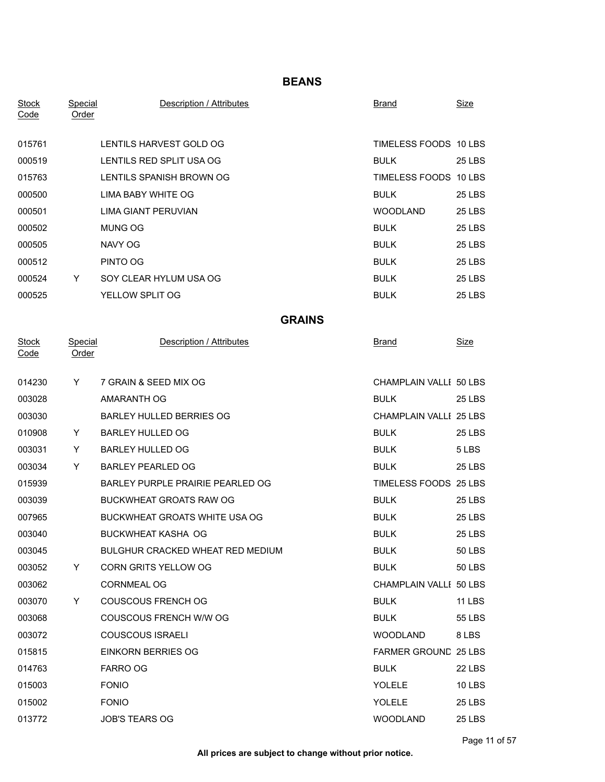### **BEANS**

| <b>Stock</b><br>Code | Special<br>Order        | Description / Attributes             | <b>Brand</b>                | <b>Size</b>   |
|----------------------|-------------------------|--------------------------------------|-----------------------------|---------------|
| 015761               |                         | LENTILS HARVEST GOLD OG              | TIMELESS FOODS 10 LBS       |               |
| 000519               |                         | LENTILS RED SPLIT USA OG             | <b>BULK</b>                 | <b>25 LBS</b> |
| 015763               |                         | LENTILS SPANISH BROWN OG             | TIMELESS FOODS 10 LBS       |               |
| 000500               |                         | LIMA BABY WHITE OG                   | <b>BULK</b>                 | <b>25 LBS</b> |
| 000501               |                         | LIMA GIANT PERUVIAN                  | <b>WOODLAND</b>             | <b>25 LBS</b> |
| 000502               |                         | MUNG OG                              | <b>BULK</b>                 | <b>25 LBS</b> |
| 000505               |                         | NAVY OG                              | <b>BULK</b>                 | <b>25 LBS</b> |
| 000512               |                         | PINTO OG                             | <b>BULK</b>                 | <b>25 LBS</b> |
| 000524               | Y.                      | SOY CLEAR HYLUM USA OG               | <b>BULK</b>                 | 25 LBS        |
| 000525               |                         | YELLOW SPLIT OG                      | <b>BULK</b>                 | <b>25 LBS</b> |
|                      |                         | <b>GRAINS</b>                        |                             |               |
| <b>Stock</b><br>Code | Special<br><b>Order</b> | Description / Attributes             | <u>Brand</u>                | <b>Size</b>   |
| 014230               | Y                       | 7 GRAIN & SEED MIX OG                | CHAMPLAIN VALLI 50 LBS      |               |
| 003028               |                         | AMARANTH OG                          | <b>BULK</b>                 | <b>25 LBS</b> |
| 003030               |                         | BARLEY HULLED BERRIES OG             | CHAMPLAIN VALLI 25 LBS      |               |
| 010908               | Y                       | <b>BARLEY HULLED OG</b>              | <b>BULK</b>                 | <b>25 LBS</b> |
| 003031               | Y                       | <b>BARLEY HULLED OG</b>              | <b>BULK</b>                 | 5 LBS         |
| 003034               | Y                       | <b>BARLEY PEARLED OG</b>             | <b>BULK</b>                 | <b>25 LBS</b> |
| 015939               |                         | BARLEY PURPLE PRAIRIE PEARLED OG     | TIMELESS FOODS 25 LBS       |               |
| 003039               |                         | <b>BUCKWHEAT GROATS RAW OG</b>       | <b>BULK</b>                 | <b>25 LBS</b> |
| 007965               |                         | <b>BUCKWHEAT GROATS WHITE USA OG</b> | <b>BULK</b>                 | <b>25 LBS</b> |
| 003040               |                         | <b>BUCKWHEAT KASHA OG</b>            | <b>BULK</b>                 | <b>25 LBS</b> |
| 003045               |                         | BULGHUR CRACKED WHEAT RED MEDIUM     | <b>BULK</b>                 | 50 LBS        |
| 003052               | Y                       | CORN GRITS YELLOW OG                 | <b>BULK</b>                 | <b>50 LBS</b> |
| 003062               |                         | CORNMEAL OG                          | CHAMPLAIN VALLI 50 LBS      |               |
| 003070               | Y                       | <b>COUSCOUS FRENCH OG</b>            | <b>BULK</b>                 | <b>11 LBS</b> |
| 003068               |                         | COUSCOUS FRENCH W/W OG               | <b>BULK</b>                 | <b>55 LBS</b> |
| 003072               |                         | <b>COUSCOUS ISRAELI</b>              | <b>WOODLAND</b>             | 8 LBS         |
| 015815               |                         | <b>EINKORN BERRIES OG</b>            | <b>FARMER GROUND 25 LBS</b> |               |
| 014763               |                         | <b>FARRO OG</b>                      | <b>BULK</b>                 | 22 LBS        |
| 015003               |                         | <b>FONIO</b>                         | <b>YOLELE</b>               | 10 LBS        |
| 015002               |                         | <b>FONIO</b>                         | YOLELE                      | <b>25 LBS</b> |
| 013772               |                         | JOB'S TEARS OG                       | WOODLAND                    | <b>25 LBS</b> |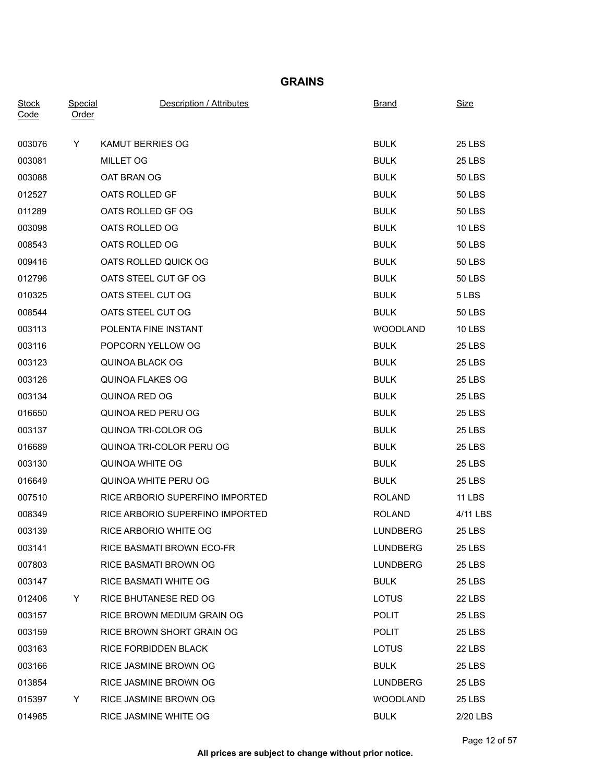#### **GRAINS**

| <b>Stock</b><br>Code | Special<br>Order | Description / Attributes         | <b>Brand</b>    | <b>Size</b>   |
|----------------------|------------------|----------------------------------|-----------------|---------------|
| 003076               | Y.               | KAMUT BERRIES OG                 | <b>BULK</b>     | <b>25 LBS</b> |
| 003081               |                  | <b>MILLET OG</b>                 | <b>BULK</b>     | <b>25 LBS</b> |
| 003088               |                  | OAT BRAN OG                      | <b>BULK</b>     | 50 LBS        |
| 012527               |                  | OATS ROLLED GF                   | <b>BULK</b>     | <b>50 LBS</b> |
| 011289               |                  | OATS ROLLED GF OG                | <b>BULK</b>     | 50 LBS        |
| 003098               |                  | OATS ROLLED OG                   | <b>BULK</b>     | <b>10 LBS</b> |
| 008543               |                  | OATS ROLLED OG                   | <b>BULK</b>     | <b>50 LBS</b> |
| 009416               |                  | OATS ROLLED QUICK OG             | <b>BULK</b>     | <b>50 LBS</b> |
| 012796               |                  | OATS STEEL CUT GF OG             | <b>BULK</b>     | 50 LBS        |
| 010325               |                  | OATS STEEL CUT OG                | <b>BULK</b>     | 5 LBS         |
| 008544               |                  | OATS STEEL CUT OG                | <b>BULK</b>     | <b>50 LBS</b> |
| 003113               |                  | POLENTA FINE INSTANT             | <b>WOODLAND</b> | 10 LBS        |
| 003116               |                  | POPCORN YELLOW OG                | <b>BULK</b>     | <b>25 LBS</b> |
| 003123               |                  | QUINOA BLACK OG                  | <b>BULK</b>     | 25 LBS        |
| 003126               |                  | <b>QUINOA FLAKES OG</b>          | <b>BULK</b>     | <b>25 LBS</b> |
| 003134               |                  | QUINOA RED OG                    | <b>BULK</b>     | 25 LBS        |
| 016650               |                  | QUINOA RED PERU OG               | <b>BULK</b>     | <b>25 LBS</b> |
| 003137               |                  | QUINOA TRI-COLOR OG              | <b>BULK</b>     | <b>25 LBS</b> |
| 016689               |                  | QUINOA TRI-COLOR PERU OG         | <b>BULK</b>     | <b>25 LBS</b> |
| 003130               |                  | QUINOA WHITE OG                  | <b>BULK</b>     | <b>25 LBS</b> |
| 016649               |                  | QUINOA WHITE PERU OG             | <b>BULK</b>     | 25 LBS        |
| 007510               |                  | RICE ARBORIO SUPERFINO IMPORTED  | <b>ROLAND</b>   | <b>11 LBS</b> |
| 008349               |                  | RICE ARBORIO SUPERFINO IMPORTED  | <b>ROLAND</b>   | 4/11 LBS      |
| 003139               |                  | RICE ARBORIO WHITE OG            | <b>LUNDBERG</b> | 25 LBS        |
| 003141               |                  | <b>RICE BASMATI BROWN ECO-FR</b> | <b>LUNDBERG</b> | 25 LBS        |
| 007803               |                  | RICE BASMATI BROWN OG            | <b>LUNDBERG</b> | <b>25 LBS</b> |
| 003147               |                  | <b>RICE BASMATI WHITE OG</b>     | <b>BULK</b>     | 25 LBS        |
| 012406               | Y.               | RICE BHUTANESE RED OG            | LOTUS           | <b>22 LBS</b> |
| 003157               |                  | RICE BROWN MEDIUM GRAIN OG       | <b>POLIT</b>    | <b>25 LBS</b> |
| 003159               |                  | RICE BROWN SHORT GRAIN OG        | <b>POLIT</b>    | <b>25 LBS</b> |
| 003163               |                  | RICE FORBIDDEN BLACK             | <b>LOTUS</b>    | 22 LBS        |
| 003166               |                  | RICE JASMINE BROWN OG            | <b>BULK</b>     | 25 LBS        |
| 013854               |                  | RICE JASMINE BROWN OG            | <b>LUNDBERG</b> | <b>25 LBS</b> |
| 015397               | Y                | RICE JASMINE BROWN OG            | <b>WOODLAND</b> | <b>25 LBS</b> |
| 014965               |                  | RICE JASMINE WHITE OG            | <b>BULK</b>     | 2/20 LBS      |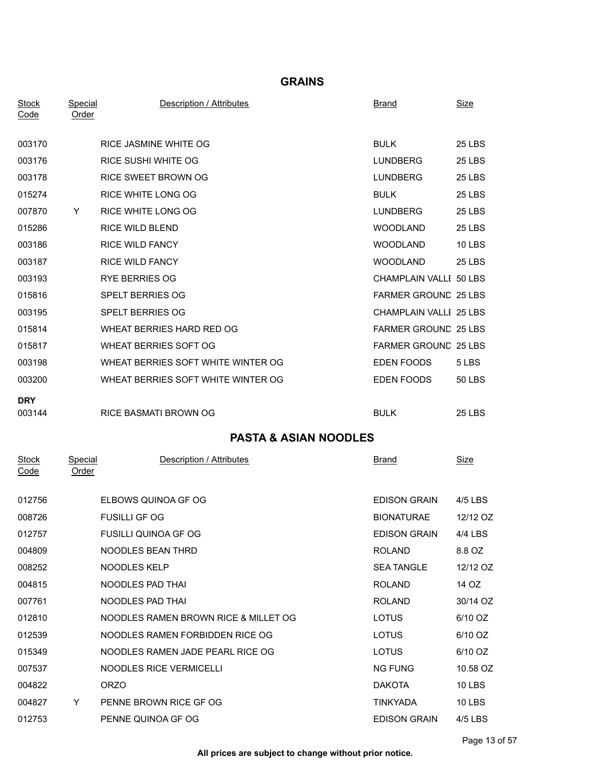### **GRAINS**

| <b>Stock</b><br>Code        | <b>Special</b><br><b>Order</b> | Description / Attributes             | <b>Brand</b>                | <u>Size</u>   |
|-----------------------------|--------------------------------|--------------------------------------|-----------------------------|---------------|
| 003170                      |                                | RICE JASMINE WHITE OG                | <b>BULK</b>                 | <b>25 LBS</b> |
| 003176                      |                                | RICE SUSHI WHITE OG                  | <b>LUNDBERG</b>             | <b>25 LBS</b> |
| 003178                      |                                | RICE SWEET BROWN OG                  | <b>LUNDBERG</b>             | <b>25 LBS</b> |
| 015274                      |                                | RICE WHITE LONG OG                   | <b>BULK</b>                 | <b>25 LBS</b> |
| 007870                      | Y                              | RICE WHITE LONG OG                   | <b>LUNDBERG</b>             | <b>25 LBS</b> |
| 015286                      |                                | <b>RICE WILD BLEND</b>               | <b>WOODLAND</b>             | <b>25 LBS</b> |
| 003186                      |                                | <b>RICE WILD FANCY</b>               | <b>WOODLAND</b>             | <b>10 LBS</b> |
| 003187                      |                                | <b>RICE WILD FANCY</b>               | <b>WOODLAND</b>             | <b>25 LBS</b> |
| 003193                      |                                | <b>RYE BERRIES OG</b>                | CHAMPLAIN VALLI 50 LBS      |               |
| 015816                      |                                | SPELT BERRIES OG                     | FARMER GROUND 25 LBS        |               |
| 003195                      |                                | SPELT BERRIES OG                     | CHAMPLAIN VALLI 25 LBS      |               |
| 015814                      |                                | WHEAT BERRIES HARD RED OG            | <b>FARMER GROUND 25 LBS</b> |               |
|                             |                                | <b>WHEAT BERRIES SOFT OG</b>         | <b>FARMER GROUND 25 LBS</b> |               |
| 015817                      |                                |                                      |                             |               |
| 003198                      |                                | WHEAT BERRIES SOFT WHITE WINTER OG   | EDEN FOODS                  | 5 LBS         |
| 003200                      |                                | WHEAT BERRIES SOFT WHITE WINTER OG   | EDEN FOODS                  | 50 LBS        |
| <b>DRY</b><br>003144        |                                | <b>RICE BASMATI BROWN OG</b>         | BULK                        | <b>25 LBS</b> |
|                             |                                | <b>PASTA &amp; ASIAN NOODLES</b>     |                             |               |
| <b>Stock</b><br><u>Code</u> | Special<br><b>Order</b>        | Description / Attributes             | Brand                       | <u>Size</u>   |
| 012756                      |                                | ELBOWS QUINOA GF OG                  | <b>EDISON GRAIN</b>         | 4/5 LBS       |
| 008726                      |                                | <b>FUSILLI GF OG</b>                 | <b>BIONATURAE</b>           | 12/12 OZ      |
| 012757                      |                                | FUSILLI QUINOA GF OG                 | <b>EDISON GRAIN</b>         | 4/4 LBS       |
| 004809                      |                                | NOODLES BEAN THRD                    | ROLAND                      | 8.8 OZ        |
| 008252                      |                                | NOODLES KELP                         | <b>SEA TANGLE</b>           | 12/12 OZ      |
| 004815                      |                                | NOODLES PAD THAI                     | ROLAND                      | 14 OZ         |
| 007761                      |                                | NOODLES PAD THAI                     | <b>ROLAND</b>               | 30/14 OZ      |
| 012810                      |                                | NOODLES RAMEN BROWN RICE & MILLET OG | <b>LOTUS</b>                | 6/10 OZ       |
| 012539                      |                                | NOODLES RAMEN FORBIDDEN RICE OG      | <b>LOTUS</b>                | 6/10 OZ       |
| 015349                      |                                | NOODLES RAMEN JADE PEARL RICE OG     | LOTUS                       | 6/10 OZ       |
| 007537                      |                                | NOODLES RICE VERMICELLI              | NG FUNG                     | 10.58 OZ      |
| 004822                      |                                | <b>ORZO</b>                          | <b>DAKOTA</b>               | <b>10 LBS</b> |
| 004827                      | Y.                             | PENNE BROWN RICE GF OG               | TINKYADA                    | <b>10 LBS</b> |
| 012753                      |                                | PENNE QUINOA GF OG                   | <b>EDISON GRAIN</b>         | 4/5 LBS       |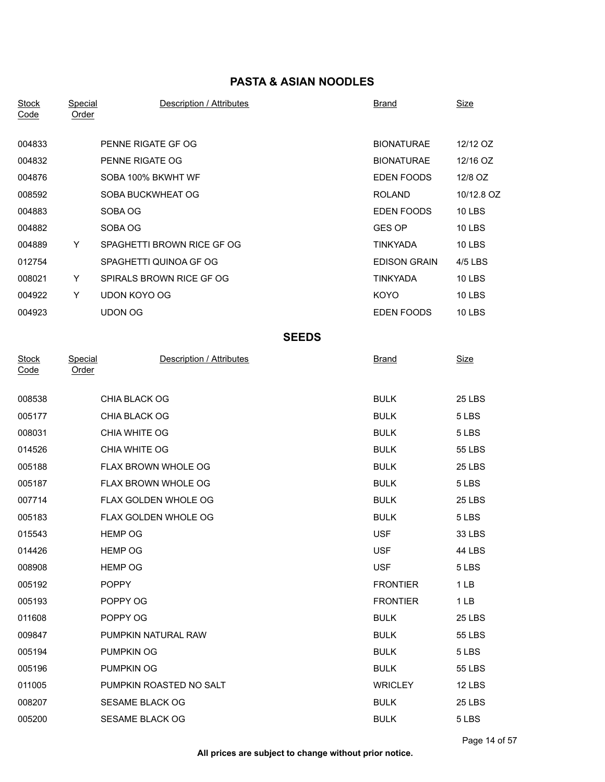## **PASTA & ASIAN NOODLES**

| <b>Stock</b><br>Code | <b>Special</b><br>Order | Description / Attributes    | <b>Brand</b>        | <b>Size</b>     |
|----------------------|-------------------------|-----------------------------|---------------------|-----------------|
| 004833               |                         | PENNE RIGATE GF OG          | <b>BIONATURAE</b>   | 12/12 OZ        |
| 004832               |                         | PENNE RIGATE OG             | <b>BIONATURAE</b>   | 12/16 OZ        |
| 004876               |                         | SOBA 100% BKWHT WF          | EDEN FOODS          | 12/8 OZ         |
| 008592               |                         | SOBA BUCKWHEAT OG           | <b>ROLAND</b>       | 10/12.8 OZ      |
| 004883               |                         | SOBA OG                     | EDEN FOODS          | <b>10 LBS</b>   |
| 004882               |                         | SOBA OG                     | <b>GES OP</b>       | <b>10 LBS</b>   |
| 004889               | Y                       | SPAGHETTI BROWN RICE GF OG  | <b>TINKYADA</b>     | <b>10 LBS</b>   |
| 012754               |                         | SPAGHETTI QUINOA GF OG      | <b>EDISON GRAIN</b> | 4/5 LBS         |
| 008021               | Y.                      | SPIRALS BROWN RICE GF OG    | <b>TINKYADA</b>     | <b>10 LBS</b>   |
| 004922               | Y                       | <b>UDON KOYO OG</b>         | KOYO                | <b>10 LBS</b>   |
| 004923               |                         | <b>UDON OG</b>              | EDEN FOODS          | <b>10 LBS</b>   |
|                      |                         | <b>SEEDS</b>                |                     |                 |
| <b>Stock</b><br>Code | Special<br><b>Order</b> | Description / Attributes    | <b>Brand</b>        | Size            |
| 008538               |                         | CHIA BLACK OG               | <b>BULK</b>         | <b>25 LBS</b>   |
| 005177               |                         | CHIA BLACK OG               | <b>BULK</b>         | 5 LBS           |
| 008031               |                         | CHIA WHITE OG               | <b>BULK</b>         | 5 LBS           |
| 014526               |                         | CHIA WHITE OG               | <b>BULK</b>         | <b>55 LBS</b>   |
| 005188               |                         | FLAX BROWN WHOLE OG         | <b>BULK</b>         | <b>25 LBS</b>   |
| 005187               |                         | FLAX BROWN WHOLE OG         | <b>BULK</b>         | 5 LBS           |
| 007714               |                         | FLAX GOLDEN WHOLE OG        | <b>BULK</b>         | <b>25 LBS</b>   |
| 005183               |                         | <b>FLAX GOLDEN WHOLE OG</b> | <b>BULK</b>         | 5 LBS           |
| 015543               |                         | <b>HEMP OG</b>              | <b>USF</b>          | 33 LBS          |
| 014426               |                         | <b>HEMP OG</b>              | <b>USF</b>          | 44 LBS          |
| 008908               |                         | <b>HEMP OG</b>              | <b>USF</b>          | 5 LBS           |
| 005192               |                         | <b>POPPY</b>                | <b>FRONTIER</b>     | 1 <sub>LB</sub> |
| 005193               |                         | POPPY OG                    | <b>FRONTIER</b>     | 1 LB            |
| 011608               |                         | POPPY OG                    | <b>BULK</b>         | 25 LBS          |
| 009847               |                         | PUMPKIN NATURAL RAW         | <b>BULK</b>         | <b>55 LBS</b>   |
| 005194               |                         | <b>PUMPKIN OG</b>           | <b>BULK</b>         | 5 LBS           |
| 005196               |                         | PUMPKIN OG                  | <b>BULK</b>         | 55 LBS          |
| 011005               |                         | PUMPKIN ROASTED NO SALT     | <b>WRICLEY</b>      | <b>12 LBS</b>   |
| 008207               |                         | SESAME BLACK OG             | <b>BULK</b>         | <b>25 LBS</b>   |
| 005200               |                         | SESAME BLACK OG             | <b>BULK</b>         | 5 LBS           |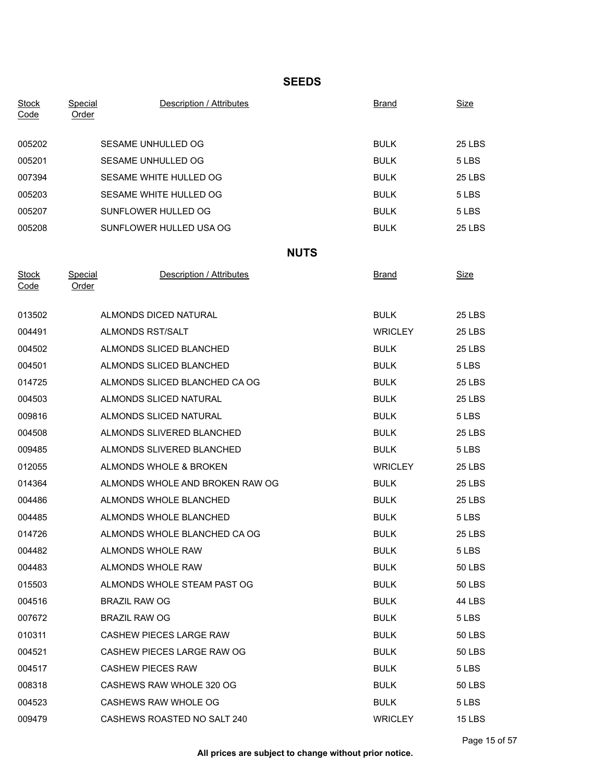### **SEEDS**

| <b>Stock</b><br>Code | <b>Special</b><br>Order | Description / Attributes        |             | <b>Brand</b>   | <b>Size</b>   |
|----------------------|-------------------------|---------------------------------|-------------|----------------|---------------|
|                      |                         |                                 |             |                |               |
| 005202               |                         | SESAME UNHULLED OG              |             | <b>BULK</b>    | <b>25 LBS</b> |
| 005201               |                         | SESAME UNHULLED OG              |             | <b>BULK</b>    | 5 LBS         |
| 007394               |                         | SESAME WHITE HULLED OG          |             | <b>BULK</b>    | <b>25 LBS</b> |
| 005203               |                         | SESAME WHITE HULLED OG          |             | <b>BULK</b>    | 5 LBS         |
| 005207               |                         | SUNFLOWER HULLED OG             |             | <b>BULK</b>    | 5 LBS         |
| 005208               |                         | SUNFLOWER HULLED USA OG         |             | <b>BULK</b>    | 25 LBS        |
|                      |                         |                                 | <b>NUTS</b> |                |               |
| <b>Stock</b><br>Code | Special<br><b>Order</b> | Description / Attributes        |             | <b>Brand</b>   | <b>Size</b>   |
| 013502               |                         | ALMONDS DICED NATURAL           |             | <b>BULK</b>    | <b>25 LBS</b> |
| 004491               |                         | ALMONDS RST/SALT                |             | <b>WRICLEY</b> | 25 LBS        |
| 004502               |                         | ALMONDS SLICED BLANCHED         |             | <b>BULK</b>    | <b>25 LBS</b> |
| 004501               |                         | ALMONDS SLICED BLANCHED         |             | <b>BULK</b>    | 5 LBS         |
| 014725               |                         | ALMONDS SLICED BLANCHED CA OG   |             | <b>BULK</b>    | <b>25 LBS</b> |
| 004503               |                         | ALMONDS SLICED NATURAL          |             | <b>BULK</b>    | 25 LBS        |
| 009816               |                         | ALMONDS SLICED NATURAL          |             | <b>BULK</b>    | 5 LBS         |
| 004508               |                         | ALMONDS SLIVERED BLANCHED       |             | <b>BULK</b>    | 25 LBS        |
| 009485               |                         | ALMONDS SLIVERED BLANCHED       |             | <b>BULK</b>    | 5 LBS         |
| 012055               |                         | ALMONDS WHOLE & BROKEN          |             | <b>WRICLEY</b> | <b>25 LBS</b> |
| 014364               |                         | ALMONDS WHOLE AND BROKEN RAW OG |             | <b>BULK</b>    | 25 LBS        |
| 004486               |                         | ALMONDS WHOLE BLANCHED          |             | <b>BULK</b>    | 25 LBS        |
| 004485               |                         | ALMONDS WHOLE BLANCHED          |             | <b>BULK</b>    | 5 LBS         |
| 014726               |                         | ALMONDS WHOLE BLANCHED CA OG    |             | <b>BULK</b>    | <b>25 LBS</b> |
| 004482               |                         | ALMONDS WHOLE RAW               |             | <b>BULK</b>    | 5 LBS         |
| 004483               |                         | ALMONDS WHOLE RAW               |             | <b>BULK</b>    | 50 LBS        |
| 015503               |                         | ALMONDS WHOLE STEAM PAST OG     |             | <b>BULK</b>    | 50 LBS        |
| 004516               |                         | <b>BRAZIL RAW OG</b>            |             | <b>BULK</b>    | 44 LBS        |
| 007672               |                         | <b>BRAZIL RAW OG</b>            |             | <b>BULK</b>    | 5 LBS         |
| 010311               |                         | CASHEW PIECES LARGE RAW         |             | <b>BULK</b>    | 50 LBS        |
| 004521               |                         | CASHEW PIECES LARGE RAW OG      |             | <b>BULK</b>    | 50 LBS        |
| 004517               |                         | <b>CASHEW PIECES RAW</b>        |             | <b>BULK</b>    | 5 LBS         |
| 008318               |                         | CASHEWS RAW WHOLE 320 OG        |             | <b>BULK</b>    | <b>50 LBS</b> |
| 004523               |                         | CASHEWS RAW WHOLE OG            |             | <b>BULK</b>    | 5 LBS         |
| 009479               |                         | CASHEWS ROASTED NO SALT 240     |             | <b>WRICLEY</b> | <b>15 LBS</b> |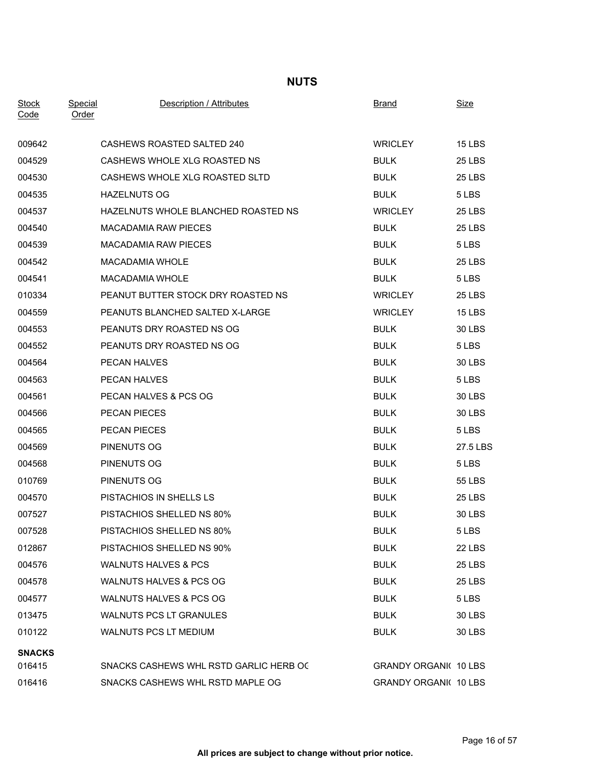## **NUTS**

| <b>Stock</b><br>Code | Special<br>Order | <b>Description / Attributes</b>        | <b>Brand</b>                 | <u>Size</u>   |
|----------------------|------------------|----------------------------------------|------------------------------|---------------|
| 009642               |                  | CASHEWS ROASTED SALTED 240             | <b>WRICLEY</b>               | <b>15 LBS</b> |
| 004529               |                  | CASHEWS WHOLE XLG ROASTED NS           | <b>BULK</b>                  | <b>25 LBS</b> |
| 004530               |                  | CASHEWS WHOLE XLG ROASTED SLTD         | <b>BULK</b>                  | <b>25 LBS</b> |
| 004535               |                  | <b>HAZELNUTS OG</b>                    | <b>BULK</b>                  | 5 LBS         |
| 004537               |                  | HAZELNUTS WHOLE BLANCHED ROASTED NS    | <b>WRICLEY</b>               | <b>25 LBS</b> |
| 004540               |                  | <b>MACADAMIA RAW PIECES</b>            | <b>BULK</b>                  | <b>25 LBS</b> |
| 004539               |                  | <b>MACADAMIA RAW PIECES</b>            | <b>BULK</b>                  | 5 LBS         |
| 004542               |                  | <b>MACADAMIA WHOLE</b>                 | <b>BULK</b>                  | <b>25 LBS</b> |
| 004541               |                  | <b>MACADAMIA WHOLE</b>                 | <b>BULK</b>                  | 5 LBS         |
| 010334               |                  | PEANUT BUTTER STOCK DRY ROASTED NS     | <b>WRICLEY</b>               | <b>25 LBS</b> |
| 004559               |                  | PEANUTS BLANCHED SALTED X-LARGE        | <b>WRICLEY</b>               | <b>15 LBS</b> |
| 004553               |                  | PEANUTS DRY ROASTED NS OG              | <b>BULK</b>                  | 30 LBS        |
| 004552               |                  | PEANUTS DRY ROASTED NS OG              | <b>BULK</b>                  | 5 LBS         |
| 004564               |                  | PECAN HALVES                           | <b>BULK</b>                  | 30 LBS        |
| 004563               |                  | PECAN HALVES                           | <b>BULK</b>                  | 5 LBS         |
| 004561               |                  | PECAN HALVES & PCS OG                  | <b>BULK</b>                  | 30 LBS        |
| 004566               |                  | PECAN PIECES                           | <b>BULK</b>                  | 30 LBS        |
| 004565               |                  | PECAN PIECES                           | <b>BULK</b>                  | 5 LBS         |
| 004569               |                  | PINENUTS OG                            | <b>BULK</b>                  | 27.5 LBS      |
| 004568               |                  | PINENUTS OG                            | <b>BULK</b>                  | 5 LBS         |
| 010769               |                  | PINENUTS OG                            | <b>BULK</b>                  | 55 LBS        |
| 004570               |                  | PISTACHIOS IN SHELLS LS                | <b>BULK</b>                  | <b>25 LBS</b> |
| 007527               |                  | PISTACHIOS SHELLED NS 80%              | <b>BULK</b>                  | 30 LBS        |
| 007528               |                  | <b>PISTACHIOS SHELLED NS 80%</b>       | <b>BULK</b>                  | 5 LBS         |
| 012867               |                  | PISTACHIOS SHELLED NS 90%              | <b>BULK</b>                  | 22 LBS        |
| 004576               |                  | <b>WALNUTS HALVES &amp; PCS</b>        | <b>BULK</b>                  | <b>25 LBS</b> |
| 004578               |                  | WALNUTS HALVES & PCS OG                | <b>BULK</b>                  | 25 LBS        |
| 004577               |                  | WALNUTS HALVES & PCS OG                | <b>BULK</b>                  | 5 LBS         |
| 013475               |                  | WALNUTS PCS LT GRANULES                | <b>BULK</b>                  | 30 LBS        |
| 010122               |                  | <b>WALNUTS PCS LT MEDIUM</b>           | <b>BULK</b>                  | <b>30 LBS</b> |
| <b>SNACKS</b>        |                  |                                        |                              |               |
| 016415               |                  | SNACKS CASHEWS WHL RSTD GARLIC HERB OC | <b>GRANDY ORGANI( 10 LBS</b> |               |
| 016416               |                  | SNACKS CASHEWS WHL RSTD MAPLE OG       | <b>GRANDY ORGANI( 10 LBS</b> |               |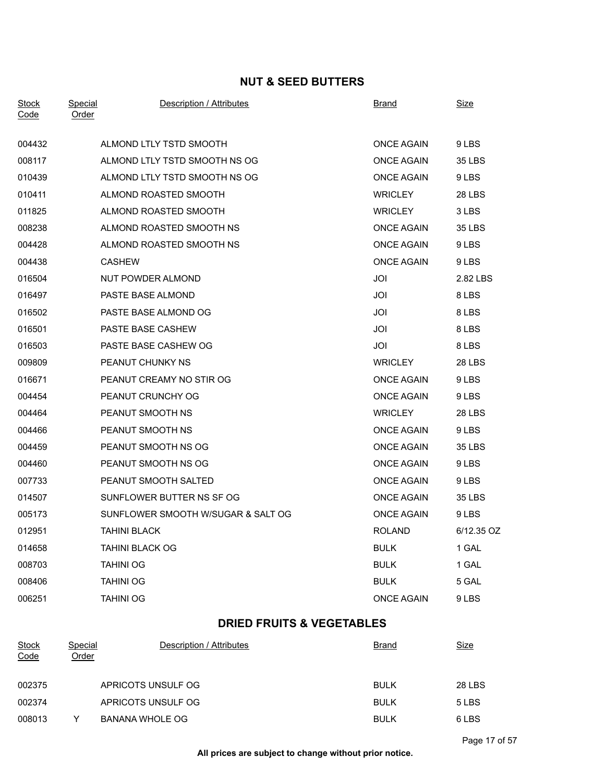## **NUT & SEED BUTTERS**

| <b>Stock</b><br>Code | Special<br>Order | Description / Attributes           | <b>Brand</b>      | <u>Size</u>   |  |
|----------------------|------------------|------------------------------------|-------------------|---------------|--|
| 004432               |                  | ALMOND LTLY TSTD SMOOTH            | <b>ONCE AGAIN</b> | 9 LBS         |  |
| 008117               |                  | ALMOND LTLY TSTD SMOOTH NS OG      | <b>ONCE AGAIN</b> | 35 LBS        |  |
| 010439               |                  | ALMOND LTLY TSTD SMOOTH NS OG      | <b>ONCE AGAIN</b> | 9 LBS         |  |
| 010411               |                  | ALMOND ROASTED SMOOTH              | <b>WRICLEY</b>    | <b>28 LBS</b> |  |
| 011825               |                  | ALMOND ROASTED SMOOTH              | <b>WRICLEY</b>    | 3 LBS         |  |
| 008238               |                  | ALMOND ROASTED SMOOTH NS           | <b>ONCE AGAIN</b> | <b>35 LBS</b> |  |
| 004428               |                  | ALMOND ROASTED SMOOTH NS           | <b>ONCE AGAIN</b> | 9 LBS         |  |
| 004438               | <b>CASHEW</b>    |                                    | <b>ONCE AGAIN</b> | 9 LBS         |  |
| 016504               |                  | NUT POWDER ALMOND                  | JOI               | 2.82 LBS      |  |
| 016497               |                  | PASTE BASE ALMOND                  | JOI               | 8 LBS         |  |
| 016502               |                  | PASTE BASE ALMOND OG               | JOI               | 8 LBS         |  |
| 016501               |                  | PASTE BASE CASHEW                  | JOI               | 8 LBS         |  |
| 016503               |                  | PASTE BASE CASHEW OG               | JOI               | 8 LBS         |  |
| 009809               |                  | PEANUT CHUNKY NS                   | <b>WRICLEY</b>    | <b>28 LBS</b> |  |
| 016671               |                  | PEANUT CREAMY NO STIR OG           | <b>ONCE AGAIN</b> | 9 LBS         |  |
| 004454               |                  | PEANUT CRUNCHY OG                  | <b>ONCE AGAIN</b> | 9 LBS         |  |
| 004464               |                  | PEANUT SMOOTH NS                   | <b>WRICLEY</b>    | <b>28 LBS</b> |  |
| 004466               |                  | PEANUT SMOOTH NS                   | <b>ONCE AGAIN</b> | 9 LBS         |  |
| 004459               |                  | PEANUT SMOOTH NS OG                | <b>ONCE AGAIN</b> | 35 LBS        |  |
| 004460               |                  | PEANUT SMOOTH NS OG                | <b>ONCE AGAIN</b> | 9 LBS         |  |
| 007733               |                  | PEANUT SMOOTH SALTED               | <b>ONCE AGAIN</b> | 9 LBS         |  |
| 014507               |                  | SUNFLOWER BUTTER NS SF OG          | <b>ONCE AGAIN</b> | 35 LBS        |  |
| 005173               |                  | SUNFLOWER SMOOTH W/SUGAR & SALT OG | <b>ONCE AGAIN</b> | 9 LBS         |  |
| 012951               |                  | <b>TAHINI BLACK</b>                | <b>ROLAND</b>     | 6/12.35 OZ    |  |
| 014658               |                  | <b>TAHINI BLACK OG</b>             | <b>BULK</b>       | 1 GAL         |  |
| 008703               | <b>TAHINI OG</b> |                                    | <b>BULK</b>       | 1 GAL         |  |
| 008406               | <b>TAHINI OG</b> |                                    | <b>BULK</b>       | 5 GAL         |  |
| 006251               | <b>TAHINI OG</b> |                                    | <b>ONCE AGAIN</b> | 9 LBS         |  |

# **DRIED FRUITS & VEGETABLES**

| <b>Stock</b><br>Code | Special<br>Order | Description / Attributes | <b>Brand</b> | Size          |
|----------------------|------------------|--------------------------|--------------|---------------|
| 002375               |                  | APRICOTS UNSULF OG       | <b>BULK</b>  | <b>28 LBS</b> |
| 002374               |                  | APRICOTS UNSULF OG       | <b>BULK</b>  | 5 LBS         |
| 008013               | Y                | BANANA WHOLE OG          | <b>BULK</b>  | 6 LBS         |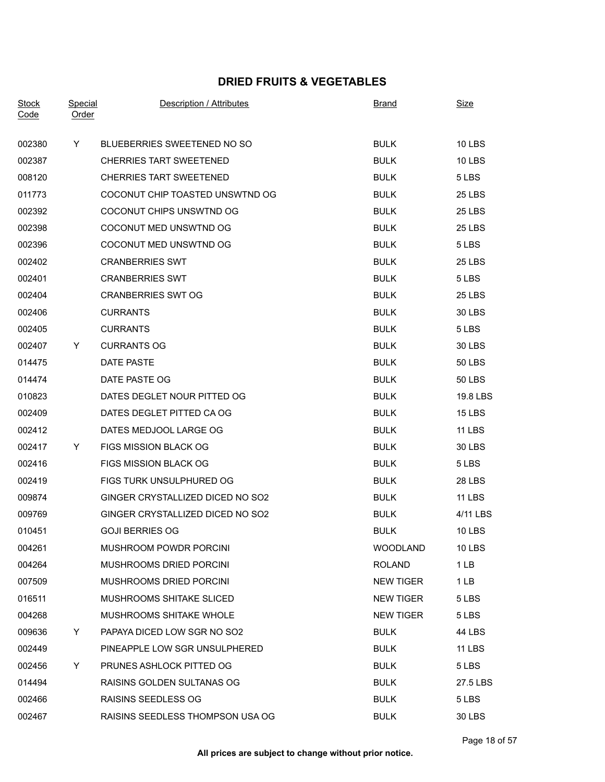## **DRIED FRUITS & VEGETABLES**

| <b>Stock</b><br>Code | Special<br>Order | <b>Description / Attributes</b>  | <b>Brand</b>     | Size            |
|----------------------|------------------|----------------------------------|------------------|-----------------|
| 002380               | Y.               | BLUEBERRIES SWEETENED NO SO      | <b>BULK</b>      | <b>10 LBS</b>   |
| 002387               |                  | <b>CHERRIES TART SWEETENED</b>   | <b>BULK</b>      | <b>10 LBS</b>   |
| 008120               |                  | <b>CHERRIES TART SWEETENED</b>   | <b>BULK</b>      | 5 LBS           |
| 011773               |                  | COCONUT CHIP TOASTED UNSWTND OG  | <b>BULK</b>      | <b>25 LBS</b>   |
| 002392               |                  | COCONUT CHIPS UNSWTND OG         | <b>BULK</b>      | <b>25 LBS</b>   |
| 002398               |                  | COCONUT MED UNSWTND OG           | <b>BULK</b>      | <b>25 LBS</b>   |
| 002396               |                  | COCONUT MED UNSWTND OG           | <b>BULK</b>      | 5 LBS           |
| 002402               |                  | <b>CRANBERRIES SWT</b>           | <b>BULK</b>      | <b>25 LBS</b>   |
| 002401               |                  | <b>CRANBERRIES SWT</b>           | <b>BULK</b>      | 5 LBS           |
| 002404               |                  | <b>CRANBERRIES SWT OG</b>        | <b>BULK</b>      | <b>25 LBS</b>   |
| 002406               |                  | <b>CURRANTS</b>                  | <b>BULK</b>      | <b>30 LBS</b>   |
| 002405               |                  | <b>CURRANTS</b>                  | <b>BULK</b>      | 5 LBS           |
| 002407               | Y.               | <b>CURRANTS OG</b>               | <b>BULK</b>      | 30 LBS          |
| 014475               |                  | <b>DATE PASTE</b>                | <b>BULK</b>      | 50 LBS          |
| 014474               |                  | DATE PASTE OG                    | <b>BULK</b>      | 50 LBS          |
| 010823               |                  | DATES DEGLET NOUR PITTED OG      | <b>BULK</b>      | 19.8 LBS        |
| 002409               |                  | DATES DEGLET PITTED CA OG        | <b>BULK</b>      | <b>15 LBS</b>   |
| 002412               |                  | DATES MEDJOOL LARGE OG           | <b>BULK</b>      | <b>11 LBS</b>   |
| 002417               | Y.               | <b>FIGS MISSION BLACK OG</b>     | <b>BULK</b>      | 30 LBS          |
| 002416               |                  | FIGS MISSION BLACK OG            | <b>BULK</b>      | 5 LBS           |
| 002419               |                  | FIGS TURK UNSULPHURED OG         | <b>BULK</b>      | <b>28 LBS</b>   |
| 009874               |                  | GINGER CRYSTALLIZED DICED NO SO2 | <b>BULK</b>      | <b>11 LBS</b>   |
| 009769               |                  | GINGER CRYSTALLIZED DICED NO SO2 | <b>BULK</b>      | 4/11 LBS        |
| 010451               |                  | <b>GOJI BERRIES OG</b>           | <b>BULK</b>      | <b>10 LBS</b>   |
| 004261               |                  | MUSHROOM POWDR PORCINI           | <b>WOODLAND</b>  | <b>10 LBS</b>   |
| 004264               |                  | MUSHROOMS DRIED PORCINI          | <b>ROLAND</b>    | 1 <sub>LB</sub> |
| 007509               |                  | MUSHROOMS DRIED PORCINI          | <b>NEW TIGER</b> | 1 LB            |
| 016511               |                  | MUSHROOMS SHITAKE SLICED         | <b>NEW TIGER</b> | 5 LBS           |
| 004268               |                  | MUSHROOMS SHITAKE WHOLE          | <b>NEW TIGER</b> | 5 LBS           |
| 009636               | Y.               | PAPAYA DICED LOW SGR NO SO2      | <b>BULK</b>      | 44 LBS          |
| 002449               |                  | PINEAPPLE LOW SGR UNSULPHERED    | <b>BULK</b>      | <b>11 LBS</b>   |
| 002456               | Y.               | PRUNES ASHLOCK PITTED OG         | <b>BULK</b>      | 5 LBS           |
| 014494               |                  | RAISINS GOLDEN SULTANAS OG       | <b>BULK</b>      | 27.5 LBS        |
| 002466               |                  | <b>RAISINS SEEDLESS OG</b>       | <b>BULK</b>      | 5 LBS           |
| 002467               |                  | RAISINS SEEDLESS THOMPSON USA OG | <b>BULK</b>      | 30 LBS          |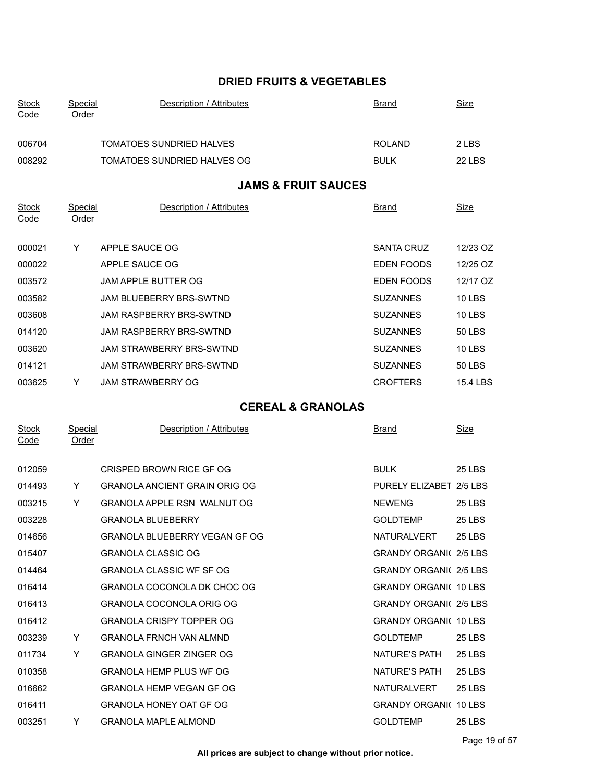## **DRIED FRUITS & VEGETABLES**

| <b>Stock</b><br>Code | Special<br>Order | <b>Description / Attributes</b> | <b>Brand</b>      | <b>Size</b>   |
|----------------------|------------------|---------------------------------|-------------------|---------------|
| 006704               |                  | <b>TOMATOES SUNDRIED HALVES</b> | <b>ROLAND</b>     | 2 LBS         |
| 008292               |                  | TOMATOES SUNDRIED HALVES OG     | <b>BULK</b>       | 22 LBS        |
|                      |                  | <b>JAMS &amp; FRUIT SAUCES</b>  |                   |               |
| <b>Stock</b><br>Code | Special<br>Order | Description / Attributes        | <b>Brand</b>      | Size          |
| 000021               | Y                | APPLE SAUCE OG                  | <b>SANTA CRUZ</b> | 12/23 OZ      |
| 000022               |                  | APPLE SAUCE OG                  | <b>EDEN FOODS</b> | 12/25 OZ      |
| 003572               |                  | <b>JAM APPLE BUTTER OG</b>      | EDEN FOODS        | 12/17 OZ      |
| 003582               |                  | <b>JAM BLUEBERRY BRS-SWTND</b>  | <b>SUZANNES</b>   | <b>10 LBS</b> |
| 003608               |                  | <b>JAM RASPBERRY BRS-SWTND</b>  | <b>SUZANNES</b>   | <b>10 LBS</b> |
| 014120               |                  | <b>JAM RASPBERRY BRS-SWTND</b>  | <b>SUZANNES</b>   | <b>50 LBS</b> |
| 003620               |                  | <b>JAM STRAWBERRY BRS-SWTND</b> | <b>SUZANNES</b>   | <b>10 LBS</b> |
| 014121               |                  | <b>JAM STRAWBERRY BRS-SWTND</b> | <b>SUZANNES</b>   | 50 LBS        |
| 003625               | Y                | <b>JAM STRAWBERRY OG</b>        | <b>CROFTERS</b>   | 15.4 LBS      |
|                      |                  | <b>CEREAL &amp; GRANOLAS</b>    |                   |               |
| <b>Stock</b>         | Special          | Description / Attributes        | <b>Brand</b>      | Size          |

| 012059 |   | CRISPED BROWN RICE GF OG             | <b>BULK</b>                   | <b>25 LBS</b> |
|--------|---|--------------------------------------|-------------------------------|---------------|
| 014493 | Y | <b>GRANOLA ANCIENT GRAIN ORIG OG</b> | PURELY ELIZABET 2/5 LBS       |               |
| 003215 | Y | GRANOLA APPLE RSN WALNUT OG          | <b>NEWENG</b>                 | <b>25 LBS</b> |
| 003228 |   | <b>GRANOLA BLUEBERRY</b>             | <b>GOLDTEMP</b>               | <b>25 LBS</b> |
| 014656 |   | <b>GRANOLA BLUEBERRY VEGAN GF OG</b> | <b>NATURALVERT</b>            | <b>25 LBS</b> |
| 015407 |   | <b>GRANOLA CLASSIC OG</b>            | <b>GRANDY ORGANI</b> 2/5 LBS  |               |
| 014464 |   | <b>GRANOLA CLASSIC WF SF OG</b>      | <b>GRANDY ORGANI</b> 2/5 LBS  |               |
| 016414 |   | GRANOLA COCONOLA DK CHOC OG          | GRANDY ORGANIC 10 LBS         |               |
| 016413 |   | GRANOLA COCONOLA ORIG OG             | <b>GRANDY ORGANI(2/5 LBS)</b> |               |
| 016412 |   | <b>GRANOLA CRISPY TOPPER OG</b>      | <b>GRANDY ORGANI(10 LBS)</b>  |               |
| 003239 | Y | <b>GRANOLA FRNCH VAN ALMND</b>       | <b>GOLDTEMP</b>               | <b>25 LBS</b> |
| 011734 | Y | <b>GRANOLA GINGER ZINGER OG</b>      | NATURE'S PATH                 | <b>25 LBS</b> |
| 010358 |   | GRANOLA HEMP PLUS WE OG              | NATURE'S PATH                 | 25 I BS       |
| 016662 |   | <b>GRANOLA HEMP VEGAN GF OG</b>      | <b>NATURALVERT</b>            | <b>25 LBS</b> |
| 016411 |   | <b>GRANOLA HONEY OAT GF OG</b>       | <b>GRANDY ORGANI(10 LBS)</b>  |               |
| 003251 | Y | <b>GRANOLA MAPLE ALMOND</b>          | <b>GOLDTEMP</b>               | <b>25 LBS</b> |
|        |   |                                      |                               |               |

**Code** 

Order INSERT INTO TableOfContents VALUES ('1.00',3,'2022-06-26 04:02:05')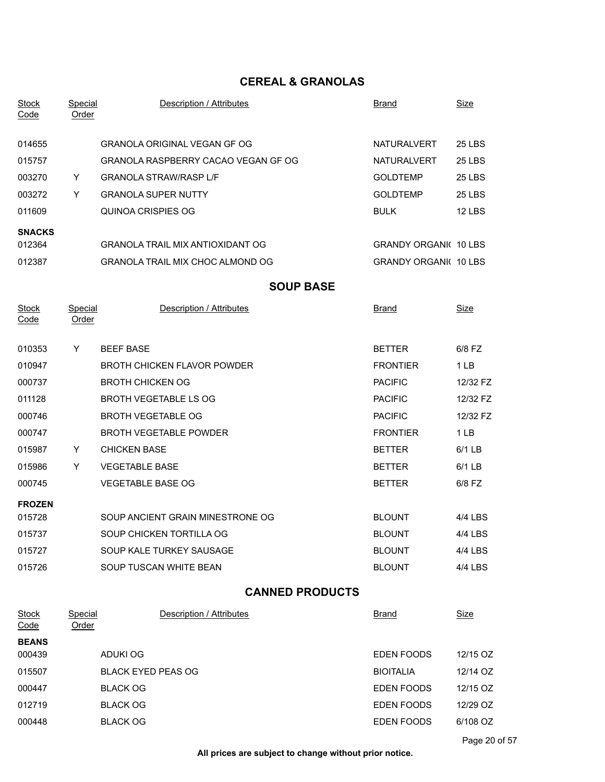## **CEREAL & GRANOLAS**

| <b>Stock</b><br>Code        | <b>Special</b><br>Order        | Description / Attributes                | <b>Brand</b>                 | <u>Size</u>     |  |  |  |
|-----------------------------|--------------------------------|-----------------------------------------|------------------------------|-----------------|--|--|--|
| 014655                      |                                | <b>GRANOLA ORIGINAL VEGAN GF OG</b>     | <b>NATURALVERT</b>           | <b>25 LBS</b>   |  |  |  |
| 015757                      |                                | GRANOLA RASPBERRY CACAO VEGAN GF OG     | <b>NATURALVERT</b>           | <b>25 LBS</b>   |  |  |  |
| 003270                      | Y                              | <b>GRANOLA STRAW/RASP L/F</b>           | <b>GOLDTEMP</b>              | <b>25 LBS</b>   |  |  |  |
| 003272                      | Y                              | <b>GRANOLA SUPER NUTTY</b>              | <b>GOLDTEMP</b>              | <b>25 LBS</b>   |  |  |  |
| 011609                      |                                | QUINOA CRISPIES OG                      | <b>BULK</b>                  | <b>12 LBS</b>   |  |  |  |
| <b>SNACKS</b>               |                                |                                         |                              |                 |  |  |  |
| 012364                      |                                | <b>GRANOLA TRAIL MIX ANTIOXIDANT OG</b> | <b>GRANDY ORGANI( 10 LBS</b> |                 |  |  |  |
| 012387                      |                                | <b>GRANOLA TRAIL MIX CHOC ALMOND OG</b> | <b>GRANDY ORGANI 10 LBS</b>  |                 |  |  |  |
|                             |                                | <b>SOUP BASE</b>                        |                              |                 |  |  |  |
| <b>Stock</b><br>Code        | <b>Special</b><br><b>Order</b> | Description / Attributes                | Brand                        | Size            |  |  |  |
| 010353                      | Y                              | <b>BEEF BASE</b>                        | <b>BETTER</b>                | 6/8 FZ          |  |  |  |
| 010947                      |                                | <b>BROTH CHICKEN FLAVOR POWDER</b>      | <b>FRONTIER</b>              | 1LB             |  |  |  |
| 000737                      |                                | <b>BROTH CHICKEN OG</b>                 | <b>PACIFIC</b>               | 12/32 FZ        |  |  |  |
| 011128                      |                                | BROTH VEGETABLE LS OG                   | <b>PACIFIC</b>               | 12/32 FZ        |  |  |  |
| 000746                      |                                | <b>BROTH VEGETABLE OG</b>               | <b>PACIFIC</b>               | 12/32 FZ        |  |  |  |
| 000747                      |                                | <b>BROTH VEGETABLE POWDER</b>           | <b>FRONTIER</b>              | 1 <sub>LB</sub> |  |  |  |
| 015987                      | Y                              | <b>CHICKEN BASE</b>                     | <b>BETTER</b>                | $6/1$ LB        |  |  |  |
| 015986                      | Y                              | <b>VEGETABLE BASE</b>                   | <b>BETTER</b>                | 6/1 LB          |  |  |  |
| 000745                      |                                | <b>VEGETABLE BASE OG</b>                | <b>BETTER</b>                | 6/8 FZ          |  |  |  |
| <b>FROZEN</b>               |                                |                                         |                              |                 |  |  |  |
| 015728                      |                                | SOUP ANCIENT GRAIN MINESTRONE OG        | <b>BLOUNT</b>                | 4/4 LBS         |  |  |  |
| 015737                      |                                | SOUP CHICKEN TORTILLA OG                | <b>BLOUNT</b>                | 4/4 LBS         |  |  |  |
| 015727                      |                                | SOUP KALE TURKEY SAUSAGE                | <b>BLOUNT</b>                | 4/4 LBS         |  |  |  |
| 015726                      |                                | SOUP TUSCAN WHITE BEAN                  | <b>BLOUNT</b>                | 4/4 LBS         |  |  |  |
|                             | <b>CANNED PRODUCTS</b>         |                                         |                              |                 |  |  |  |
| <b>Stock</b><br><u>Code</u> | <b>Special</b><br><b>Order</b> | Description / Attributes                | <b>Brand</b>                 | <u>Size</u>     |  |  |  |
| <b>BEANS</b>                |                                |                                         |                              |                 |  |  |  |
| 000439                      |                                | <b>ADUKI OG</b>                         | EDEN FOODS                   | 12/15 OZ        |  |  |  |
| 015507                      |                                | <b>BLACK EYED PEAS OG</b>               | <b>BIOITALIA</b>             | 12/14 OZ        |  |  |  |
| 000447                      |                                | <b>BLACK OG</b>                         | EDEN FOODS                   | 12/15 OZ        |  |  |  |
| 012719                      |                                | <b>BLACK OG</b>                         | EDEN FOODS                   | 12/29 OZ        |  |  |  |
| 000448                      |                                | <b>BLACK OG</b>                         | EDEN FOODS                   | 6/108 OZ        |  |  |  |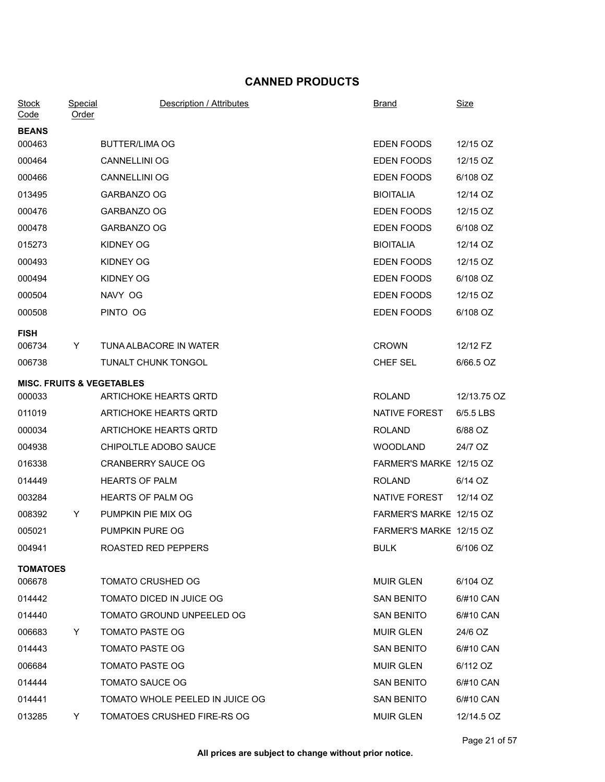## **CANNED PRODUCTS**

| <b>Stock</b><br>Code                 | <b>Special</b><br>Order | Description / Attributes        | <b>Brand</b>            | <b>Size</b> |
|--------------------------------------|-------------------------|---------------------------------|-------------------------|-------------|
| <b>BEANS</b>                         |                         |                                 |                         |             |
| 000463                               |                         | <b>BUTTER/LIMA OG</b>           | EDEN FOODS              | 12/15 OZ    |
| 000464                               |                         | <b>CANNELLINI OG</b>            | EDEN FOODS              | 12/15 OZ    |
| 000466                               |                         | <b>CANNELLINI OG</b>            | EDEN FOODS              | 6/108 OZ    |
| 013495                               |                         | GARBANZO OG                     | <b>BIOITALIA</b>        | 12/14 OZ    |
| 000476                               |                         | GARBANZO OG                     | EDEN FOODS              | 12/15 OZ    |
| 000478                               |                         | GARBANZO OG                     | EDEN FOODS              | 6/108 OZ    |
| 015273                               |                         | KIDNEY OG                       | <b>BIOITALIA</b>        | 12/14 OZ    |
| 000493                               |                         | KIDNEY OG                       | EDEN FOODS              | 12/15 OZ    |
| 000494                               |                         | KIDNEY OG                       | EDEN FOODS              | 6/108 OZ    |
| 000504                               |                         | NAVY OG                         | EDEN FOODS              | 12/15 OZ    |
| 000508                               |                         | PINTO OG                        | EDEN FOODS              | 6/108 OZ    |
| <b>FISH</b><br>006734                | Y                       | TUNA ALBACORE IN WATER          | <b>CROWN</b>            | 12/12 FZ    |
| 006738                               |                         | TUNALT CHUNK TONGOL             | CHEF SEL                | 6/66.5 OZ   |
|                                      |                         |                                 |                         |             |
| <b>MISC. FRUITS &amp; VEGETABLES</b> |                         | ARTICHOKE HEARTS QRTD           | <b>ROLAND</b>           | 12/13.75 OZ |
| 000033                               |                         |                                 |                         |             |
| 011019                               |                         | ARTICHOKE HEARTS QRTD           | NATIVE FOREST           | 6/5.5 LBS   |
| 000034                               |                         | ARTICHOKE HEARTS QRTD           | <b>ROLAND</b>           | 6/88 OZ     |
| 004938                               |                         | CHIPOLTLE ADOBO SAUCE           | <b>WOODLAND</b>         | 24/7 OZ     |
| 016338                               |                         | <b>CRANBERRY SAUCE OG</b>       | FARMER'S MARKE 12/15 OZ |             |
| 014449                               |                         | <b>HEARTS OF PALM</b>           | <b>ROLAND</b>           | 6/14 OZ     |
| 003284                               |                         | HEARTS OF PALM OG               | NATIVE FOREST           | 12/14 OZ    |
| 008392                               | Y                       | PUMPKIN PIE MIX OG              | FARMER'S MARKE 12/15 OZ |             |
| 005021                               |                         | PUMPKIN PURE OG                 | FARMER'S MARKE 12/15 OZ |             |
| 004941                               |                         | ROASTED RED PEPPERS             | <b>BULK</b>             | 6/106 OZ    |
| <b>TOMATOES</b>                      |                         |                                 |                         |             |
| 006678                               |                         | <b>TOMATO CRUSHED OG</b>        | <b>MUIR GLEN</b>        | 6/104 OZ    |
| 014442                               |                         | TOMATO DICED IN JUICE OG        | <b>SAN BENITO</b>       | 6/#10 CAN   |
| 014440                               |                         | TOMATO GROUND UNPEELED OG       | <b>SAN BENITO</b>       | 6/#10 CAN   |
| 006683                               | Y                       | <b>TOMATO PASTE OG</b>          | <b>MUIR GLEN</b>        | 24/6 OZ     |
| 014443                               |                         | <b>TOMATO PASTE OG</b>          | <b>SAN BENITO</b>       | 6/#10 CAN   |
| 006684                               |                         | <b>TOMATO PASTE OG</b>          | MUIR GLEN               | 6/112 OZ    |
| 014444                               |                         | <b>TOMATO SAUCE OG</b>          | <b>SAN BENITO</b>       | 6/#10 CAN   |
| 014441                               |                         | TOMATO WHOLE PEELED IN JUICE OG | <b>SAN BENITO</b>       | 6/#10 CAN   |
| 013285                               | Y.                      | TOMATOES CRUSHED FIRE-RS OG     | <b>MUIR GLEN</b>        | 12/14.5 OZ  |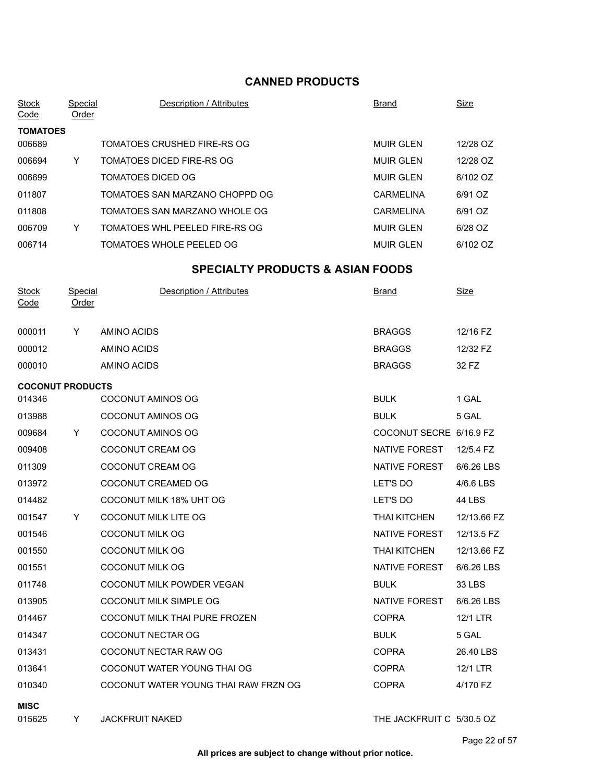## **CANNED PRODUCTS**

| <b>TOMATOES</b><br>006689<br>TOMATOES CRUSHED FIRE-RS OG<br><b>MUIR GLEN</b><br>12/28 OZ<br>TOMATOES DICED FIRE-RS OG<br>12/28 OZ<br>006694<br>Y<br><b>MUIR GLEN</b><br><b>TOMATOES DICED OG</b><br>6/102 OZ<br>006699<br><b>MUIR GLEN</b><br>011807<br>TOMATOES SAN MARZANO CHOPPD OG<br><b>CARMELINA</b><br>6/91 OZ<br>011808<br>TOMATOES SAN MARZANO WHOLE OG<br><b>CARMELINA</b><br>6/91 OZ<br>TOMATOES WHL PEELED FIRE-RS OG<br><b>MUIR GLEN</b><br>6/28 OZ<br>006709<br>Y<br>TOMATOES WHOLE PEELED OG<br>006714<br><b>MUIR GLEN</b><br>6/102 OZ<br><b>SPECIALTY PRODUCTS &amp; ASIAN FOODS</b><br>Description / Attributes<br>Special<br>Size<br><b>Stock</b><br>Brand<br>Code<br><u>Order</u><br><b>BRAGGS</b><br>12/16 FZ<br>000011<br>AMINO ACIDS<br>Y<br><b>BRAGGS</b><br>000012<br>AMINO ACIDS<br>12/32 FZ<br><b>BRAGGS</b><br>000010<br>AMINO ACIDS<br>32 FZ<br><b>COCONUT PRODUCTS</b><br>1 GAL<br>014346<br>COCONUT AMINOS OG<br><b>BULK</b><br><b>COCONUT AMINOS OG</b><br><b>BULK</b><br>013988<br>5 GAL<br><b>COCONUT AMINOS OG</b><br>COCONUT SECRE 6/16.9 FZ<br>009684<br>Y<br>COCONUT CREAM OG<br><b>NATIVE FOREST</b><br>009408<br>12/5.4 FZ<br>COCONUT CREAM OG<br>NATIVE FOREST<br>011309<br>6/6.26 LBS<br>COCONUT CREAMED OG<br>LET'S DO<br>013972<br>4/6.6 LBS<br>COCONUT MILK 18% UHT OG<br>LET'S DO<br>014482<br>44 LBS<br>001547<br><b>COCONUT MILK LITE OG</b><br><b>THAI KITCHEN</b><br>12/13.66 FZ<br>Y<br>COCONUT MILK OG<br>12/13.5 FZ<br>001546<br>NATIVE FOREST<br>001550<br>COCONUT MILK OG<br>THAI KITCHEN<br>12/13.66 FZ<br>001551<br><b>COCONUT MILK OG</b><br>NATIVE FOREST<br>6/6.26 LBS<br>011748<br>COCONUT MILK POWDER VEGAN<br><b>BULK</b><br>33 LBS<br>013905<br>COCONUT MILK SIMPLE OG<br>NATIVE FOREST<br>6/6.26 LBS<br><b>COPRA</b><br>014467<br>COCONUT MILK THAI PURE FROZEN<br>12/1 LTR<br><b>BULK</b><br>014347<br>COCONUT NECTAR OG<br>5 GAL<br>COCONUT NECTAR RAW OG<br>013431<br><b>COPRA</b><br>26.40 LBS<br>013641<br>COCONUT WATER YOUNG THAI OG<br><b>COPRA</b><br>12/1 LTR<br>010340<br>COCONUT WATER YOUNG THAI RAW FRZN OG<br><b>COPRA</b><br>4/170 FZ<br><b>MISC</b> | <b>Stock</b><br>Code | Special<br>Order | Description / Attributes | <b>Brand</b> | <b>Size</b> |
|--------------------------------------------------------------------------------------------------------------------------------------------------------------------------------------------------------------------------------------------------------------------------------------------------------------------------------------------------------------------------------------------------------------------------------------------------------------------------------------------------------------------------------------------------------------------------------------------------------------------------------------------------------------------------------------------------------------------------------------------------------------------------------------------------------------------------------------------------------------------------------------------------------------------------------------------------------------------------------------------------------------------------------------------------------------------------------------------------------------------------------------------------------------------------------------------------------------------------------------------------------------------------------------------------------------------------------------------------------------------------------------------------------------------------------------------------------------------------------------------------------------------------------------------------------------------------------------------------------------------------------------------------------------------------------------------------------------------------------------------------------------------------------------------------------------------------------------------------------------------------------------------------------------------------------------------------------------------------------------------------------------------------------------------------------------------------------------------------------------------------------------|----------------------|------------------|--------------------------|--------------|-------------|
|                                                                                                                                                                                                                                                                                                                                                                                                                                                                                                                                                                                                                                                                                                                                                                                                                                                                                                                                                                                                                                                                                                                                                                                                                                                                                                                                                                                                                                                                                                                                                                                                                                                                                                                                                                                                                                                                                                                                                                                                                                                                                                                                      |                      |                  |                          |              |             |
|                                                                                                                                                                                                                                                                                                                                                                                                                                                                                                                                                                                                                                                                                                                                                                                                                                                                                                                                                                                                                                                                                                                                                                                                                                                                                                                                                                                                                                                                                                                                                                                                                                                                                                                                                                                                                                                                                                                                                                                                                                                                                                                                      |                      |                  |                          |              |             |
|                                                                                                                                                                                                                                                                                                                                                                                                                                                                                                                                                                                                                                                                                                                                                                                                                                                                                                                                                                                                                                                                                                                                                                                                                                                                                                                                                                                                                                                                                                                                                                                                                                                                                                                                                                                                                                                                                                                                                                                                                                                                                                                                      |                      |                  |                          |              |             |
|                                                                                                                                                                                                                                                                                                                                                                                                                                                                                                                                                                                                                                                                                                                                                                                                                                                                                                                                                                                                                                                                                                                                                                                                                                                                                                                                                                                                                                                                                                                                                                                                                                                                                                                                                                                                                                                                                                                                                                                                                                                                                                                                      |                      |                  |                          |              |             |
|                                                                                                                                                                                                                                                                                                                                                                                                                                                                                                                                                                                                                                                                                                                                                                                                                                                                                                                                                                                                                                                                                                                                                                                                                                                                                                                                                                                                                                                                                                                                                                                                                                                                                                                                                                                                                                                                                                                                                                                                                                                                                                                                      |                      |                  |                          |              |             |
|                                                                                                                                                                                                                                                                                                                                                                                                                                                                                                                                                                                                                                                                                                                                                                                                                                                                                                                                                                                                                                                                                                                                                                                                                                                                                                                                                                                                                                                                                                                                                                                                                                                                                                                                                                                                                                                                                                                                                                                                                                                                                                                                      |                      |                  |                          |              |             |
|                                                                                                                                                                                                                                                                                                                                                                                                                                                                                                                                                                                                                                                                                                                                                                                                                                                                                                                                                                                                                                                                                                                                                                                                                                                                                                                                                                                                                                                                                                                                                                                                                                                                                                                                                                                                                                                                                                                                                                                                                                                                                                                                      |                      |                  |                          |              |             |
|                                                                                                                                                                                                                                                                                                                                                                                                                                                                                                                                                                                                                                                                                                                                                                                                                                                                                                                                                                                                                                                                                                                                                                                                                                                                                                                                                                                                                                                                                                                                                                                                                                                                                                                                                                                                                                                                                                                                                                                                                                                                                                                                      |                      |                  |                          |              |             |
|                                                                                                                                                                                                                                                                                                                                                                                                                                                                                                                                                                                                                                                                                                                                                                                                                                                                                                                                                                                                                                                                                                                                                                                                                                                                                                                                                                                                                                                                                                                                                                                                                                                                                                                                                                                                                                                                                                                                                                                                                                                                                                                                      |                      |                  |                          |              |             |
|                                                                                                                                                                                                                                                                                                                                                                                                                                                                                                                                                                                                                                                                                                                                                                                                                                                                                                                                                                                                                                                                                                                                                                                                                                                                                                                                                                                                                                                                                                                                                                                                                                                                                                                                                                                                                                                                                                                                                                                                                                                                                                                                      |                      |                  |                          |              |             |
|                                                                                                                                                                                                                                                                                                                                                                                                                                                                                                                                                                                                                                                                                                                                                                                                                                                                                                                                                                                                                                                                                                                                                                                                                                                                                                                                                                                                                                                                                                                                                                                                                                                                                                                                                                                                                                                                                                                                                                                                                                                                                                                                      |                      |                  |                          |              |             |
|                                                                                                                                                                                                                                                                                                                                                                                                                                                                                                                                                                                                                                                                                                                                                                                                                                                                                                                                                                                                                                                                                                                                                                                                                                                                                                                                                                                                                                                                                                                                                                                                                                                                                                                                                                                                                                                                                                                                                                                                                                                                                                                                      |                      |                  |                          |              |             |
|                                                                                                                                                                                                                                                                                                                                                                                                                                                                                                                                                                                                                                                                                                                                                                                                                                                                                                                                                                                                                                                                                                                                                                                                                                                                                                                                                                                                                                                                                                                                                                                                                                                                                                                                                                                                                                                                                                                                                                                                                                                                                                                                      |                      |                  |                          |              |             |
|                                                                                                                                                                                                                                                                                                                                                                                                                                                                                                                                                                                                                                                                                                                                                                                                                                                                                                                                                                                                                                                                                                                                                                                                                                                                                                                                                                                                                                                                                                                                                                                                                                                                                                                                                                                                                                                                                                                                                                                                                                                                                                                                      |                      |                  |                          |              |             |
|                                                                                                                                                                                                                                                                                                                                                                                                                                                                                                                                                                                                                                                                                                                                                                                                                                                                                                                                                                                                                                                                                                                                                                                                                                                                                                                                                                                                                                                                                                                                                                                                                                                                                                                                                                                                                                                                                                                                                                                                                                                                                                                                      |                      |                  |                          |              |             |
|                                                                                                                                                                                                                                                                                                                                                                                                                                                                                                                                                                                                                                                                                                                                                                                                                                                                                                                                                                                                                                                                                                                                                                                                                                                                                                                                                                                                                                                                                                                                                                                                                                                                                                                                                                                                                                                                                                                                                                                                                                                                                                                                      |                      |                  |                          |              |             |
|                                                                                                                                                                                                                                                                                                                                                                                                                                                                                                                                                                                                                                                                                                                                                                                                                                                                                                                                                                                                                                                                                                                                                                                                                                                                                                                                                                                                                                                                                                                                                                                                                                                                                                                                                                                                                                                                                                                                                                                                                                                                                                                                      |                      |                  |                          |              |             |
|                                                                                                                                                                                                                                                                                                                                                                                                                                                                                                                                                                                                                                                                                                                                                                                                                                                                                                                                                                                                                                                                                                                                                                                                                                                                                                                                                                                                                                                                                                                                                                                                                                                                                                                                                                                                                                                                                                                                                                                                                                                                                                                                      |                      |                  |                          |              |             |
|                                                                                                                                                                                                                                                                                                                                                                                                                                                                                                                                                                                                                                                                                                                                                                                                                                                                                                                                                                                                                                                                                                                                                                                                                                                                                                                                                                                                                                                                                                                                                                                                                                                                                                                                                                                                                                                                                                                                                                                                                                                                                                                                      |                      |                  |                          |              |             |
|                                                                                                                                                                                                                                                                                                                                                                                                                                                                                                                                                                                                                                                                                                                                                                                                                                                                                                                                                                                                                                                                                                                                                                                                                                                                                                                                                                                                                                                                                                                                                                                                                                                                                                                                                                                                                                                                                                                                                                                                                                                                                                                                      |                      |                  |                          |              |             |
|                                                                                                                                                                                                                                                                                                                                                                                                                                                                                                                                                                                                                                                                                                                                                                                                                                                                                                                                                                                                                                                                                                                                                                                                                                                                                                                                                                                                                                                                                                                                                                                                                                                                                                                                                                                                                                                                                                                                                                                                                                                                                                                                      |                      |                  |                          |              |             |
|                                                                                                                                                                                                                                                                                                                                                                                                                                                                                                                                                                                                                                                                                                                                                                                                                                                                                                                                                                                                                                                                                                                                                                                                                                                                                                                                                                                                                                                                                                                                                                                                                                                                                                                                                                                                                                                                                                                                                                                                                                                                                                                                      |                      |                  |                          |              |             |
|                                                                                                                                                                                                                                                                                                                                                                                                                                                                                                                                                                                                                                                                                                                                                                                                                                                                                                                                                                                                                                                                                                                                                                                                                                                                                                                                                                                                                                                                                                                                                                                                                                                                                                                                                                                                                                                                                                                                                                                                                                                                                                                                      |                      |                  |                          |              |             |
|                                                                                                                                                                                                                                                                                                                                                                                                                                                                                                                                                                                                                                                                                                                                                                                                                                                                                                                                                                                                                                                                                                                                                                                                                                                                                                                                                                                                                                                                                                                                                                                                                                                                                                                                                                                                                                                                                                                                                                                                                                                                                                                                      |                      |                  |                          |              |             |
|                                                                                                                                                                                                                                                                                                                                                                                                                                                                                                                                                                                                                                                                                                                                                                                                                                                                                                                                                                                                                                                                                                                                                                                                                                                                                                                                                                                                                                                                                                                                                                                                                                                                                                                                                                                                                                                                                                                                                                                                                                                                                                                                      |                      |                  |                          |              |             |
|                                                                                                                                                                                                                                                                                                                                                                                                                                                                                                                                                                                                                                                                                                                                                                                                                                                                                                                                                                                                                                                                                                                                                                                                                                                                                                                                                                                                                                                                                                                                                                                                                                                                                                                                                                                                                                                                                                                                                                                                                                                                                                                                      |                      |                  |                          |              |             |
|                                                                                                                                                                                                                                                                                                                                                                                                                                                                                                                                                                                                                                                                                                                                                                                                                                                                                                                                                                                                                                                                                                                                                                                                                                                                                                                                                                                                                                                                                                                                                                                                                                                                                                                                                                                                                                                                                                                                                                                                                                                                                                                                      |                      |                  |                          |              |             |
|                                                                                                                                                                                                                                                                                                                                                                                                                                                                                                                                                                                                                                                                                                                                                                                                                                                                                                                                                                                                                                                                                                                                                                                                                                                                                                                                                                                                                                                                                                                                                                                                                                                                                                                                                                                                                                                                                                                                                                                                                                                                                                                                      |                      |                  |                          |              |             |
|                                                                                                                                                                                                                                                                                                                                                                                                                                                                                                                                                                                                                                                                                                                                                                                                                                                                                                                                                                                                                                                                                                                                                                                                                                                                                                                                                                                                                                                                                                                                                                                                                                                                                                                                                                                                                                                                                                                                                                                                                                                                                                                                      |                      |                  |                          |              |             |
|                                                                                                                                                                                                                                                                                                                                                                                                                                                                                                                                                                                                                                                                                                                                                                                                                                                                                                                                                                                                                                                                                                                                                                                                                                                                                                                                                                                                                                                                                                                                                                                                                                                                                                                                                                                                                                                                                                                                                                                                                                                                                                                                      |                      |                  |                          |              |             |
|                                                                                                                                                                                                                                                                                                                                                                                                                                                                                                                                                                                                                                                                                                                                                                                                                                                                                                                                                                                                                                                                                                                                                                                                                                                                                                                                                                                                                                                                                                                                                                                                                                                                                                                                                                                                                                                                                                                                                                                                                                                                                                                                      |                      |                  |                          |              |             |
|                                                                                                                                                                                                                                                                                                                                                                                                                                                                                                                                                                                                                                                                                                                                                                                                                                                                                                                                                                                                                                                                                                                                                                                                                                                                                                                                                                                                                                                                                                                                                                                                                                                                                                                                                                                                                                                                                                                                                                                                                                                                                                                                      |                      |                  |                          |              |             |
| THE JACKFRUIT C 5/30.5 OZ<br>015625<br>JACKFRUIT NAKED<br>Y.                                                                                                                                                                                                                                                                                                                                                                                                                                                                                                                                                                                                                                                                                                                                                                                                                                                                                                                                                                                                                                                                                                                                                                                                                                                                                                                                                                                                                                                                                                                                                                                                                                                                                                                                                                                                                                                                                                                                                                                                                                                                         |                      |                  |                          |              |             |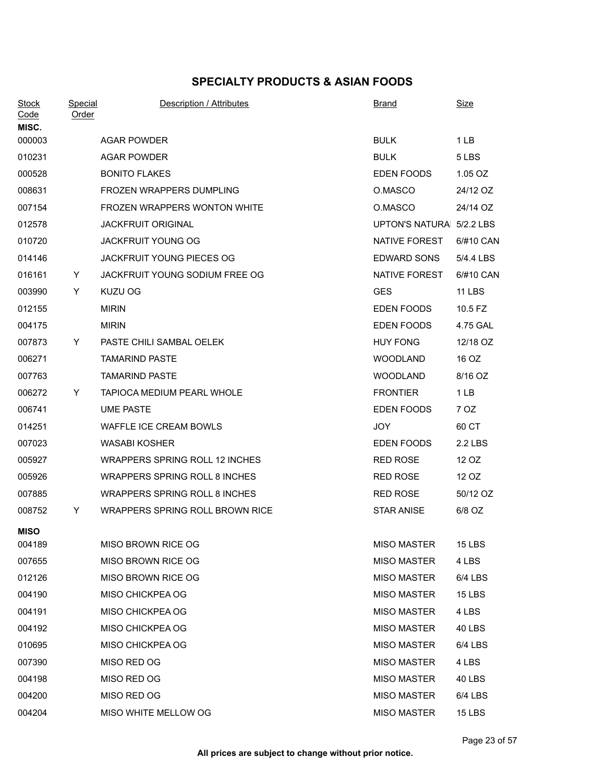## **SPECIALTY PRODUCTS & ASIAN FOODS**

| <b>Stock</b><br>Code<br>MISC. | <b>Special</b><br>Order | Description / Attributes             | <b>Brand</b>             | <u>Size</u>   |
|-------------------------------|-------------------------|--------------------------------------|--------------------------|---------------|
| 000003                        |                         | <b>AGAR POWDER</b>                   | <b>BULK</b>              | 1LB           |
| 010231                        |                         | <b>AGAR POWDER</b>                   | <b>BULK</b>              | 5 LBS         |
| 000528                        |                         | <b>BONITO FLAKES</b>                 | EDEN FOODS               | 1.05 OZ       |
| 008631                        |                         | <b>FROZEN WRAPPERS DUMPLING</b>      | O.MASCO                  | 24/12 OZ      |
| 007154                        |                         | FROZEN WRAPPERS WONTON WHITE         | O.MASCO                  | 24/14 OZ      |
| 012578                        |                         | <b>JACKFRUIT ORIGINAL</b>            | UPTON'S NATURA 5/2.2 LBS |               |
| 010720                        |                         | <b>JACKFRUIT YOUNG OG</b>            | NATIVE FOREST            | 6/#10 CAN     |
| 014146                        |                         | <b>JACKFRUIT YOUNG PIECES OG</b>     | <b>EDWARD SONS</b>       | 5/4.4 LBS     |
| 016161                        | Y                       | JACKFRUIT YOUNG SODIUM FREE OG       | NATIVE FOREST            | 6/#10 CAN     |
| 003990                        | Y                       | KUZU OG                              | <b>GES</b>               | <b>11 LBS</b> |
| 012155                        |                         | <b>MIRIN</b>                         | EDEN FOODS               | 10.5 FZ       |
| 004175                        |                         | <b>MIRIN</b>                         | EDEN FOODS               | 4.75 GAL      |
| 007873                        | Y.                      | PASTE CHILI SAMBAL OELEK             | <b>HUY FONG</b>          | 12/18 OZ      |
| 006271                        |                         | <b>TAMARIND PASTE</b>                | <b>WOODLAND</b>          | 16 OZ         |
| 007763                        |                         | <b>TAMARIND PASTE</b>                | <b>WOODLAND</b>          | 8/16 OZ       |
| 006272                        | Y                       | <b>TAPIOCA MEDIUM PEARL WHOLE</b>    | <b>FRONTIER</b>          | 1LB           |
| 006741                        |                         | <b>UME PASTE</b>                     | EDEN FOODS               | 7 OZ          |
| 014251                        |                         | WAFFLE ICE CREAM BOWLS               | JOY                      | 60 CT         |
| 007023                        |                         | <b>WASABI KOSHER</b>                 | EDEN FOODS               | 2.2 LBS       |
| 005927                        |                         | WRAPPERS SPRING ROLL 12 INCHES       | <b>RED ROSE</b>          | 12 OZ         |
| 005926                        |                         | <b>WRAPPERS SPRING ROLL 8 INCHES</b> | <b>RED ROSE</b>          | 12 OZ         |
| 007885                        |                         | <b>WRAPPERS SPRING ROLL 8 INCHES</b> | <b>RED ROSE</b>          | 50/12 OZ      |
| 008752                        | Y                       | WRAPPERS SPRING ROLL BROWN RICE      | <b>STAR ANISE</b>        | 6/8 OZ        |
| <b>MISO</b>                   |                         |                                      |                          |               |
| 004189                        |                         | MISO BROWN RICE OG                   | <b>MISO MASTER</b>       | 15 LBS        |
| 007655                        |                         | MISO BROWN RICE OG                   | <b>MISO MASTER</b>       | 4 LBS         |
| 012126                        |                         | MISO BROWN RICE OG                   | <b>MISO MASTER</b>       | 6/4 LBS       |
| 004190                        |                         | MISO CHICKPEA OG                     | <b>MISO MASTER</b>       | <b>15 LBS</b> |
| 004191                        |                         | MISO CHICKPEA OG                     | <b>MISO MASTER</b>       | 4 LBS         |
| 004192                        |                         | MISO CHICKPEA OG                     | <b>MISO MASTER</b>       | 40 LBS        |
| 010695                        |                         | MISO CHICKPEA OG                     | <b>MISO MASTER</b>       | 6/4 LBS       |
| 007390                        |                         | MISO RED OG                          | <b>MISO MASTER</b>       | 4 LBS         |
| 004198                        |                         | MISO RED OG                          | <b>MISO MASTER</b>       | 40 LBS        |
| 004200                        |                         | MISO RED OG                          | <b>MISO MASTER</b>       | 6/4 LBS       |
| 004204                        |                         | MISO WHITE MELLOW OG                 | <b>MISO MASTER</b>       | <b>15 LBS</b> |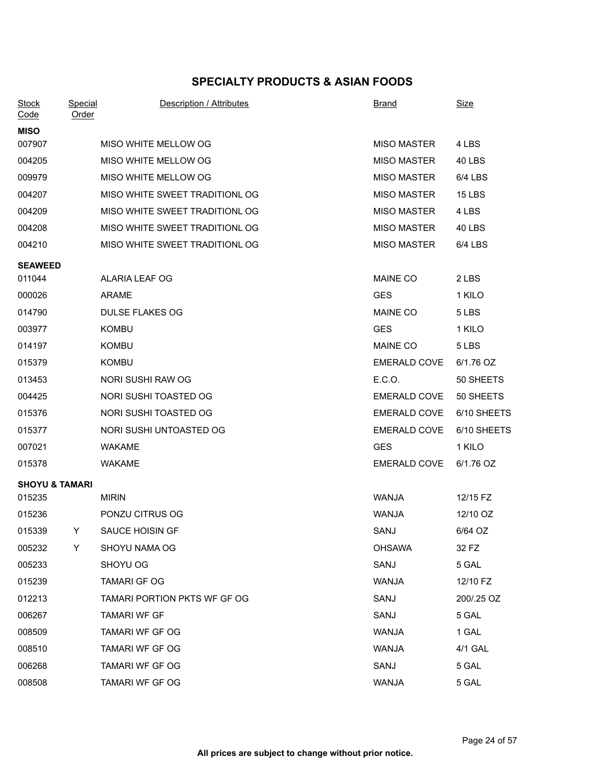## **SPECIALTY PRODUCTS & ASIAN FOODS**

| <b>Stock</b><br>Code      | <b>Special</b><br>Order | Description / Attributes       | <b>Brand</b>        | <u>Size</u>   |
|---------------------------|-------------------------|--------------------------------|---------------------|---------------|
| <b>MISO</b>               |                         |                                |                     |               |
| 007907                    |                         | MISO WHITE MELLOW OG           | <b>MISO MASTER</b>  | 4 LBS         |
| 004205                    |                         | MISO WHITE MELLOW OG           | <b>MISO MASTER</b>  | 40 LBS        |
| 009979                    |                         | MISO WHITE MELLOW OG           | <b>MISO MASTER</b>  | 6/4 LBS       |
| 004207                    |                         | MISO WHITE SWEET TRADITIONL OG | <b>MISO MASTER</b>  | <b>15 LBS</b> |
| 004209                    |                         | MISO WHITE SWEET TRADITIONL OG | <b>MISO MASTER</b>  | 4 LBS         |
| 004208                    |                         | MISO WHITE SWEET TRADITIONL OG | <b>MISO MASTER</b>  | 40 LBS        |
| 004210                    |                         | MISO WHITE SWEET TRADITIONL OG | <b>MISO MASTER</b>  | 6/4 LBS       |
| <b>SEAWEED</b>            |                         |                                |                     |               |
| 011044                    |                         | ALARIA LEAF OG                 | <b>MAINE CO</b>     | 2 LBS         |
| 000026                    |                         | <b>ARAME</b>                   | <b>GES</b>          | 1 KILO        |
| 014790                    |                         | <b>DULSE FLAKES OG</b>         | <b>MAINE CO</b>     | 5 LBS         |
| 003977                    |                         | <b>KOMBU</b>                   | <b>GES</b>          | 1 KILO        |
| 014197                    |                         | <b>KOMBU</b>                   | <b>MAINE CO</b>     | 5 LBS         |
| 015379                    |                         | <b>KOMBU</b>                   | <b>EMERALD COVE</b> | 6/1.76 OZ     |
| 013453                    |                         | NORI SUSHI RAW OG              | E.C.O.              | 50 SHEETS     |
| 004425                    |                         | NORI SUSHI TOASTED OG          | <b>EMERALD COVE</b> | 50 SHEETS     |
| 015376                    |                         | NORI SUSHI TOASTED OG          | <b>EMERALD COVE</b> | 6/10 SHEETS   |
| 015377                    |                         | NORI SUSHI UNTOASTED OG        | <b>EMERALD COVE</b> | 6/10 SHEETS   |
| 007021                    |                         | <b>WAKAME</b>                  | <b>GES</b>          | 1 KILO        |
| 015378                    |                         | <b>WAKAME</b>                  | <b>EMERALD COVE</b> | 6/1.76 OZ     |
| <b>SHOYU &amp; TAMARI</b> |                         |                                |                     |               |
| 015235                    |                         | <b>MIRIN</b>                   | WANJA               | 12/15 FZ      |
| 015236                    |                         | PONZU CITRUS OG                | <b>WANJA</b>        | 12/10 OZ      |
| 015339                    | Y                       | <b>SAUCE HOISIN GF</b>         | SANJ                | 6/64 OZ       |
| 005232                    | Y                       | SHOYU NAMA OG                  | <b>OHSAWA</b>       | 32 FZ         |
| 005233                    |                         | SHOYU OG                       | SANJ                | 5 GAL         |
| 015239                    |                         | <b>TAMARI GF OG</b>            | WANJA               | 12/10 FZ      |
| 012213                    |                         | TAMARI PORTION PKTS WF GF OG   | SANJ                | 200/.25 OZ    |
| 006267                    |                         | <b>TAMARI WF GF</b>            | SANJ                | 5 GAL         |
| 008509                    |                         | TAMARI WF GF OG                | WANJA               | 1 GAL         |
| 008510                    |                         | <b>TAMARI WF GF OG</b>         | WANJA               | 4/1 GAL       |
| 006268                    |                         | TAMARI WF GF OG                | SANJ                | 5 GAL         |
| 008508                    |                         | TAMARI WF GF OG                | WANJA               | 5 GAL         |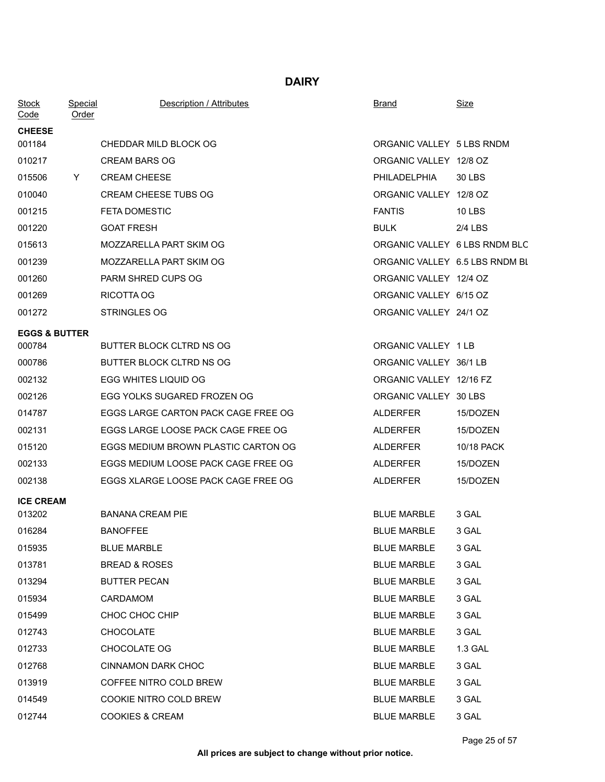## **DAIRY**

| <b>Stock</b><br>Code     | Special<br>Order | Description / Attributes            | Brand                          | <u>Size</u> |
|--------------------------|------------------|-------------------------------------|--------------------------------|-------------|
| <b>CHEESE</b>            |                  |                                     |                                |             |
| 001184                   |                  | CHEDDAR MILD BLOCK OG               | ORGANIC VALLEY 5 LBS RNDM      |             |
| 010217                   |                  | <b>CREAM BARS OG</b>                | ORGANIC VALLEY 12/8 OZ         |             |
| 015506                   | Y                | <b>CREAM CHEESE</b>                 | PHILADELPHIA                   | 30 LBS      |
| 010040                   |                  | <b>CREAM CHEESE TUBS OG</b>         | ORGANIC VALLEY 12/8 OZ         |             |
| 001215                   |                  | <b>FETA DOMESTIC</b>                | <b>FANTIS</b>                  | 10 LBS      |
| 001220                   |                  | <b>GOAT FRESH</b>                   | BULK                           | $2/4$ LBS   |
| 015613                   |                  | MOZZARELLA PART SKIM OG             | ORGANIC VALLEY 6 LBS RNDM BLC  |             |
| 001239                   |                  | MOZZARELLA PART SKIM OG             | ORGANIC VALLEY 6.5 LBS RNDM BL |             |
| 001260                   |                  | PARM SHRED CUPS OG                  | ORGANIC VALLEY 12/4 OZ         |             |
| 001269                   |                  | RICOTTA OG                          | ORGANIC VALLEY 6/15 OZ         |             |
| 001272                   |                  | <b>STRINGLES OG</b>                 | ORGANIC VALLEY 24/1 OZ         |             |
| <b>EGGS &amp; BUTTER</b> |                  |                                     |                                |             |
| 000784                   |                  | <b>BUTTER BLOCK CLTRD NS OG</b>     | ORGANIC VALLEY 1 LB            |             |
| 000786                   |                  | BUTTER BLOCK CLTRD NS OG            | ORGANIC VALLEY 36/1 LB         |             |
| 002132                   |                  | EGG WHITES LIQUID OG                | ORGANIC VALLEY 12/16 FZ        |             |
| 002126                   |                  | EGG YOLKS SUGARED FROZEN OG         | ORGANIC VALLEY 30 LBS          |             |
| 014787                   |                  | EGGS LARGE CARTON PACK CAGE FREE OG | ALDERFER                       | 15/DOZEN    |
| 002131                   |                  | EGGS LARGE LOOSE PACK CAGE FREE OG  | ALDERFER                       | 15/DOZEN    |
| 015120                   |                  | EGGS MEDIUM BROWN PLASTIC CARTON OG | <b>ALDERFER</b>                | 10/18 PACK  |
| 002133                   |                  | EGGS MEDIUM LOOSE PACK CAGE FREE OG | ALDERFER                       | 15/DOZEN    |
| 002138                   |                  | EGGS XLARGE LOOSE PACK CAGE FREE OG | <b>ALDERFER</b>                | 15/DOZEN    |
| <b>ICE CREAM</b>         |                  |                                     |                                |             |
| 013202                   |                  | <b>BANANA CREAM PIE</b>             | <b>BLUE MARBLE</b>             | 3 GAL       |
| 016284                   |                  | <b>BANOFFEE</b>                     | <b>BLUE MARBLE</b>             | 3 GAL       |
| 015935                   |                  | <b>BLUE MARBLE</b>                  | <b>BLUE MARBLE</b>             | 3 GAL       |
| 013781                   |                  | <b>BREAD &amp; ROSES</b>            | <b>BLUE MARBLE</b>             | 3 GAL       |
| 013294                   |                  | <b>BUTTER PECAN</b>                 | <b>BLUE MARBLE</b>             | 3 GAL       |
| 015934                   |                  | CARDAMOM                            | <b>BLUE MARBLE</b>             | 3 GAL       |
| 015499                   |                  | CHOC CHOC CHIP                      | <b>BLUE MARBLE</b>             | 3 GAL       |
| 012743                   |                  | <b>CHOCOLATE</b>                    | <b>BLUE MARBLE</b>             | 3 GAL       |
| 012733                   |                  | CHOCOLATE OG                        | <b>BLUE MARBLE</b>             | 1.3 GAL     |
| 012768                   |                  | <b>CINNAMON DARK CHOC</b>           | <b>BLUE MARBLE</b>             | 3 GAL       |
| 013919                   |                  | COFFEE NITRO COLD BREW              | <b>BLUE MARBLE</b>             | 3 GAL       |
| 014549                   |                  | COOKIE NITRO COLD BREW              | <b>BLUE MARBLE</b>             | 3 GAL       |
| 012744                   |                  | <b>COOKIES &amp; CREAM</b>          | <b>BLUE MARBLE</b>             | 3 GAL       |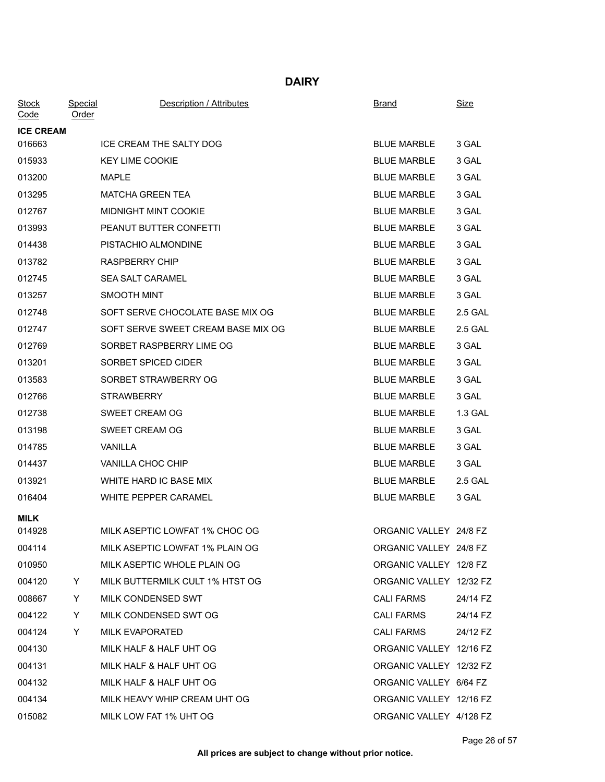### **DAIRY**

| <b>Stock</b><br>Code | <b>Special</b><br><b>Order</b> | Description / Attributes           | <b>Brand</b>            | <u>Size</u> |
|----------------------|--------------------------------|------------------------------------|-------------------------|-------------|
| <b>ICE CREAM</b>     |                                |                                    |                         |             |
| 016663               |                                | ICE CREAM THE SALTY DOG            | <b>BLUE MARBLE</b>      | 3 GAL       |
| 015933               |                                | <b>KEY LIME COOKIE</b>             | <b>BLUE MARBLE</b>      | 3 GAL       |
| 013200               |                                | MAPLE                              | <b>BLUE MARBLE</b>      | 3 GAL       |
| 013295               |                                | <b>MATCHA GREEN TEA</b>            | <b>BLUE MARBLE</b>      | 3 GAL       |
| 012767               |                                | <b>MIDNIGHT MINT COOKIE</b>        | <b>BLUE MARBLE</b>      | 3 GAL       |
| 013993               |                                | PEANUT BUTTER CONFETTI             | <b>BLUE MARBLE</b>      | 3 GAL       |
| 014438               |                                | PISTACHIO ALMONDINE                | <b>BLUE MARBLE</b>      | 3 GAL       |
| 013782               |                                | <b>RASPBERRY CHIP</b>              | <b>BLUE MARBLE</b>      | 3 GAL       |
| 012745               |                                | <b>SEA SALT CARAMEL</b>            | <b>BLUE MARBLE</b>      | 3 GAL       |
| 013257               |                                | <b>SMOOTH MINT</b>                 | <b>BLUE MARBLE</b>      | 3 GAL       |
| 012748               |                                | SOFT SERVE CHOCOLATE BASE MIX OG   | <b>BLUE MARBLE</b>      | 2.5 GAL     |
| 012747               |                                | SOFT SERVE SWEET CREAM BASE MIX OG | <b>BLUE MARBLE</b>      | 2.5 GAL     |
| 012769               |                                | SORBET RASPBERRY LIME OG           | <b>BLUE MARBLE</b>      | 3 GAL       |
| 013201               |                                | SORBET SPICED CIDER                | <b>BLUE MARBLE</b>      | 3 GAL       |
| 013583               |                                | SORBET STRAWBERRY OG               | <b>BLUE MARBLE</b>      | 3 GAL       |
| 012766               |                                | <b>STRAWBERRY</b>                  | <b>BLUE MARBLE</b>      | 3 GAL       |
| 012738               |                                | SWEET CREAM OG                     | <b>BLUE MARBLE</b>      | 1.3 GAL     |
| 013198               |                                | SWEET CREAM OG                     | <b>BLUE MARBLE</b>      | 3 GAL       |
| 014785               |                                | VANILLA                            | <b>BLUE MARBLE</b>      | 3 GAL       |
| 014437               |                                | VANILLA CHOC CHIP                  | <b>BLUE MARBLE</b>      | 3 GAL       |
| 013921               |                                | WHITE HARD IC BASE MIX             | <b>BLUE MARBLE</b>      | 2.5 GAL     |
| 016404               |                                | WHITE PEPPER CARAMEL               | <b>BLUE MARBLE</b>      | 3 GAL       |
| <b>MILK</b>          |                                |                                    |                         |             |
| 014928               |                                | MILK ASEPTIC LOWFAT 1% CHOC OG     | ORGANIC VALLEY 24/8 FZ  |             |
| 004114               |                                | MILK ASEPTIC LOWFAT 1% PLAIN OG    | ORGANIC VALLEY 24/8 FZ  |             |
| 010950               |                                | MILK ASEPTIC WHOLE PLAIN OG        | ORGANIC VALLEY 12/8 FZ  |             |
| 004120               | Y                              | MILK BUTTERMILK CULT 1% HTST OG    | ORGANIC VALLEY 12/32 FZ |             |
| 008667               | Y                              | MILK CONDENSED SWT                 | <b>CALI FARMS</b>       | 24/14 FZ    |
| 004122               | Y                              | MILK CONDENSED SWT OG              | <b>CALI FARMS</b>       | 24/14 FZ    |
| 004124               | Y                              | <b>MILK EVAPORATED</b>             | <b>CALI FARMS</b>       | 24/12 FZ    |
| 004130               |                                | MILK HALF & HALF UHT OG            | ORGANIC VALLEY 12/16 FZ |             |
| 004131               |                                | MILK HALF & HALF UHT OG            | ORGANIC VALLEY 12/32 FZ |             |
| 004132               |                                | MILK HALF & HALF UHT OG            | ORGANIC VALLEY 6/64 FZ  |             |
| 004134               |                                | MILK HEAVY WHIP CREAM UHT OG       | ORGANIC VALLEY 12/16 FZ |             |
| 015082               |                                | MILK LOW FAT 1% UHT OG             | ORGANIC VALLEY 4/128 FZ |             |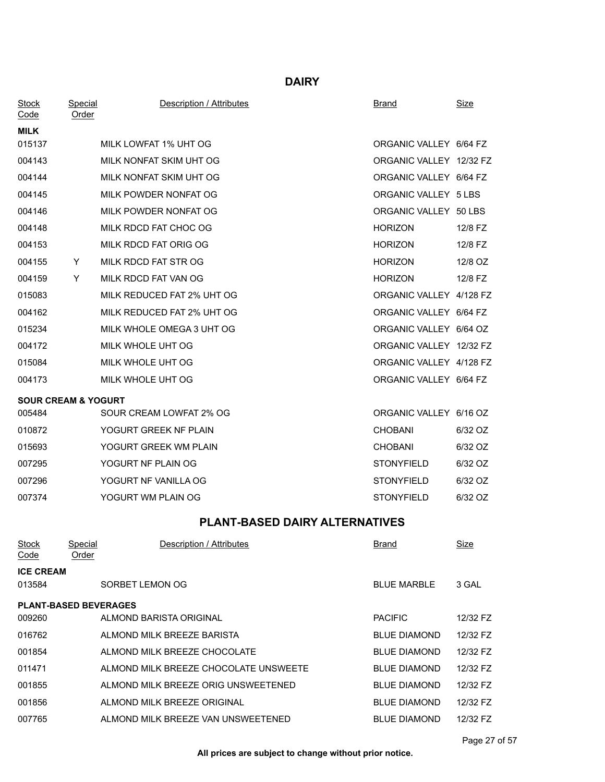### **DAIRY**

| <b>Stock</b><br><u>Code</u>    | <b>Special</b><br><u>Order</u> | Description / Attributes              | <b>Brand</b>            | <b>Size</b> |
|--------------------------------|--------------------------------|---------------------------------------|-------------------------|-------------|
| MILK                           |                                |                                       |                         |             |
| 015137                         |                                | MILK LOWFAT 1% UHT OG                 | ORGANIC VALLEY 6/64 FZ  |             |
| 004143                         |                                | MILK NONFAT SKIM UHT OG               | ORGANIC VALLEY 12/32 FZ |             |
| 004144                         |                                | MILK NONFAT SKIM UHT OG               | ORGANIC VALLEY 6/64 FZ  |             |
| 004145                         |                                | MILK POWDER NONFAT OG                 | ORGANIC VALLEY 5 LBS    |             |
| 004146                         |                                | MILK POWDER NONFAT OG                 | ORGANIC VALLEY 50 LBS   |             |
| 004148                         |                                | MILK RDCD FAT CHOC OG                 | <b>HORIZON</b>          | 12/8 FZ     |
| 004153                         |                                | MILK RDCD FAT ORIG OG                 | <b>HORIZON</b>          | 12/8 FZ     |
| 004155                         | Y.                             | MILK RDCD FAT STR OG                  | <b>HORIZON</b>          | 12/8 OZ     |
| 004159                         | Y                              | MILK RDCD FAT VAN OG                  | <b>HORIZON</b>          | 12/8 FZ     |
| 015083                         |                                | MILK REDUCED FAT 2% UHT OG            | ORGANIC VALLEY 4/128 FZ |             |
| 004162                         |                                | MILK REDUCED FAT 2% UHT OG            | ORGANIC VALLEY 6/64 FZ  |             |
| 015234                         |                                | MILK WHOLE OMEGA 3 UHT OG             | ORGANIC VALLEY 6/64 OZ  |             |
| 004172                         |                                | MILK WHOLE UHT OG                     | ORGANIC VALLEY 12/32 FZ |             |
| 015084                         |                                | MILK WHOLE UHT OG                     | ORGANIC VALLEY 4/128 FZ |             |
| 004173                         |                                | MILK WHOLE UHT OG                     | ORGANIC VALLEY 6/64 FZ  |             |
| <b>SOUR CREAM &amp; YOGURT</b> |                                |                                       |                         |             |
| 005484                         |                                | SOUR CREAM LOWFAT 2% OG               | ORGANIC VALLEY 6/16 OZ  |             |
| 010872                         |                                | YOGURT GREEK NF PLAIN                 | <b>CHOBANI</b>          | 6/32 OZ     |
| 015693                         |                                | YOGURT GREEK WM PLAIN                 | <b>CHOBANI</b>          | 6/32 OZ     |
| 007295                         |                                | YOGURT NF PLAIN OG                    | <b>STONYFIELD</b>       | 6/32 OZ     |
| 007296                         |                                | YOGURT NF VANILLA OG                  | <b>STONYFIELD</b>       | 6/32 OZ     |
| 007374                         |                                | YOGURT WM PLAIN OG                    | <b>STONYFIELD</b>       | 6/32 OZ     |
|                                |                                | <b>PLANT-BASED DAIRY ALTERNATIVES</b> |                         |             |
| <b>Stock</b><br><u>Code</u>    | Special<br>Order               | Description / Attributes              | Brand                   | <u>Size</u> |
| <b>ICE CREAM</b>               |                                |                                       |                         |             |
| 013584                         |                                | SORBET LEMON OG                       | <b>BLUE MARBLE</b>      | 3 GAL       |
|                                | $$                             |                                       |                         |             |

#### **PLANT-BASED BEVERAGES**

| 009260 | ALMOND BARISTA ORIGINAL               | <b>PACIFIC</b>      | 12/32 FZ |
|--------|---------------------------------------|---------------------|----------|
| 016762 | ALMOND MILK BREEZE BARISTA            | <b>BLUE DIAMOND</b> | 12/32 FZ |
| 001854 | ALMOND MILK BREEZE CHOCOLATE          | <b>BLUE DIAMOND</b> | 12/32 FZ |
| 011471 | ALMOND MILK BREEZE CHOCOLATE UNSWEETE | <b>BLUE DIAMOND</b> | 12/32 FZ |
| 001855 | ALMOND MILK BREEZE ORIG UNSWEETENED   | <b>BLUE DIAMOND</b> | 12/32 FZ |
| 001856 | ALMOND MILK BREEZE ORIGINAL           | <b>BLUE DIAMOND</b> | 12/32 FZ |
| 007765 | ALMOND MILK BREEZE VAN UNSWEETENED    | <b>BLUE DIAMOND</b> | 12/32 FZ |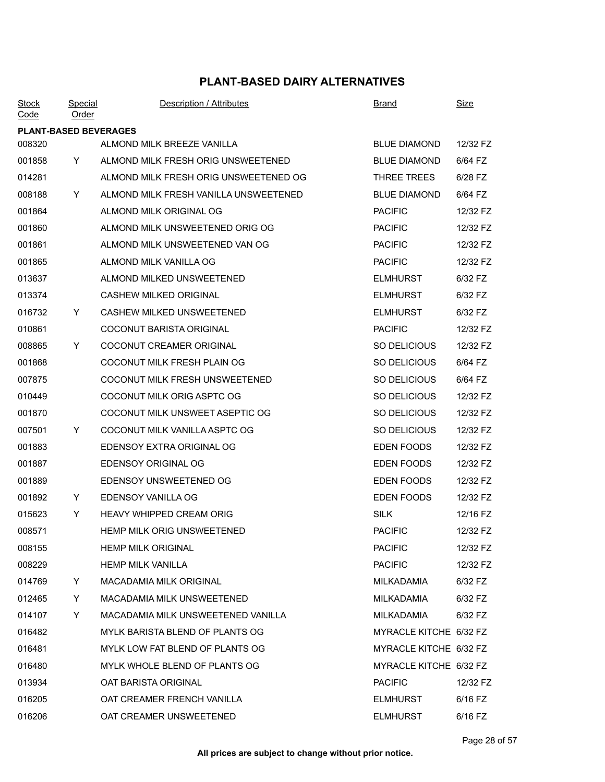| <b>Stock</b><br>Code         | Special<br><u>Order</u> | Description / Attributes              | <b>Brand</b>           | <b>Size</b> |
|------------------------------|-------------------------|---------------------------------------|------------------------|-------------|
| <b>PLANT-BASED BEVERAGES</b> |                         |                                       |                        |             |
| 008320                       |                         | ALMOND MILK BREEZE VANILLA            | <b>BLUE DIAMOND</b>    | 12/32 FZ    |
| 001858                       | Y.                      | ALMOND MILK FRESH ORIG UNSWEETENED    | <b>BLUE DIAMOND</b>    | 6/64 FZ     |
| 014281                       |                         | ALMOND MILK FRESH ORIG UNSWEETENED OG | THREE TREES            | 6/28 FZ     |
| 008188                       | Y                       | ALMOND MILK FRESH VANILLA UNSWEETENED | <b>BLUE DIAMOND</b>    | 6/64 FZ     |
| 001864                       |                         | ALMOND MILK ORIGINAL OG               | <b>PACIFIC</b>         | 12/32 FZ    |
| 001860                       |                         | ALMOND MILK UNSWEETENED ORIG OG       | <b>PACIFIC</b>         | 12/32 FZ    |
| 001861                       |                         | ALMOND MILK UNSWEETENED VAN OG        | <b>PACIFIC</b>         | 12/32 FZ    |
| 001865                       |                         | ALMOND MILK VANILLA OG                | <b>PACIFIC</b>         | 12/32 FZ    |
| 013637                       |                         | ALMOND MILKED UNSWEETENED             | <b>ELMHURST</b>        | 6/32 FZ     |
| 013374                       |                         | <b>CASHEW MILKED ORIGINAL</b>         | <b>ELMHURST</b>        | 6/32 FZ     |
| 016732                       | Y.                      | CASHEW MILKED UNSWEETENED             | <b>ELMHURST</b>        | 6/32 FZ     |
| 010861                       |                         | <b>COCONUT BARISTA ORIGINAL</b>       | <b>PACIFIC</b>         | 12/32 FZ    |
| 008865                       | Y.                      | COCONUT CREAMER ORIGINAL              | SO DELICIOUS           | 12/32 FZ    |
| 001868                       |                         | COCONUT MILK FRESH PLAIN OG           | SO DELICIOUS           | 6/64 FZ     |
| 007875                       |                         | COCONUT MILK FRESH UNSWEETENED        | SO DELICIOUS           | 6/64 FZ     |
| 010449                       |                         | COCONUT MILK ORIG ASPTC OG            | SO DELICIOUS           | 12/32 FZ    |
| 001870                       |                         | COCONUT MILK UNSWEET ASEPTIC OG       | SO DELICIOUS           | 12/32 FZ    |
| 007501                       | Y.                      | COCONUT MILK VANILLA ASPTC OG         | SO DELICIOUS           | 12/32 FZ    |
| 001883                       |                         | EDENSOY EXTRA ORIGINAL OG             | EDEN FOODS             | 12/32 FZ    |
| 001887                       |                         | <b>EDENSOY ORIGINAL OG</b>            | EDEN FOODS             | 12/32 FZ    |
| 001889                       |                         | EDENSOY UNSWEETENED OG                | EDEN FOODS             | 12/32 FZ    |
| 001892                       | Y.                      | EDENSOY VANILLA OG                    | EDEN FOODS             | 12/32 FZ    |
| 015623                       | Y                       | HEAVY WHIPPED CREAM ORIG              | <b>SILK</b>            | 12/16 FZ    |
| 008571                       |                         | HEMP MILK ORIG UNSWEETENED            | <b>PACIFIC</b>         | 12/32 FZ    |
| 008155                       |                         | <b>HEMP MILK ORIGINAL</b>             | <b>PACIFIC</b>         | 12/32 FZ    |
| 008229                       |                         | <b>HEMP MILK VANILLA</b>              | <b>PACIFIC</b>         | 12/32 FZ    |
| 014769                       | Y.                      | MACADAMIA MILK ORIGINAL               | MILKADAMIA             | 6/32 FZ     |
| 012465                       | Y.                      | MACADAMIA MILK UNSWEETENED            | MILKADAMIA             | 6/32 FZ     |
| 014107                       | Y                       | MACADAMIA MILK UNSWEETENED VANILLA    | MILKADAMIA             | 6/32 FZ     |
| 016482                       |                         | MYLK BARISTA BLEND OF PLANTS OG       | MYRACLE KITCHE 6/32 FZ |             |
| 016481                       |                         | MYLK LOW FAT BLEND OF PLANTS OG       | MYRACLE KITCHE 6/32 FZ |             |
| 016480                       |                         | MYLK WHOLE BLEND OF PLANTS OG         | MYRACLE KITCHE 6/32 FZ |             |
| 013934                       |                         | OAT BARISTA ORIGINAL                  | <b>PACIFIC</b>         | 12/32 FZ    |
| 016205                       |                         | OAT CREAMER FRENCH VANILLA            | <b>ELMHURST</b>        | 6/16 FZ     |
| 016206                       |                         | OAT CREAMER UNSWEETENED               | <b>ELMHURST</b>        | 6/16 FZ     |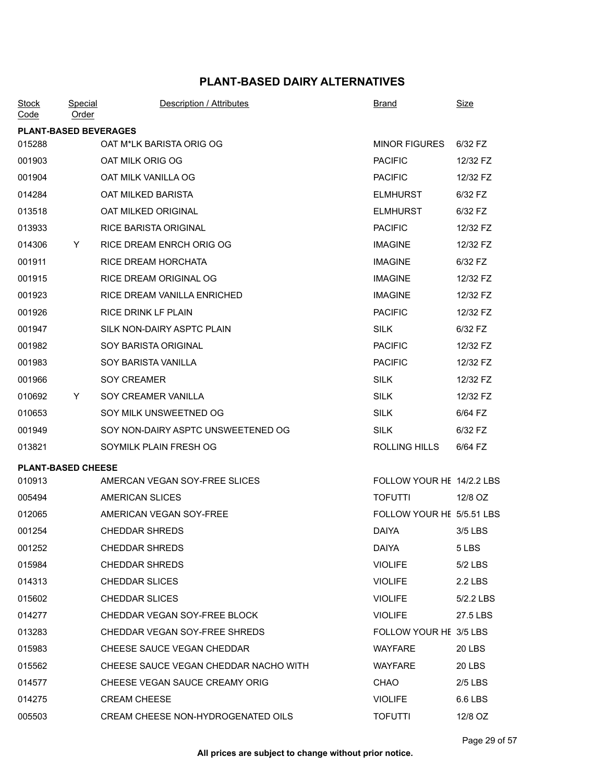| <b>Stock</b><br>Code         | Special<br><u>Order</u> | Description / Attributes              | <b>Brand</b>              | <b>Size</b>   |
|------------------------------|-------------------------|---------------------------------------|---------------------------|---------------|
| <b>PLANT-BASED BEVERAGES</b> |                         |                                       |                           |               |
| 015288                       |                         | OAT M*LK BARISTA ORIG OG              | <b>MINOR FIGURES</b>      | 6/32 FZ       |
| 001903                       |                         | OAT MILK ORIG OG                      | <b>PACIFIC</b>            | 12/32 FZ      |
| 001904                       |                         | OAT MILK VANILLA OG                   | <b>PACIFIC</b>            | 12/32 FZ      |
| 014284                       |                         | OAT MILKED BARISTA                    | <b>ELMHURST</b>           | 6/32 FZ       |
| 013518                       |                         | OAT MILKED ORIGINAL                   | <b>ELMHURST</b>           | 6/32 FZ       |
| 013933                       |                         | <b>RICE BARISTA ORIGINAL</b>          | <b>PACIFIC</b>            | 12/32 FZ      |
| 014306                       | Y.                      | RICE DREAM ENRCH ORIG OG              | <b>IMAGINE</b>            | 12/32 FZ      |
| 001911                       |                         | RICE DREAM HORCHATA                   | <b>IMAGINE</b>            | 6/32 FZ       |
| 001915                       |                         | <b>RICE DREAM ORIGINAL OG</b>         | <b>IMAGINE</b>            | 12/32 FZ      |
| 001923                       |                         | RICE DREAM VANILLA ENRICHED           | <b>IMAGINE</b>            | 12/32 FZ      |
| 001926                       |                         | RICE DRINK LF PLAIN                   | <b>PACIFIC</b>            | 12/32 FZ      |
| 001947                       |                         | SILK NON-DAIRY ASPTC PLAIN            | <b>SILK</b>               | 6/32 FZ       |
| 001982                       |                         | <b>SOY BARISTA ORIGINAL</b>           | <b>PACIFIC</b>            | 12/32 FZ      |
| 001983                       |                         | SOY BARISTA VANILLA                   | <b>PACIFIC</b>            | 12/32 FZ      |
| 001966                       |                         | <b>SOY CREAMER</b>                    | <b>SILK</b>               | 12/32 FZ      |
| 010692                       | Y.                      | SOY CREAMER VANILLA                   | <b>SILK</b>               | 12/32 FZ      |
| 010653                       |                         | SOY MILK UNSWEETNED OG                | <b>SILK</b>               | 6/64 FZ       |
| 001949                       |                         | SOY NON-DAIRY ASPTC UNSWEETENED OG    | <b>SILK</b>               | 6/32 FZ       |
| 013821                       |                         | SOYMILK PLAIN FRESH OG                | ROLLING HILLS             | 6/64 FZ       |
| <b>PLANT-BASED CHEESE</b>    |                         |                                       |                           |               |
| 010913                       |                         | AMERCAN VEGAN SOY-FREE SLICES         | FOLLOW YOUR HE 14/2.2 LBS |               |
| 005494                       |                         | AMERICAN SLICES                       | <b>TOFUTTI</b>            | 12/8 OZ       |
| 012065                       |                         | AMERICAN VEGAN SOY-FREE               | FOLLOW YOUR HE 5/5.51 LBS |               |
| 001254                       |                         | <b>CHEDDAR SHREDS</b>                 | <b>DAIYA</b>              | 3/5 LBS       |
| 001252                       |                         | <b>CHEDDAR SHREDS</b>                 | <b>DAIYA</b>              | 5 LBS         |
| 015984                       |                         | <b>CHEDDAR SHREDS</b>                 | <b>VIOLIFE</b>            | 5/2 LBS       |
| 014313                       |                         | <b>CHEDDAR SLICES</b>                 | <b>VIOLIFE</b>            | 2.2 LBS       |
| 015602                       |                         | <b>CHEDDAR SLICES</b>                 | <b>VIOLIFE</b>            | 5/2.2 LBS     |
| 014277                       |                         | CHEDDAR VEGAN SOY-FREE BLOCK          | <b>VIOLIFE</b>            | 27.5 LBS      |
| 013283                       |                         | CHEDDAR VEGAN SOY-FREE SHREDS         | FOLLOW YOUR HE 3/5 LBS    |               |
| 015983                       |                         | CHEESE SAUCE VEGAN CHEDDAR            | <b>WAYFARE</b>            | <b>20 LBS</b> |
| 015562                       |                         | CHEESE SAUCE VEGAN CHEDDAR NACHO WITH | <b>WAYFARE</b>            | <b>20 LBS</b> |
| 014577                       |                         | CHEESE VEGAN SAUCE CREAMY ORIG        | CHAO                      | $2/5$ LBS     |
| 014275                       |                         | <b>CREAM CHEESE</b>                   | <b>VIOLIFE</b>            | 6.6 LBS       |
| 005503                       |                         | CREAM CHEESE NON-HYDROGENATED OILS    | <b>TOFUTTI</b>            | 12/8 OZ       |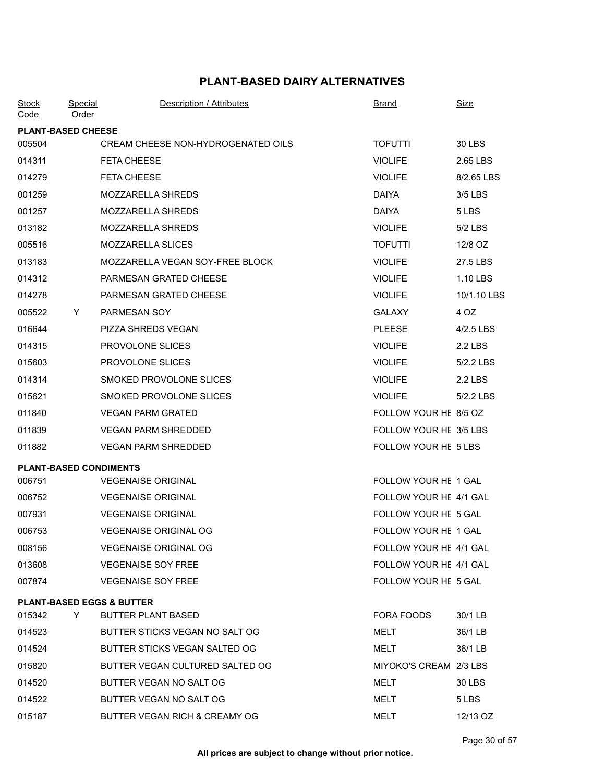| <b>Stock</b><br>Code | Special<br><b>Order</b>   | Description / Attributes             | <b>Brand</b>           | Size        |
|----------------------|---------------------------|--------------------------------------|------------------------|-------------|
|                      | <b>PLANT-BASED CHEESE</b> |                                      |                        |             |
| 005504               |                           | CREAM CHEESE NON-HYDROGENATED OILS   | <b>TOFUTTI</b>         | 30 LBS      |
| 014311               |                           | <b>FETA CHEESE</b>                   | <b>VIOLIFE</b>         | 2.65 LBS    |
| 014279               |                           | <b>FETA CHEESE</b>                   | <b>VIOLIFE</b>         | 8/2.65 LBS  |
| 001259               |                           | MOZZARELLA SHREDS                    | <b>DAIYA</b>           | 3/5 LBS     |
| 001257               |                           | <b>MOZZARELLA SHREDS</b>             | <b>DAIYA</b>           | 5 LBS       |
| 013182               |                           | <b>MOZZARELLA SHREDS</b>             | <b>VIOLIFE</b>         | 5/2 LBS     |
| 005516               |                           | MOZZARELLA SLICES                    | <b>TOFUTTI</b>         | 12/8 OZ     |
| 013183               |                           | MOZZARELLA VEGAN SOY-FREE BLOCK      | <b>VIOLIFE</b>         | 27.5 LBS    |
| 014312               |                           | PARMESAN GRATED CHEESE               | <b>VIOLIFE</b>         | 1.10 LBS    |
| 014278               |                           | PARMESAN GRATED CHEESE               | <b>VIOLIFE</b>         | 10/1.10 LBS |
| 005522               | Y.                        | PARMESAN SOY                         | <b>GALAXY</b>          | 4 OZ        |
| 016644               |                           | PIZZA SHREDS VEGAN                   | <b>PLEESE</b>          | 4/2.5 LBS   |
| 014315               |                           | PROVOLONE SLICES                     | <b>VIOLIFE</b>         | 2.2 LBS     |
| 015603               |                           | PROVOLONE SLICES                     | <b>VIOLIFE</b>         | 5/2.2 LBS   |
| 014314               |                           | SMOKED PROVOLONE SLICES              | <b>VIOLIFE</b>         | 2.2 LBS     |
| 015621               |                           | SMOKED PROVOLONE SLICES              | <b>VIOLIFE</b>         | 5/2.2 LBS   |
| 011840               |                           | <b>VEGAN PARM GRATED</b>             | FOLLOW YOUR HE 8/5 OZ  |             |
| 011839               |                           | <b>VEGAN PARM SHREDDED</b>           | FOLLOW YOUR HE 3/5 LBS |             |
| 011882               |                           | <b>VEGAN PARM SHREDDED</b>           | FOLLOW YOUR HE 5 LBS   |             |
|                      |                           | <b>PLANT-BASED CONDIMENTS</b>        |                        |             |
| 006751               |                           | <b>VEGENAISE ORIGINAL</b>            | FOLLOW YOUR HE 1 GAL   |             |
| 006752               |                           | <b>VEGENAISE ORIGINAL</b>            | FOLLOW YOUR HE 4/1 GAL |             |
| 007931               |                           | <b>VEGENAISE ORIGINAL</b>            | FOLLOW YOUR HE 5 GAL   |             |
| 006753               |                           | <b>VEGENAISE ORIGINAL OG</b>         | FOLLOW YOUR HE 1 GAL   |             |
| 008156               |                           | <b>VEGENAISE ORIGINAL OG</b>         | FOLLOW YOUR HE 4/1 GAL |             |
| 013608               |                           | <b>VEGENAISE SOY FREE</b>            | FOLLOW YOUR HE 4/1 GAL |             |
| 007874               |                           | <b>VEGENAISE SOY FREE</b>            | FOLLOW YOUR HE 5 GAL   |             |
|                      |                           | <b>PLANT-BASED EGGS &amp; BUTTER</b> |                        |             |
| 015342               | Y.                        | <b>BUTTER PLANT BASED</b>            | FORA FOODS             | 30/1 LB     |
| 014523               |                           | BUTTER STICKS VEGAN NO SALT OG       | MELT                   | 36/1 LB     |
| 014524               |                           | BUTTER STICKS VEGAN SALTED OG        | MELT                   | 36/1 LB     |
| 015820               |                           | BUTTER VEGAN CULTURED SALTED OG      | MIYOKO'S CREAM 2/3 LBS |             |
| 014520               |                           | BUTTER VEGAN NO SALT OG              | MELT                   | 30 LBS      |
| 014522               |                           | BUTTER VEGAN NO SALT OG              | MELT                   | 5 LBS       |
| 015187               |                           | BUTTER VEGAN RICH & CREAMY OG        | MELT                   | 12/13 OZ    |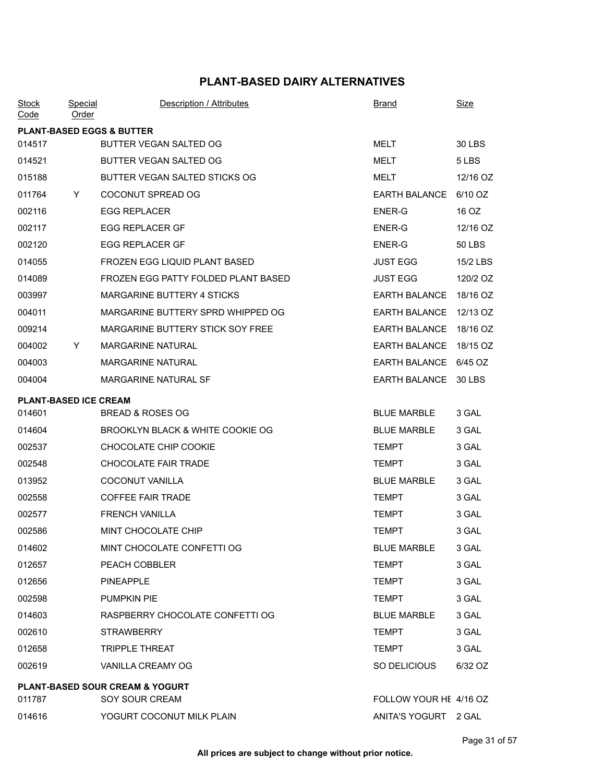| <b>Stock</b><br>Code         | Special<br>Order | Description / Attributes                   | <u>Brand</u>           | <b>Size</b>   |
|------------------------------|------------------|--------------------------------------------|------------------------|---------------|
|                              |                  | <b>PLANT-BASED EGGS &amp; BUTTER</b>       |                        |               |
| 014517                       |                  | BUTTER VEGAN SALTED OG                     | <b>MELT</b>            | 30 LBS        |
| 014521                       |                  | BUTTER VEGAN SALTED OG                     | MELT                   | 5 LBS         |
| 015188                       |                  | BUTTER VEGAN SALTED STICKS OG              | MELT                   | 12/16 OZ      |
| 011764                       | Y                | COCONUT SPREAD OG                          | EARTH BALANCE 6/10 OZ  |               |
| 002116                       |                  | <b>EGG REPLACER</b>                        | <b>ENER-G</b>          | 16 OZ         |
| 002117                       |                  | <b>EGG REPLACER GF</b>                     | ENER-G                 | 12/16 OZ      |
| 002120                       |                  | <b>EGG REPLACER GF</b>                     | ENER-G                 | <b>50 LBS</b> |
| 014055                       |                  | FROZEN EGG LIQUID PLANT BASED              | <b>JUST EGG</b>        | 15/2 LBS      |
| 014089                       |                  | FROZEN EGG PATTY FOLDED PLANT BASED        | <b>JUST EGG</b>        | 120/2 OZ      |
| 003997                       |                  | <b>MARGARINE BUTTERY 4 STICKS</b>          | EARTH BALANCE 18/16 OZ |               |
| 004011                       |                  | MARGARINE BUTTERY SPRD WHIPPED OG          | EARTH BALANCE 12/13 OZ |               |
| 009214                       |                  | MARGARINE BUTTERY STICK SOY FREE           | EARTH BALANCE 18/16 OZ |               |
| 004002                       | Y                | <b>MARGARINE NATURAL</b>                   | <b>EARTH BALANCE</b>   | 18/15 OZ      |
| 004003                       |                  | <b>MARGARINE NATURAL</b>                   | EARTH BALANCE 6/45 OZ  |               |
| 004004                       |                  | MARGARINE NATURAL SF                       | EARTH BALANCE 30 LBS   |               |
| <b>PLANT-BASED ICE CREAM</b> |                  |                                            |                        |               |
| 014601                       |                  | <b>BREAD &amp; ROSES OG</b>                | <b>BLUE MARBLE</b>     | 3 GAL         |
| 014604                       |                  | BROOKLYN BLACK & WHITE COOKIE OG           | <b>BLUE MARBLE</b>     | 3 GAL         |
| 002537                       |                  | CHOCOLATE CHIP COOKIE                      | <b>TEMPT</b>           | 3 GAL         |
| 002548                       |                  | <b>CHOCOLATE FAIR TRADE</b>                | <b>TEMPT</b>           | 3 GAL         |
| 013952                       |                  | COCONUT VANILLA                            | <b>BLUE MARBLE</b>     | 3 GAL         |
| 002558                       |                  | <b>COFFEE FAIR TRADE</b>                   | <b>TEMPT</b>           | 3 GAL         |
| 002577                       |                  | <b>FRENCH VANILLA</b>                      | <b>TEMPT</b>           | 3 GAL         |
| 002586                       |                  | MINT CHOCOLATE CHIP                        | <b>TEMPT</b>           | 3 GAL         |
| 014602                       |                  | MINT CHOCOLATE CONFETTI OG                 | <b>BLUE MARBLE</b>     | 3 GAL         |
| 012657                       |                  | PEACH COBBLER                              | <b>TEMPT</b>           | 3 GAL         |
| 012656                       |                  | PINEAPPLE                                  | <b>TEMPT</b>           | 3 GAL         |
| 002598                       |                  | <b>PUMPKIN PIE</b>                         | TEMPT                  | 3 GAL         |
| 014603                       |                  | RASPBERRY CHOCOLATE CONFETTI OG            | <b>BLUE MARBLE</b>     | 3 GAL         |
| 002610                       |                  | <b>STRAWBERRY</b>                          | <b>TEMPT</b>           | 3 GAL         |
| 012658                       |                  | <b>TRIPPLE THREAT</b>                      | <b>TEMPT</b>           | 3 GAL         |
| 002619                       |                  | VANILLA CREAMY OG                          | SO DELICIOUS           | 6/32 OZ       |
|                              |                  | <b>PLANT-BASED SOUR CREAM &amp; YOGURT</b> |                        |               |
| 011787                       |                  | SOY SOUR CREAM                             | FOLLOW YOUR HE 4/16 OZ |               |
| 014616                       |                  | YOGURT COCONUT MILK PLAIN                  | ANITA'S YOGURT 2 GAL   |               |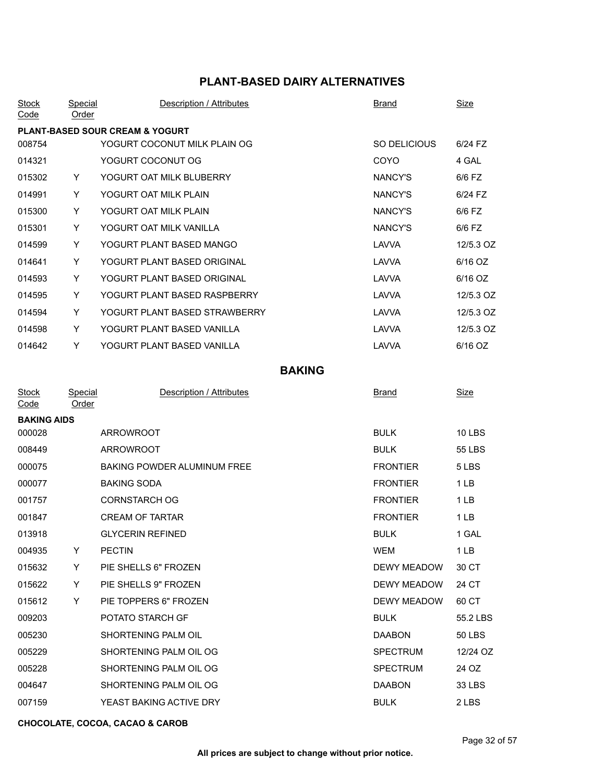| <b>Stock</b><br>$\overline{\textsf{Code}}$ | Special<br><u>Order</u> | Description / Attributes                   | <b>Brand</b> | <b>Size</b> |
|--------------------------------------------|-------------------------|--------------------------------------------|--------------|-------------|
|                                            |                         | <b>PLANT-BASED SOUR CREAM &amp; YOGURT</b> |              |             |
| 008754                                     |                         | YOGURT COCONUT MILK PLAIN OG               | SO DELICIOUS | 6/24 FZ     |
| 014321                                     |                         | YOGURT COCONUT OG                          | <b>COYO</b>  | 4 GAL       |
| 015302                                     | Y                       | YOGURT OAT MILK BLUBERRY                   | NANCY'S      | 6/6 FZ      |
| 014991                                     | Y                       | YOGURT OAT MILK PLAIN                      | NANCY'S      | $6/24$ FZ   |
| 015300                                     | Y                       | YOGURT OAT MILK PLAIN                      | NANCY'S      | 6/6 FZ      |
| 015301                                     | Y                       | YOGURT OAT MILK VANILLA                    | NANCY'S      | 6/6 FZ      |
| 014599                                     | Y                       | YOGURT PLANT BASED MANGO                   | LAVVA        | 12/5.3 OZ   |
| 014641                                     | Y                       | YOGURT PLANT BASED ORIGINAL                | LAVVA        | 6/16 OZ     |
| 014593                                     | Y                       | YOGURT PLANT BASED ORIGINAL                | LAVVA        | 6/16 OZ     |
| 014595                                     | Y                       | YOGURT PLANT BASED RASPBERRY               | LAVVA        | 12/5.3 OZ   |
| 014594                                     | Y                       | YOGURT PLANT BASED STRAWBERRY              | LAVVA        | 12/5.3 OZ   |
| 014598                                     | Y                       | YOGURT PLANT BASED VANILLA                 | LAVVA        | 12/5.3 OZ   |
| 014642                                     | Y                       | YOGURT PLANT BASED VANILLA                 | LAVVA        | 6/16 OZ     |

# **BAKING**

|   | Description / Attributes    | <b>Brand</b>       | Size            |
|---|-----------------------------|--------------------|-----------------|
|   |                             |                    |                 |
|   | <b>ARROWROOT</b>            | <b>BULK</b>        | <b>10 LBS</b>   |
|   | <b>ARROWROOT</b>            | <b>BULK</b>        | 55 LBS          |
|   | BAKING POWDER ALUMINUM FREE | <b>FRONTIER</b>    | 5 LBS           |
|   | <b>BAKING SODA</b>          | <b>FRONTIER</b>    | 1LB             |
|   | <b>CORNSTARCH OG</b>        | <b>FRONTIER</b>    | 1LB             |
|   | <b>CREAM OF TARTAR</b>      | <b>FRONTIER</b>    | 1 <sub>LB</sub> |
|   | <b>GLYCERIN REFINED</b>     | <b>BULK</b>        | 1 GAL           |
| Y | <b>PECTIN</b>               | <b>WEM</b>         | 1LB             |
| Y | PIE SHELLS 6" FROZEN        | <b>DEWY MEADOW</b> | 30 CT           |
| Y | PIE SHELLS 9" FROZEN        | <b>DEWY MEADOW</b> | 24 CT           |
| Y | PIE TOPPERS 6" FROZEN       | <b>DEWY MEADOW</b> | 60 CT           |
|   | POTATO STARCH GF            | <b>BULK</b>        | 55.2 LBS        |
|   | SHORTENING PALM OIL         | <b>DAABON</b>      | <b>50 LBS</b>   |
|   | SHORTENING PALM OIL OG      | <b>SPECTRUM</b>    | 12/24 OZ        |
|   | SHORTENING PALM OIL OG      | <b>SPECTRUM</b>    | 24 OZ           |
|   | SHORTENING PALM OIL OG      | <b>DAABON</b>      | 33 LBS          |
|   | YEAST BAKING ACTIVE DRY     | <b>BULK</b>        | 2 LBS           |
|   | Order<br><b>BAKING AIDS</b> | Special            |                 |

#### **CHOCOLATE, COCOA, CACAO & CAROB**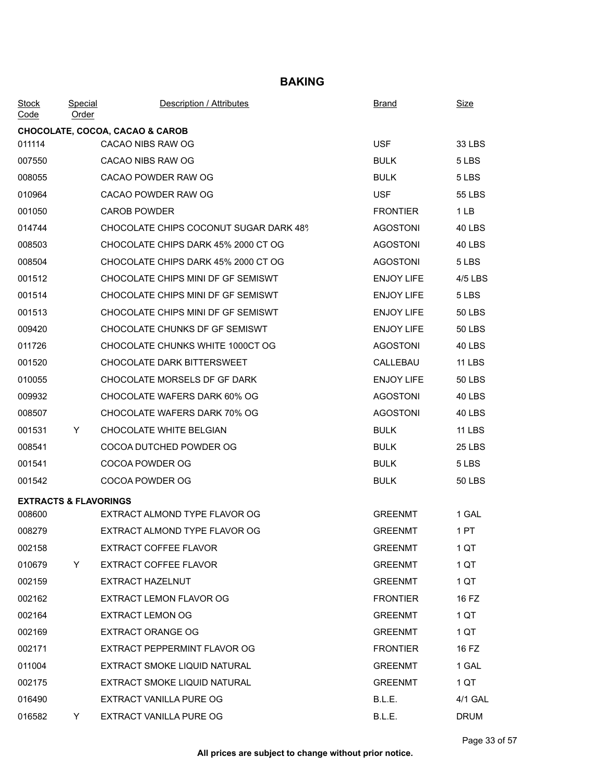## **BAKING**

| <b>Order</b> | Description / Attributes               | <b>Brand</b>                                                                          | Size          |
|--------------|----------------------------------------|---------------------------------------------------------------------------------------|---------------|
|              |                                        |                                                                                       |               |
|              | CACAO NIBS RAW OG                      | <b>USF</b>                                                                            | 33 LBS        |
|              | CACAO NIBS RAW OG                      | <b>BULK</b>                                                                           | 5 LBS         |
|              | CACAO POWDER RAW OG                    | <b>BULK</b>                                                                           | 5 LBS         |
|              | CACAO POWDER RAW OG                    | <b>USF</b>                                                                            | 55 LBS        |
|              | <b>CAROB POWDER</b>                    | <b>FRONTIER</b>                                                                       | 1LB           |
|              | CHOCOLATE CHIPS COCONUT SUGAR DARK 48% | <b>AGOSTONI</b>                                                                       | 40 LBS        |
|              | CHOCOLATE CHIPS DARK 45% 2000 CT OG    | <b>AGOSTONI</b>                                                                       | 40 LBS        |
|              | CHOCOLATE CHIPS DARK 45% 2000 CT OG    | <b>AGOSTONI</b>                                                                       | 5 LBS         |
|              | CHOCOLATE CHIPS MINI DF GF SEMISWT     | <b>ENJOY LIFE</b>                                                                     | 4/5 LBS       |
|              | CHOCOLATE CHIPS MINI DF GF SEMISWT     | <b>ENJOY LIFE</b>                                                                     | 5 LBS         |
|              | CHOCOLATE CHIPS MINI DF GF SEMISWT     | <b>ENJOY LIFE</b>                                                                     | <b>50 LBS</b> |
|              | CHOCOLATE CHUNKS DF GF SEMISWT         | <b>ENJOY LIFE</b>                                                                     | 50 LBS        |
|              | CHOCOLATE CHUNKS WHITE 1000CT OG       | <b>AGOSTONI</b>                                                                       | 40 LBS        |
|              | CHOCOLATE DARK BITTERSWEET             | CALLEBAU                                                                              | <b>11 LBS</b> |
|              | CHOCOLATE MORSELS DF GF DARK           | <b>ENJOY LIFE</b>                                                                     | <b>50 LBS</b> |
|              | CHOCOLATE WAFERS DARK 60% OG           | <b>AGOSTONI</b>                                                                       | 40 LBS        |
|              | CHOCOLATE WAFERS DARK 70% OG           | <b>AGOSTONI</b>                                                                       | 40 LBS        |
| Y.           | CHOCOLATE WHITE BELGIAN                | <b>BULK</b>                                                                           | <b>11 LBS</b> |
|              | COCOA DUTCHED POWDER OG                | <b>BULK</b>                                                                           | <b>25 LBS</b> |
|              | COCOA POWDER OG                        | <b>BULK</b>                                                                           | 5 LBS         |
|              | COCOA POWDER OG                        | <b>BULK</b>                                                                           | <b>50 LBS</b> |
|              |                                        |                                                                                       |               |
|              | EXTRACT ALMOND TYPE FLAVOR OG          | <b>GREENMT</b>                                                                        | 1 GAL         |
|              | EXTRACT ALMOND TYPE FLAVOR OG          | <b>GREENMT</b>                                                                        | 1 PT          |
|              | <b>EXTRACT COFFEE FLAVOR</b>           | <b>GREENMT</b>                                                                        | 1 QT          |
| Y            | <b>EXTRACT COFFEE FLAVOR</b>           | <b>GREENMT</b>                                                                        | 1 QT          |
|              | EXTRACT HAZELNUT                       | <b>GREENMT</b>                                                                        | 1 QT          |
|              | EXTRACT LEMON FLAVOR OG                | <b>FRONTIER</b>                                                                       | 16 FZ         |
|              | <b>EXTRACT LEMON OG</b>                | <b>GREENMT</b>                                                                        | 1 QT          |
|              | <b>EXTRACT ORANGE OG</b>               | <b>GREENMT</b>                                                                        | 1 QT          |
|              | EXTRACT PEPPERMINT FLAVOR OG           | <b>FRONTIER</b>                                                                       | 16 FZ         |
|              | EXTRACT SMOKE LIQUID NATURAL           | <b>GREENMT</b>                                                                        | 1 GAL         |
|              | EXTRACT SMOKE LIQUID NATURAL           | <b>GREENMT</b>                                                                        | 1 QT          |
|              | EXTRACT VANILLA PURE OG                | B.L.E.                                                                                | 4/1 GAL       |
| Y.           | EXTRACT VANILLA PURE OG                | B.L.E.                                                                                | DRUM          |
|              |                                        | <b>Special</b><br>CHOCOLATE, COCOA, CACAO & CAROB<br><b>EXTRACTS &amp; FLAVORINGS</b> |               |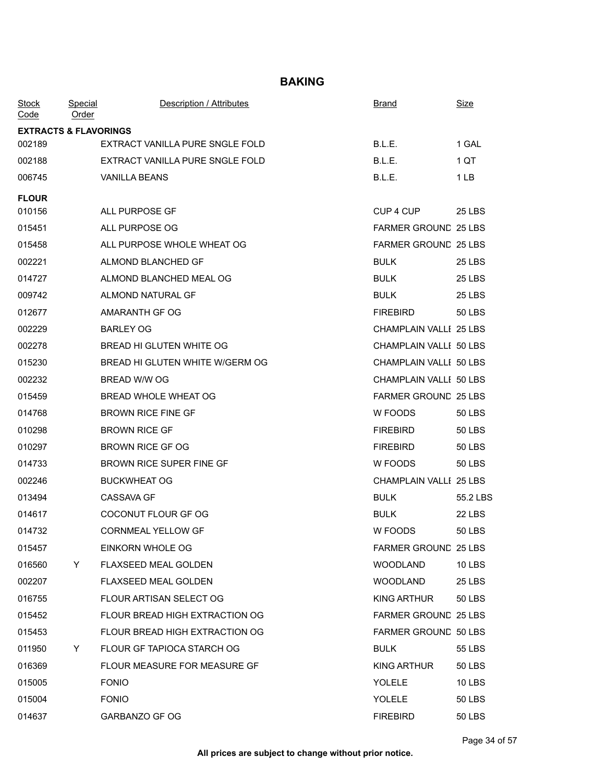## **BAKING**

| <b>Stock</b><br>Code             | <u>Special</u><br>Order | Description / Attributes        | Brand                         | <u>Size</u>   |  |  |
|----------------------------------|-------------------------|---------------------------------|-------------------------------|---------------|--|--|
| <b>EXTRACTS &amp; FLAVORINGS</b> |                         |                                 |                               |               |  |  |
| 002189                           |                         | EXTRACT VANILLA PURE SNGLE FOLD | B.L.E.                        | 1 GAL         |  |  |
| 002188                           |                         | EXTRACT VANILLA PURE SNGLE FOLD | B.L.E.                        | 1 QT          |  |  |
| 006745                           |                         | <b>VANILLA BEANS</b>            | B.L.E.                        | 1 LB          |  |  |
| <b>FLOUR</b>                     |                         |                                 |                               |               |  |  |
| 010156                           |                         | ALL PURPOSE GF                  | CUP 4 CUP                     | <b>25 LBS</b> |  |  |
| 015451                           |                         | ALL PURPOSE OG                  | <b>FARMER GROUND 25 LBS</b>   |               |  |  |
| 015458                           |                         | ALL PURPOSE WHOLE WHEAT OG      | FARMER GROUND 25 LBS          |               |  |  |
| 002221                           |                         | ALMOND BLANCHED GF              | <b>BULK</b>                   | 25 LBS        |  |  |
| 014727                           |                         | ALMOND BLANCHED MEAL OG         | <b>BULK</b>                   | 25 LBS        |  |  |
| 009742                           |                         | ALMOND NATURAL GF               | <b>BULK</b>                   | 25 LBS        |  |  |
| 012677                           |                         | AMARANTH GF OG                  | <b>FIREBIRD</b>               | <b>50 LBS</b> |  |  |
| 002229                           |                         | <b>BARLEY OG</b>                | <b>CHAMPLAIN VALLI 25 LBS</b> |               |  |  |
| 002278                           |                         | BREAD HI GLUTEN WHITE OG        | CHAMPLAIN VALLI 50 LBS        |               |  |  |
| 015230                           |                         | BREAD HI GLUTEN WHITE W/GERM OG | CHAMPLAIN VALLI 50 LBS        |               |  |  |
| 002232                           |                         | BREAD W/W OG                    | CHAMPLAIN VALLI 50 LBS        |               |  |  |
| 015459                           |                         | BREAD WHOLE WHEAT OG            | <b>FARMER GROUND 25 LBS</b>   |               |  |  |
| 014768                           |                         | <b>BROWN RICE FINE GF</b>       | W FOODS                       | <b>50 LBS</b> |  |  |
| 010298                           |                         | <b>BROWN RICE GF</b>            | <b>FIREBIRD</b>               | <b>50 LBS</b> |  |  |
| 010297                           |                         | <b>BROWN RICE GF OG</b>         | <b>FIREBIRD</b>               | <b>50 LBS</b> |  |  |
| 014733                           |                         | <b>BROWN RICE SUPER FINE GF</b> | W FOODS                       | <b>50 LBS</b> |  |  |
| 002246                           |                         | <b>BUCKWHEAT OG</b>             | <b>CHAMPLAIN VALLI 25 LBS</b> |               |  |  |
| 013494                           |                         | <b>CASSAVA GF</b>               | <b>BULK</b>                   | 55.2 LBS      |  |  |
| 014617                           |                         | COCONUT FLOUR GF OG             | <b>BULK</b>                   | 22 LBS        |  |  |
| 014732                           |                         | <b>CORNMEAL YELLOW GF</b>       | W FOODS                       | <b>50 LBS</b> |  |  |
| 015457                           |                         | EINKORN WHOLE OG                | <b>FARMER GROUND 25 LBS</b>   |               |  |  |
| 016560                           | Y                       | <b>FLAXSEED MEAL GOLDEN</b>     | <b>WOODLAND</b>               | <b>10 LBS</b> |  |  |
| 002207                           |                         | <b>FLAXSEED MEAL GOLDEN</b>     | <b>WOODLAND</b>               | <b>25 LBS</b> |  |  |
| 016755                           |                         | FLOUR ARTISAN SELECT OG         | KING ARTHUR                   | <b>50 LBS</b> |  |  |
| 015452                           |                         | FLOUR BREAD HIGH EXTRACTION OG  | <b>FARMER GROUND 25 LBS</b>   |               |  |  |
| 015453                           |                         | FLOUR BREAD HIGH EXTRACTION OG  | <b>FARMER GROUND 50 LBS</b>   |               |  |  |
| 011950                           | Y                       | FLOUR GF TAPIOCA STARCH OG      | <b>BULK</b>                   | 55 LBS        |  |  |
| 016369                           |                         | FLOUR MEASURE FOR MEASURE GF    | <b>KING ARTHUR</b>            | <b>50 LBS</b> |  |  |
| 015005                           |                         | <b>FONIO</b>                    | YOLELE                        | <b>10 LBS</b> |  |  |
| 015004                           |                         | <b>FONIO</b>                    | YOLELE                        | 50 LBS        |  |  |
| 014637                           |                         | GARBANZO GF OG                  | <b>FIREBIRD</b>               | 50 LBS        |  |  |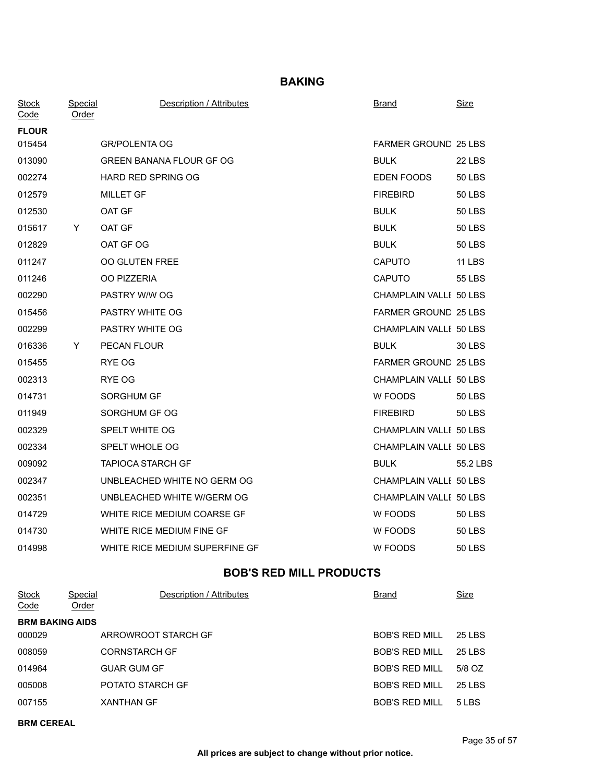**BAKING**

| <b>Stock</b><br>Code | Special<br>Order | <b>Description / Attributes</b> | <b>Brand</b>                | <b>Size</b>   |
|----------------------|------------------|---------------------------------|-----------------------------|---------------|
| <b>FLOUR</b>         |                  |                                 |                             |               |
| 015454               |                  | <b>GR/POLENTA OG</b>            | FARMER GROUND 25 LBS        |               |
| 013090               |                  | <b>GREEN BANANA FLOUR GF OG</b> | <b>BULK</b>                 | <b>22 LBS</b> |
| 002274               |                  | <b>HARD RED SPRING OG</b>       | EDEN FOODS                  | <b>50 LBS</b> |
| 012579               |                  | <b>MILLET GF</b>                | <b>FIREBIRD</b>             | <b>50 LBS</b> |
| 012530               |                  | OAT GF                          | <b>BULK</b>                 | 50 LBS        |
| 015617               | Y                | OAT GF                          | <b>BULK</b>                 | 50 LBS        |
| 012829               |                  | OAT GF OG                       | <b>BULK</b>                 | 50 LBS        |
| 011247               |                  | <b>OO GLUTEN FREE</b>           | <b>CAPUTO</b>               | <b>11 LBS</b> |
| 011246               |                  | OO PIZZERIA                     | <b>CAPUTO</b>               | 55 LBS        |
| 002290               |                  | PASTRY W/W OG                   | CHAMPLAIN VALLI 50 LBS      |               |
| 015456               |                  | PASTRY WHITE OG                 | <b>FARMER GROUND 25 LBS</b> |               |
| 002299               |                  | PASTRY WHITE OG                 | CHAMPLAIN VALLI 50 LBS      |               |
| 016336               | Y                | PECAN FLOUR                     | <b>BULK</b>                 | 30 LBS        |
| 015455               |                  | RYE OG                          | FARMER GROUND 25 LBS        |               |
| 002313               |                  | RYE OG                          | CHAMPLAIN VALLI 50 LBS      |               |
| 014731               |                  | SORGHUM GF                      | W FOODS                     | 50 LBS        |
| 011949               |                  | SORGHUM GF OG                   | <b>FIREBIRD</b>             | 50 LBS        |
| 002329               |                  | SPELT WHITE OG                  | CHAMPLAIN VALLI 50 LBS      |               |
| 002334               |                  | SPELT WHOLE OG                  | CHAMPLAIN VALLI 50 LBS      |               |
| 009092               |                  | <b>TAPIOCA STARCH GF</b>        | <b>BULK</b>                 | 55.2 LBS      |
| 002347               |                  | UNBLEACHED WHITE NO GERM OG     | CHAMPLAIN VALLI 50 LBS      |               |
| 002351               |                  | UNBLEACHED WHITE W/GERM OG      | CHAMPLAIN VALLI 50 LBS      |               |
| 014729               |                  | WHITE RICE MEDIUM COARSE GF     | W FOODS                     | <b>50 LBS</b> |
| 014730               |                  | WHITE RICE MEDIUM FINE GF       | W FOODS                     | <b>50 LBS</b> |
| 014998               |                  | WHITE RICE MEDIUM SUPERFINE GF  | W FOODS                     | <b>50 LBS</b> |
|                      |                  |                                 |                             |               |

# **BOB'S RED MILL PRODUCTS**

| <b>Stock</b><br>Code | Special<br>Order       | Description / Attributes | Brand                 | <u>Size</u> |  |  |  |
|----------------------|------------------------|--------------------------|-----------------------|-------------|--|--|--|
|                      | <b>BRM BAKING AIDS</b> |                          |                       |             |  |  |  |
| 000029               |                        | ARROWROOT STARCH GF      | <b>BOB'S RED MILL</b> | 25 LBS      |  |  |  |
| 008059               |                        | <b>CORNSTARCH GF</b>     | <b>BOB'S RED MILL</b> | 25 LBS      |  |  |  |
| 014964               |                        | <b>GUAR GUM GF</b>       | <b>BOB'S RED MILL</b> | 5/8 OZ      |  |  |  |
| 005008               |                        | POTATO STARCH GF         | <b>BOB'S RED MILL</b> | 25 LBS      |  |  |  |
| 007155               |                        | <b>XANTHAN GF</b>        | <b>BOB'S RED MILL</b> | 5 LBS       |  |  |  |

**BRM CEREAL**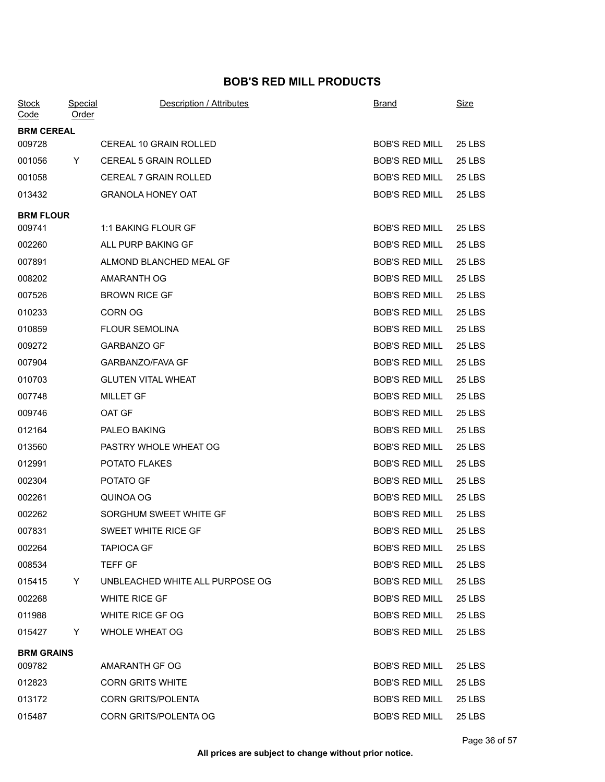## **BOB'S RED MILL PRODUCTS**

| <b>Stock</b><br>Code | Special<br>Order | Description / Attributes        | Brand                 | Size          |
|----------------------|------------------|---------------------------------|-----------------------|---------------|
| <b>BRM CEREAL</b>    |                  |                                 |                       |               |
| 009728               |                  | CEREAL 10 GRAIN ROLLED          | <b>BOB'S RED MILL</b> | <b>25 LBS</b> |
| 001056               | Y.               | <b>CEREAL 5 GRAIN ROLLED</b>    | <b>BOB'S RED MILL</b> | 25 LBS        |
| 001058               |                  | <b>CEREAL 7 GRAIN ROLLED</b>    | <b>BOB'S RED MILL</b> | 25 LBS        |
| 013432               |                  | <b>GRANOLA HONEY OAT</b>        | <b>BOB'S RED MILL</b> | 25 LBS        |
| <b>BRM FLOUR</b>     |                  |                                 |                       |               |
| 009741               |                  | 1:1 BAKING FLOUR GF             | <b>BOB'S RED MILL</b> | <b>25 LBS</b> |
| 002260               |                  | ALL PURP BAKING GF              | <b>BOB'S RED MILL</b> | <b>25 LBS</b> |
| 007891               |                  | ALMOND BLANCHED MEAL GF         | <b>BOB'S RED MILL</b> | <b>25 LBS</b> |
| 008202               |                  | AMARANTH OG                     | <b>BOB'S RED MILL</b> | 25 LBS        |
| 007526               |                  | <b>BROWN RICE GF</b>            | <b>BOB'S RED MILL</b> | 25 LBS        |
| 010233               |                  | <b>CORN OG</b>                  | <b>BOB'S RED MILL</b> | <b>25 LBS</b> |
| 010859               |                  | <b>FLOUR SEMOLINA</b>           | <b>BOB'S RED MILL</b> | 25 LBS        |
| 009272               |                  | <b>GARBANZO GF</b>              | <b>BOB'S RED MILL</b> | 25 LBS        |
| 007904               |                  | GARBANZO/FAVA GF                | <b>BOB'S RED MILL</b> | 25 LBS        |
| 010703               |                  | <b>GLUTEN VITAL WHEAT</b>       | <b>BOB'S RED MILL</b> | 25 LBS        |
| 007748               |                  | <b>MILLET GF</b>                | <b>BOB'S RED MILL</b> | <b>25 LBS</b> |
| 009746               |                  | OAT GF                          | <b>BOB'S RED MILL</b> | 25 LBS        |
| 012164               |                  | PALEO BAKING                    | <b>BOB'S RED MILL</b> | <b>25 LBS</b> |
| 013560               |                  | PASTRY WHOLE WHEAT OG           | <b>BOB'S RED MILL</b> | 25 LBS        |
| 012991               |                  | POTATO FLAKES                   | <b>BOB'S RED MILL</b> | <b>25 LBS</b> |
| 002304               |                  | POTATO GF                       | <b>BOB'S RED MILL</b> | 25 LBS        |
| 002261               |                  | QUINOA OG                       | <b>BOB'S RED MILL</b> | 25 LBS        |
| 002262               |                  | SORGHUM SWEET WHITE GF          | <b>BOB'S RED MILL</b> | 25 LBS        |
| 007831               |                  | SWEET WHITE RICE GF             | <b>BOB'S RED MILL</b> | <b>25 LBS</b> |
| 002264               |                  | <b>TAPIOCA GF</b>               | BOB'S RED MILL        | 25 LBS        |
| 008534               |                  | TEFF GF                         | <b>BOB'S RED MILL</b> | 25 LBS        |
| 015415               | Y.               | UNBLEACHED WHITE ALL PURPOSE OG | <b>BOB'S RED MILL</b> | 25 LBS        |
| 002268               |                  | WHITE RICE GF                   | <b>BOB'S RED MILL</b> | 25 LBS        |
| 011988               |                  | WHITE RICE GF OG                | <b>BOB'S RED MILL</b> | 25 LBS        |
| 015427               | Y                | <b>WHOLE WHEAT OG</b>           | <b>BOB'S RED MILL</b> | 25 LBS        |
| <b>BRM GRAINS</b>    |                  |                                 |                       |               |
| 009782               |                  | AMARANTH GF OG                  | BOB'S RED MILL        | 25 LBS        |
| 012823               |                  | <b>CORN GRITS WHITE</b>         | <b>BOB'S RED MILL</b> | 25 LBS        |
| 013172               |                  | <b>CORN GRITS/POLENTA</b>       | BOB'S RED MILL        | 25 LBS        |
| 015487               |                  | CORN GRITS/POLENTA OG           | BOB'S RED MILL        | 25 LBS        |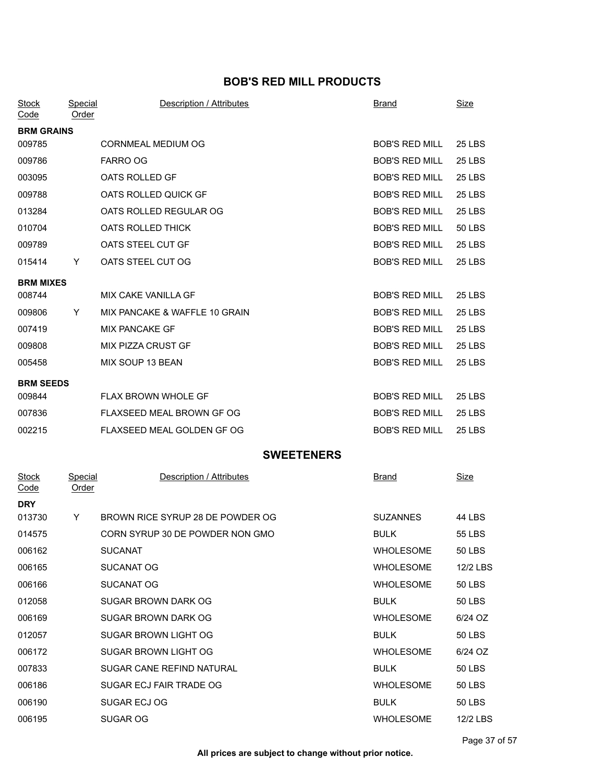## **BOB'S RED MILL PRODUCTS**

| <b>Stock</b><br>Code | Special<br>Order  | <b>Description / Attributes</b> |  | <b>Brand</b>          | <b>Size</b>   |  |  |
|----------------------|-------------------|---------------------------------|--|-----------------------|---------------|--|--|
| <b>BRM GRAINS</b>    |                   |                                 |  |                       |               |  |  |
| 009785               |                   | <b>CORNMEAL MEDIUM OG</b>       |  | <b>BOB'S RED MILL</b> | <b>25 LBS</b> |  |  |
| 009786               |                   | <b>FARRO OG</b>                 |  | <b>BOB'S RED MILL</b> | 25 LBS        |  |  |
| 003095               |                   | OATS ROLLED GF                  |  | <b>BOB'S RED MILL</b> | <b>25 LBS</b> |  |  |
| 009788               |                   | OATS ROLLED QUICK GF            |  | <b>BOB'S RED MILL</b> | <b>25 LBS</b> |  |  |
| 013284               |                   | OATS ROLLED REGULAR OG          |  | <b>BOB'S RED MILL</b> | 25 LBS        |  |  |
| 010704               |                   | OATS ROLLED THICK               |  | <b>BOB'S RED MILL</b> | 50 LBS        |  |  |
| 009789               |                   | OATS STEEL CUT GF               |  | <b>BOB'S RED MILL</b> | <b>25 LBS</b> |  |  |
| 015414               | Y                 | OATS STEEL CUT OG               |  | <b>BOB'S RED MILL</b> | <b>25 LBS</b> |  |  |
| <b>BRM MIXES</b>     |                   |                                 |  |                       |               |  |  |
| 008744               |                   | MIX CAKE VANILLA GF             |  | <b>BOB'S RED MILL</b> | <b>25 LBS</b> |  |  |
| 009806               | Y                 | MIX PANCAKE & WAFFLE 10 GRAIN   |  | <b>BOB'S RED MILL</b> | <b>25 LBS</b> |  |  |
| 007419               |                   | <b>MIX PANCAKE GF</b>           |  | <b>BOB'S RED MILL</b> | <b>25 LBS</b> |  |  |
| 009808               |                   | MIX PIZZA CRUST GF              |  | <b>BOB'S RED MILL</b> | <b>25 LBS</b> |  |  |
| 005458               |                   | MIX SOUP 13 BEAN                |  | <b>BOB'S RED MILL</b> | <b>25 LBS</b> |  |  |
| <b>BRM SEEDS</b>     |                   |                                 |  |                       |               |  |  |
| 009844               |                   | FLAX BROWN WHOLE GF             |  | <b>BOB'S RED MILL</b> | <b>25 LBS</b> |  |  |
| 007836               |                   | FLAXSEED MEAL BROWN GF OG       |  | <b>BOB'S RED MILL</b> | <b>25 LBS</b> |  |  |
| 002215               |                   | FLAXSEED MEAL GOLDEN GF OG      |  | <b>BOB'S RED MILL</b> | <b>25 LBS</b> |  |  |
|                      | <b>SWEETENERS</b> |                                 |  |                       |               |  |  |

| <b>Stock</b><br>Code | Special<br><u>Order</u> | Description / Attributes         | <b>Brand</b>     | <b>Size</b>   |
|----------------------|-------------------------|----------------------------------|------------------|---------------|
| <b>DRY</b>           |                         |                                  |                  |               |
| 013730               | Y                       | BROWN RICE SYRUP 28 DE POWDER OG | <b>SUZANNES</b>  | 44 LBS        |
| 014575               |                         | CORN SYRUP 30 DE POWDER NON GMO  | <b>BULK</b>      | 55 LBS        |
| 006162               |                         | <b>SUCANAT</b>                   | <b>WHOLESOME</b> | <b>50 LBS</b> |
| 006165               |                         | SUCANAT OG                       | <b>WHOLESOME</b> | 12/2 LBS      |
| 006166               |                         | SUCANAT OG                       | <b>WHOLESOME</b> | <b>50 LBS</b> |
| 012058               |                         | SUGAR BROWN DARK OG              | <b>BULK</b>      | <b>50 LBS</b> |
| 006169               |                         | SUGAR BROWN DARK OG              | <b>WHOLESOME</b> | 6/24 OZ       |
| 012057               |                         | SUGAR BROWN LIGHT OG             | <b>BULK</b>      | 50 LBS        |
| 006172               |                         | SUGAR BROWN LIGHT OG             | <b>WHOLESOME</b> | 6/24 OZ       |
| 007833               |                         | SUGAR CANE REFIND NATURAL        | <b>BULK</b>      | 50 LBS        |
| 006186               |                         | SUGAR ECJ FAIR TRADE OG          | <b>WHOLESOME</b> | <b>50 LBS</b> |
| 006190               |                         | SUGAR ECJ OG                     | <b>BULK</b>      | 50 LBS        |
| 006195               |                         | <b>SUGAR OG</b>                  | <b>WHOLESOME</b> | 12/2 LBS      |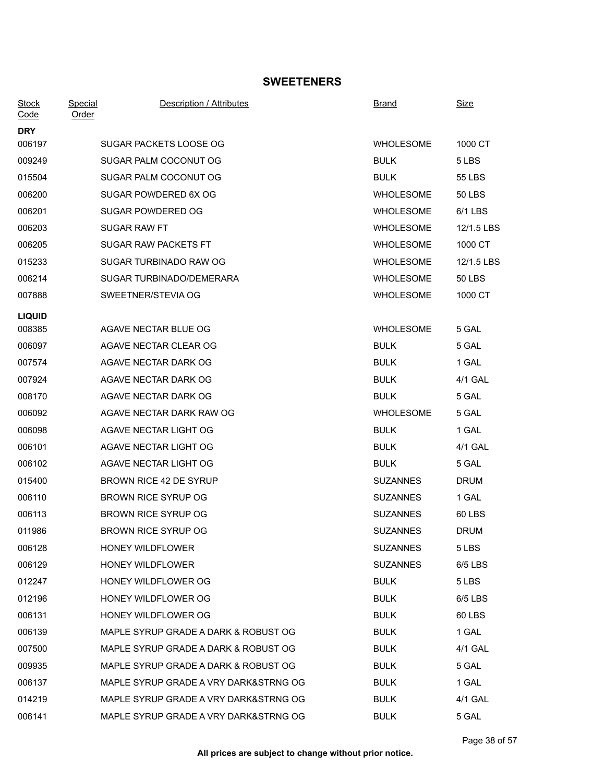## **SWEETENERS**

| <b>Stock</b><br>Code | Special<br>Order | Description / Attributes              | <b>Brand</b>     | Size          |
|----------------------|------------------|---------------------------------------|------------------|---------------|
| <b>DRY</b>           |                  |                                       |                  |               |
| 006197               |                  | SUGAR PACKETS LOOSE OG                | <b>WHOLESOME</b> | 1000 CT       |
| 009249               |                  | SUGAR PALM COCONUT OG                 | <b>BULK</b>      | 5 LBS         |
| 015504               |                  | SUGAR PALM COCONUT OG                 | <b>BULK</b>      | 55 LBS        |
| 006200               |                  | SUGAR POWDERED 6X OG                  | <b>WHOLESOME</b> | <b>50 LBS</b> |
| 006201               |                  | SUGAR POWDERED OG                     | <b>WHOLESOME</b> | 6/1 LBS       |
| 006203               |                  | <b>SUGAR RAW FT</b>                   | <b>WHOLESOME</b> | 12/1.5 LBS    |
| 006205               |                  | SUGAR RAW PACKETS FT                  | <b>WHOLESOME</b> | 1000 CT       |
| 015233               |                  | SUGAR TURBINADO RAW OG                | <b>WHOLESOME</b> | 12/1.5 LBS    |
| 006214               |                  | SUGAR TURBINADO/DEMERARA              | <b>WHOLESOME</b> | 50 LBS        |
| 007888               |                  | SWEETNER/STEVIA OG                    | <b>WHOLESOME</b> | 1000 CT       |
| <b>LIQUID</b>        |                  |                                       |                  |               |
| 008385               |                  | AGAVE NECTAR BLUE OG                  | <b>WHOLESOME</b> | 5 GAL         |
| 006097               |                  | AGAVE NECTAR CLEAR OG                 | <b>BULK</b>      | 5 GAL         |
| 007574               |                  | AGAVE NECTAR DARK OG                  | <b>BULK</b>      | 1 GAL         |
| 007924               |                  | AGAVE NECTAR DARK OG                  | <b>BULK</b>      | 4/1 GAL       |
| 008170               |                  | AGAVE NECTAR DARK OG                  | <b>BULK</b>      | 5 GAL         |
| 006092               |                  | AGAVE NECTAR DARK RAW OG              | <b>WHOLESOME</b> | 5 GAL         |
| 006098               |                  | AGAVE NECTAR LIGHT OG                 | <b>BULK</b>      | 1 GAL         |
| 006101               |                  | AGAVE NECTAR LIGHT OG                 | <b>BULK</b>      | 4/1 GAL       |
| 006102               |                  | AGAVE NECTAR LIGHT OG                 | <b>BULK</b>      | 5 GAL         |
| 015400               |                  | BROWN RICE 42 DE SYRUP                | <b>SUZANNES</b>  | <b>DRUM</b>   |
| 006110               |                  | <b>BROWN RICE SYRUP OG</b>            | <b>SUZANNES</b>  | 1 GAL         |
| 006113               |                  | <b>BROWN RICE SYRUP OG</b>            | <b>SUZANNES</b>  | 60 LBS        |
| 011986               |                  | <b>BROWN RICE SYRUP OG</b>            | <b>SUZANNES</b>  | <b>DRUM</b>   |
| 006128               |                  | HONEY WILDFLOWER                      | <b>SUZANNES</b>  | 5 LBS         |
| 006129               |                  | HONEY WILDFLOWER                      | <b>SUZANNES</b>  | 6/5 LBS       |
| 012247               |                  | HONEY WILDFLOWER OG                   | <b>BULK</b>      | 5 LBS         |
| 012196               |                  | HONEY WILDFLOWER OG                   | <b>BULK</b>      | 6/5 LBS       |
| 006131               |                  | <b>HONEY WILDFLOWER OG</b>            | <b>BULK</b>      | 60 LBS        |
| 006139               |                  | MAPLE SYRUP GRADE A DARK & ROBUST OG  | <b>BULK</b>      | 1 GAL         |
| 007500               |                  | MAPLE SYRUP GRADE A DARK & ROBUST OG  | <b>BULK</b>      | 4/1 GAL       |
| 009935               |                  | MAPLE SYRUP GRADE A DARK & ROBUST OG  | <b>BULK</b>      | 5 GAL         |
| 006137               |                  | MAPLE SYRUP GRADE A VRY DARK&STRNG OG | <b>BULK</b>      | 1 GAL         |
| 014219               |                  | MAPLE SYRUP GRADE A VRY DARK&STRNG OG | <b>BULK</b>      | 4/1 GAL       |
| 006141               |                  | MAPLE SYRUP GRADE A VRY DARK&STRNG OG | <b>BULK</b>      | 5 GAL         |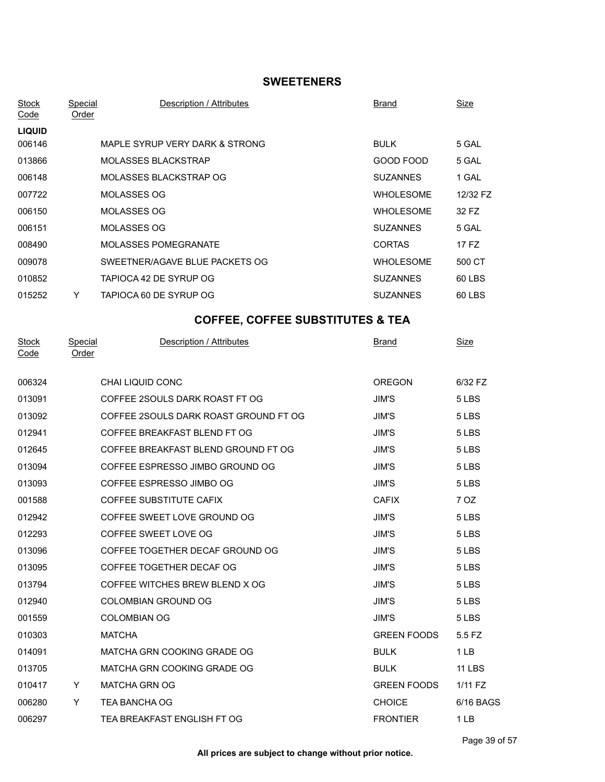## **SWEETENERS**

| <b>Stock</b><br>Code | <b>Special</b><br>Order        | Description / Attributes                    | <b>Brand</b>       | <b>Size</b>     |
|----------------------|--------------------------------|---------------------------------------------|--------------------|-----------------|
| <b>LIQUID</b>        |                                |                                             |                    |                 |
| 006146               |                                | MAPLE SYRUP VERY DARK & STRONG              | <b>BULK</b>        | 5 GAL           |
| 013866               |                                | <b>MOLASSES BLACKSTRAP</b>                  | GOOD FOOD          | 5 GAL           |
| 006148               |                                | MOLASSES BLACKSTRAP OG                      | <b>SUZANNES</b>    | 1 GAL           |
| 007722               |                                | MOLASSES OG                                 | <b>WHOLESOME</b>   | 12/32 FZ        |
| 006150               |                                | MOLASSES OG                                 | <b>WHOLESOME</b>   | 32 FZ           |
| 006151               |                                | <b>MOLASSES OG</b>                          | <b>SUZANNES</b>    | 5 GAL           |
| 008490               |                                | <b>MOLASSES POMEGRANATE</b>                 | <b>CORTAS</b>      | 17 FZ           |
| 009078               |                                | SWEETNER/AGAVE BLUE PACKETS OG              | <b>WHOLESOME</b>   | 500 CT          |
| 010852               |                                | TAPIOCA 42 DE SYRUP OG                      | <b>SUZANNES</b>    | 60 LBS          |
| 015252               | Y.                             | TAPIOCA 60 DE SYRUP OG                      | <b>SUZANNES</b>    | 60 LBS          |
|                      |                                | <b>COFFEE, COFFEE SUBSTITUTES &amp; TEA</b> |                    |                 |
| <b>Stock</b><br>Code | <b>Special</b><br><b>Order</b> | Description / Attributes                    | <u>Brand</u>       | <u>Size</u>     |
| 006324               |                                | CHAI LIQUID CONC                            | <b>OREGON</b>      | 6/32 FZ         |
| 013091               |                                | COFFEE 2SOULS DARK ROAST FT OG              | JIM'S              | 5 LBS           |
| 013092               |                                | COFFEE 2SOULS DARK ROAST GROUND FT OG       | JIM'S              | 5 LBS           |
| 012941               |                                | COFFEE BREAKFAST BLEND FT OG                | JIM'S              | 5 LBS           |
| 012645               |                                | COFFEE BREAKFAST BLEND GROUND FT OG         | JIM'S              | 5 LBS           |
| 013094               |                                | COFFEE ESPRESSO JIMBO GROUND OG             | JIM'S              | 5 LBS           |
| 013093               |                                | COFFEE ESPRESSO JIMBO OG                    | JIM'S              | 5 LBS           |
| 001588               |                                | COFFEE SUBSTITUTE CAFIX                     | <b>CAFIX</b>       | 7 OZ            |
| 012942               |                                | COFFEE SWEET LOVE GROUND OG                 | <b>JIM'S</b>       | 5 LBS           |
| 012293               |                                | COFFEE SWEET LOVE OG                        | JIM'S              | 5 LBS           |
| 013096               |                                | COFFEE TOGETHER DECAF GROUND OG             | JIM'S              | 5 LBS           |
| 013095               |                                | COFFEE TOGETHER DECAF OG                    | JIM'S              | 5 LBS           |
| 013794               |                                | COFFEE WITCHES BREW BLEND X OG              | JIM'S              | 5 LBS           |
| 012940               |                                | COLOMBIAN GROUND OG                         | <b>JIM'S</b>       | 5 LBS           |
| 001559               |                                | <b>COLOMBIAN OG</b>                         | JIM'S              | 5 LBS           |
| 010303               |                                | <b>MATCHA</b>                               | <b>GREEN FOODS</b> | 5.5 FZ          |
| 014091               |                                | MATCHA GRN COOKING GRADE OG                 | <b>BULK</b>        | 1 <sub>LB</sub> |
| 013705               |                                | MATCHA GRN COOKING GRADE OG                 | <b>BULK</b>        | <b>11 LBS</b>   |
| 010417               | <b>Example 19</b>              | MATCHA GRN OG                               | <b>GREEN FOODS</b> | 1/11 FZ         |
| 006280               | Y                              | TEA BANCHA OG                               | <b>CHOICE</b>      | 6/16 BAGS       |
| 006297               |                                | TEA BREAKFAST ENGLISH FT OG                 | <b>FRONTIER</b>    | 1LB             |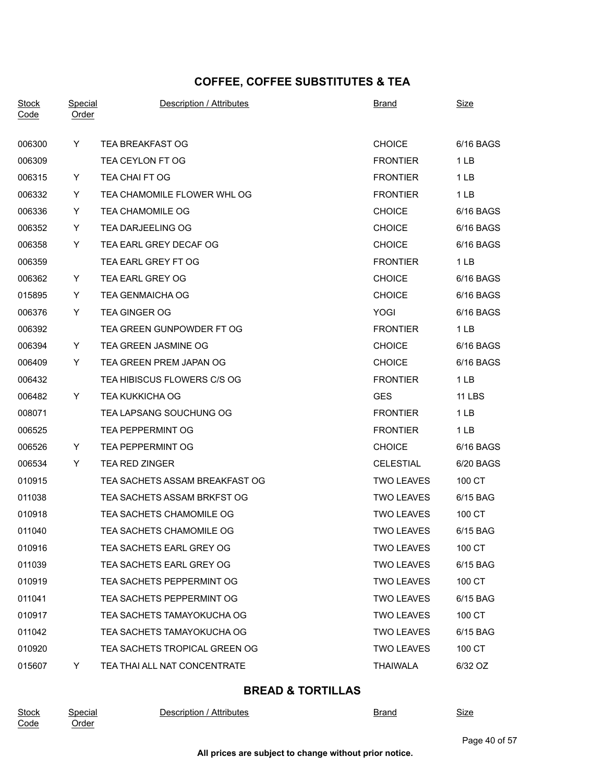# **COFFEE, COFFEE SUBSTITUTES & TEA**

| <b>Stock</b><br>Code | Special<br><u>Order</u> | Description / Attributes       | <b>Brand</b>      | <b>Size</b>     |
|----------------------|-------------------------|--------------------------------|-------------------|-----------------|
| 006300               | Y                       | TEA BREAKFAST OG               | <b>CHOICE</b>     | 6/16 BAGS       |
| 006309               |                         | TEA CEYLON FT OG               | <b>FRONTIER</b>   | 1 LB            |
| 006315               | Y                       | TEA CHAI FT OG                 | <b>FRONTIER</b>   | 1LB             |
| 006332               | Y                       | TEA CHAMOMILE FLOWER WHL OG    | <b>FRONTIER</b>   | 1LB             |
| 006336               | Y                       | TEA CHAMOMILE OG               | <b>CHOICE</b>     | 6/16 BAGS       |
| 006352               | Y                       | TEA DARJEELING OG              | <b>CHOICE</b>     | 6/16 BAGS       |
| 006358               | Y                       | TEA EARL GREY DECAF OG         | <b>CHOICE</b>     | 6/16 BAGS       |
| 006359               |                         | TEA EARL GREY FT OG            | <b>FRONTIER</b>   | 1 <sub>LB</sub> |
| 006362               | Y.                      | TEA EARL GREY OG               | <b>CHOICE</b>     | 6/16 BAGS       |
| 015895               | Y                       | <b>TEA GENMAICHA OG</b>        | <b>CHOICE</b>     | 6/16 BAGS       |
| 006376               | Y                       | <b>TEA GINGER OG</b>           | YOGI              | 6/16 BAGS       |
| 006392               |                         | TEA GREEN GUNPOWDER FT OG      | <b>FRONTIER</b>   | $1$ LB          |
| 006394               | Y                       | TEA GREEN JASMINE OG           | <b>CHOICE</b>     | 6/16 BAGS       |
| 006409               | Y                       | TEA GREEN PREM JAPAN OG        | <b>CHOICE</b>     | 6/16 BAGS       |
| 006432               |                         | TEA HIBISCUS FLOWERS C/S OG    | <b>FRONTIER</b>   | 1 <sub>LB</sub> |
| 006482               | Y.                      | <b>TEA KUKKICHA OG</b>         | <b>GES</b>        | <b>11 LBS</b>   |
| 008071               |                         | TEA LAPSANG SOUCHUNG OG        | <b>FRONTIER</b>   | 1LB             |
| 006525               |                         | <b>TEA PEPPERMINT OG</b>       | <b>FRONTIER</b>   | 1 <sub>LB</sub> |
| 006526               | Y.                      | <b>TEA PEPPERMINT OG</b>       | <b>CHOICE</b>     | 6/16 BAGS       |
| 006534               | Y                       | <b>TEA RED ZINGER</b>          | <b>CELESTIAL</b>  | 6/20 BAGS       |
| 010915               |                         | TEA SACHETS ASSAM BREAKFAST OG | <b>TWO LEAVES</b> | 100 CT          |
| 011038               |                         | TEA SACHETS ASSAM BRKFST OG    | <b>TWO LEAVES</b> | 6/15 BAG        |
| 010918               |                         | TEA SACHETS CHAMOMILE OG       | <b>TWO LEAVES</b> | 100 CT          |
| 011040               |                         | TEA SACHETS CHAMOMILE OG       | <b>TWO LEAVES</b> | 6/15 BAG        |
| 010916               |                         | TEA SACHETS EARL GREY OG       | <b>TWO LEAVES</b> | 100 CT          |
| 011039               |                         | TEA SACHETS EARL GREY OG       | <b>TWO LEAVES</b> | 6/15 BAG        |
| 010919               |                         | TEA SACHETS PEPPERMINT OG      | <b>TWO LEAVES</b> | 100 CT          |
| 011041               |                         | TEA SACHETS PEPPERMINT OG      | <b>TWO LEAVES</b> | 6/15 BAG        |
| 010917               |                         | TEA SACHETS TAMAYOKUCHA OG     | <b>TWO LEAVES</b> | 100 CT          |
| 011042               |                         | TEA SACHETS TAMAYOKUCHA OG     | <b>TWO LEAVES</b> | 6/15 BAG        |
| 010920               |                         | TEA SACHETS TROPICAL GREEN OG  | <b>TWO LEAVES</b> | 100 CT          |
| 015607               | Y.                      | TEA THAI ALL NAT CONCENTRATE   | <b>THAIWALA</b>   | 6/32 OZ         |

## **BREAD & TORTILLAS**

| <b>Stock</b> | Special           | Attributes<br>Description | Brand | <b>.</b><br>Size |
|--------------|-------------------|---------------------------|-------|------------------|
| Code         | Order<br><u>.</u> |                           |       |                  |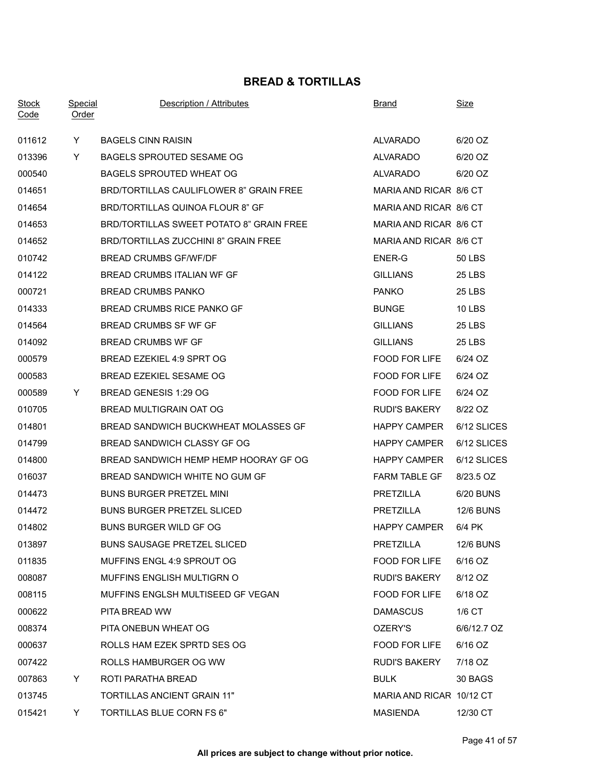## **BREAD & TORTILLAS**

| <b>Stock</b><br>Code | <b>Special</b><br><b>Order</b> | Description / Attributes                 | <b>Brand</b>             | Size             |
|----------------------|--------------------------------|------------------------------------------|--------------------------|------------------|
| 011612               | Y.                             | <b>BAGELS CINN RAISIN</b>                | ALVARADO                 | 6/20 OZ          |
| 013396               | Y.                             | BAGELS SPROUTED SESAME OG                | ALVARADO                 | 6/20 OZ          |
| 000540               |                                | BAGELS SPROUTED WHEAT OG                 | ALVARADO                 | 6/20 OZ          |
| 014651               |                                | BRD/TORTILLAS CAULIFLOWER 8" GRAIN FREE  | MARIA AND RICAR 8/6 CT   |                  |
| 014654               |                                | BRD/TORTILLAS QUINOA FLOUR 8" GF         | MARIA AND RICAR 8/6 CT   |                  |
| 014653               |                                | BRD/TORTILLAS SWEET POTATO 8" GRAIN FREE | MARIA AND RICAR 8/6 CT   |                  |
| 014652               |                                | BRD/TORTILLAS ZUCCHINI 8" GRAIN FREE     | MARIA AND RICAR 8/6 CT   |                  |
| 010742               |                                | <b>BREAD CRUMBS GF/WF/DF</b>             | ENER-G                   | <b>50 LBS</b>    |
| 014122               |                                | BREAD CRUMBS ITALIAN WF GF               | <b>GILLIANS</b>          | 25 LBS           |
| 000721               |                                | <b>BREAD CRUMBS PANKO</b>                | <b>PANKO</b>             | 25 LBS           |
| 014333               |                                | BREAD CRUMBS RICE PANKO GF               | <b>BUNGE</b>             | <b>10 LBS</b>    |
| 014564               |                                | BREAD CRUMBS SF WF GF                    | <b>GILLIANS</b>          | 25 LBS           |
| 014092               |                                | <b>BREAD CRUMBS WF GF</b>                | <b>GILLIANS</b>          | 25 LBS           |
| 000579               |                                | BREAD EZEKIEL 4:9 SPRT OG                | <b>FOOD FOR LIFE</b>     | 6/24 OZ          |
| 000583               |                                | BREAD EZEKIEL SESAME OG                  | FOOD FOR LIFE            | 6/24 OZ          |
| 000589               | Y                              | BREAD GENESIS 1:29 OG                    | FOOD FOR LIFE            | 6/24 OZ          |
| 010705               |                                | BREAD MULTIGRAIN OAT OG                  | <b>RUDI'S BAKERY</b>     | 8/22 OZ          |
| 014801               |                                | BREAD SANDWICH BUCKWHEAT MOLASSES GF     | <b>HAPPY CAMPER</b>      | 6/12 SLICES      |
| 014799               |                                | BREAD SANDWICH CLASSY GF OG              | <b>HAPPY CAMPER</b>      | 6/12 SLICES      |
| 014800               |                                | BREAD SANDWICH HEMP HEMP HOORAY GF OG    | <b>HAPPY CAMPER</b>      | 6/12 SLICES      |
| 016037               |                                | BREAD SANDWICH WHITE NO GUM GF           | <b>FARM TABLE GF</b>     | 8/23.5 OZ        |
| 014473               |                                | <b>BUNS BURGER PRETZEL MINI</b>          | PRETZILLA                | 6/20 BUNS        |
| 014472               |                                | <b>BUNS BURGER PRETZEL SLICED</b>        | PRETZILLA                | <b>12/6 BUNS</b> |
| 014802               |                                | BUNS BURGER WILD GF OG                   | <b>HAPPY CAMPER</b>      | 6/4 PK           |
| 013897               |                                | <b>BUNS SAUSAGE PRETZEL SLICED</b>       | PRETZILLA                | <b>12/6 BUNS</b> |
| 011835               |                                | MUFFINS ENGL 4:9 SPROUT OG               | FOOD FOR LIFE            | 6/16 OZ          |
| 008087               |                                | MUFFINS ENGLISH MULTIGRN O               | <b>RUDI'S BAKERY</b>     | 8/12 OZ          |
| 008115               |                                | MUFFINS ENGLSH MULTISEED GF VEGAN        | FOOD FOR LIFE            | 6/18 OZ          |
| 000622               |                                | PITA BREAD WW                            | <b>DAMASCUS</b>          | 1/6 CT           |
| 008374               |                                | PITA ONEBUN WHEAT OG                     | OZERY'S                  | 6/6/12.7 OZ      |
| 000637               |                                | ROLLS HAM EZEK SPRTD SES OG              | FOOD FOR LIFE            | 6/16 OZ          |
| 007422               |                                | ROLLS HAMBURGER OG WW                    | <b>RUDI'S BAKERY</b>     | 7/18 OZ          |
| 007863               | Y.                             | ROTI PARATHA BREAD                       | <b>BULK</b>              | 30 BAGS          |
| 013745               |                                | TORTILLAS ANCIENT GRAIN 11"              | MARIA AND RICAR 10/12 CT |                  |
| 015421               | Y                              | TORTILLAS BLUE CORN FS 6"                | <b>MASIENDA</b>          | 12/30 CT         |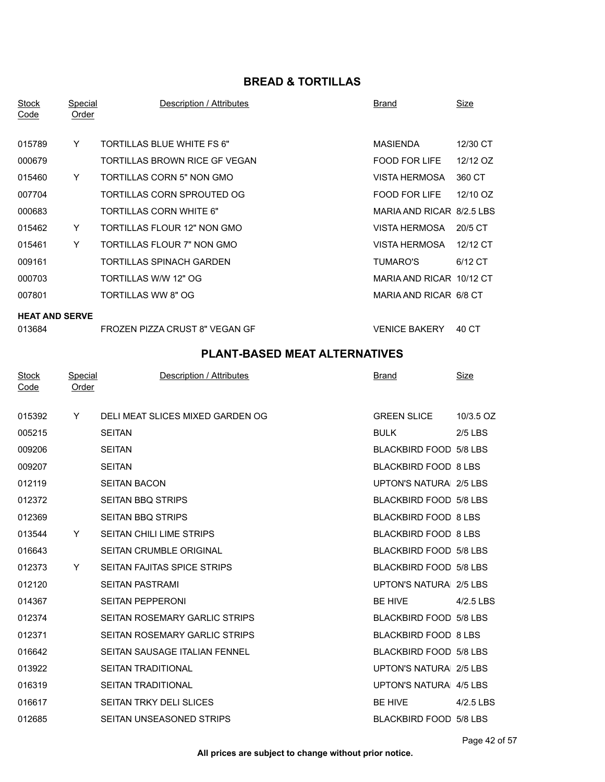## **BREAD & TORTILLAS**

| <b>Stock</b><br>Code | Special<br><b>Order</b> | Description / Attributes      | Brand                     | <b>Size</b> |
|----------------------|-------------------------|-------------------------------|---------------------------|-------------|
| 015789               | Y                       | TORTILLAS BLUE WHITE FS 6"    | MASIENDA                  | 12/30 CT    |
| 000679               |                         | TORTILLAS BROWN RICE GF VEGAN | <b>FOOD FOR LIFE</b>      | 12/12 OZ    |
| 015460               | Y                       | TORTILLAS CORN 5" NON GMO     | <b>VISTA HERMOSA</b>      | 360 CT      |
| 007704               |                         | TORTILLAS CORN SPROUTED OG    | FOOD FOR LIFE             | 12/10 OZ    |
| 000683               |                         | TORTILLAS CORN WHITE 6"       | MARIA AND RICAR 8/2.5 LBS |             |
| 015462               | Y                       | TORTILLAS FLOUR 12" NON GMO   | VISTA HERMOSA             | 20/5 CT     |
| 015461               | Y                       | TORTILLAS FLOUR 7" NON GMO    | VISTA HERMOSA             | 12/12 CT    |
| 009161               |                         | TORTILLAS SPINACH GARDEN      | TUMARO'S                  | 6/12 CT     |
| 000703               |                         | TORTILLAS W/W 12" OG          | MARIA AND RICAR 10/12 CT  |             |
| 007801               |                         | TORTILLAS WW 8" OG            | MARIA AND RICAR 6/8 CT    |             |
|                      |                         |                               |                           |             |

#### **HEAT AND SERVE**

|  | 013684 |  |
|--|--------|--|
|--|--------|--|

FROZEN PIZZA CRUST 8" VEGAN GF FROZEN PIZZA CRUST 8" VEGAN GF

| <b>Stock</b><br>Code | Special<br>Order | Description / Attributes         | <b>Brand</b>                | <u>Size</u> |
|----------------------|------------------|----------------------------------|-----------------------------|-------------|
| 015392               | Y                | DELI MEAT SLICES MIXED GARDEN OG | <b>GREEN SLICE</b>          | 10/3.5 OZ   |
| 005215               |                  | <b>SEITAN</b>                    | <b>BULK</b>                 | $2/5$ LBS   |
| 009206               |                  | <b>SEITAN</b>                    | BLACKBIRD FOOD 5/8 LBS      |             |
| 009207               |                  | <b>SEITAN</b>                    | BLACKBIRD FOOD 8 LBS        |             |
| 012119               |                  | <b>SEITAN BACON</b>              | UPTON'S NATURA 2/5 LBS      |             |
| 012372               |                  | <b>SEITAN BBQ STRIPS</b>         | BLACKBIRD FOOD 5/8 LBS      |             |
| 012369               |                  | <b>SEITAN BBQ STRIPS</b>         | <b>BLACKBIRD FOOD 8 LBS</b> |             |
| 013544               | Y                | <b>SEITAN CHILI LIME STRIPS</b>  | <b>BLACKBIRD FOOD 8 LBS</b> |             |
| 016643               |                  | <b>SEITAN CRUMBLE ORIGINAL</b>   | BLACKBIRD FOOD 5/8 LBS      |             |
| 012373               | Y                | SEITAN FAJITAS SPICE STRIPS      | BLACKBIRD FOOD 5/8 LBS      |             |
| 012120               |                  | <b>SEITAN PASTRAMI</b>           | UPTON'S NATURA 2/5 LBS      |             |
| 014367               |                  | <b>SEITAN PEPPERONI</b>          | <b>BE HIVE</b>              | 4/2.5 LBS   |
| 012374               |                  | SEITAN ROSEMARY GARLIC STRIPS    | BLACKBIRD FOOD 5/8 LBS      |             |
| 012371               |                  | SEITAN ROSEMARY GARLIC STRIPS    | <b>BLACKBIRD FOOD 8 LBS</b> |             |
| 016642               |                  | SEITAN SAUSAGE ITALIAN FENNEL    | BLACKBIRD FOOD 5/8 LBS      |             |
| 013922               |                  | <b>SEITAN TRADITIONAL</b>        | UPTON'S NATURA 2/5 LBS      |             |
| 016319               |                  | SEITAN TRADITIONAL               | UPTON'S NATURA 4/5 LBS      |             |
| 016617               |                  | <b>SEITAN TRKY DELI SLICES</b>   | BE HIVE                     | 4/2.5 LBS   |
| 012685               |                  | SEITAN UNSEASONED STRIPS         | BLACKBIRD FOOD 5/8 LBS      |             |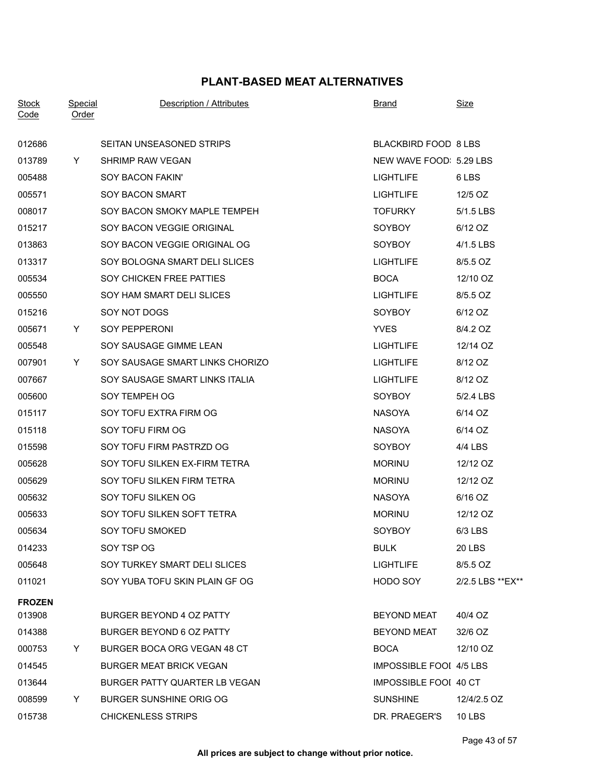| BLACKBIRD FOOD 8 LBS<br>SEITAN UNSEASONED STRIPS<br>012686<br>NEW WAVE FOOD: 5.29 LBS<br>013789<br>SHRIMP RAW VEGAN<br>Y.<br>005488<br>SOY BACON FAKIN'<br><b>LIGHTLIFE</b><br>6 LBS<br>005571<br>SOY BACON SMART<br><b>LIGHTLIFE</b><br>12/5 OZ<br>008017<br>SOY BACON SMOKY MAPLE TEMPEH<br><b>TOFURKY</b><br>5/1.5 LBS<br>SOY BACON VEGGIE ORIGINAL<br>SOYBOY<br>015217<br>6/12 OZ<br>013863<br>SOY BACON VEGGIE ORIGINAL OG<br><b>SOYBOY</b><br>4/1.5 LBS<br>013317<br>SOY BOLOGNA SMART DELI SLICES<br><b>LIGHTLIFE</b><br>8/5.5 OZ<br>SOY CHICKEN FREE PATTIES<br><b>BOCA</b><br>005534<br>12/10 OZ<br>SOY HAM SMART DELI SLICES<br><b>LIGHTLIFE</b><br>8/5.5 OZ<br>005550<br>015216<br>SOY NOT DOGS<br><b>SOYBOY</b><br>6/12 OZ<br>005671<br>SOY PEPPERONI<br><b>YVES</b><br>8/4.2 OZ<br>Y.<br>SOY SAUSAGE GIMME LEAN<br>12/14 OZ<br>005548<br><b>LIGHTLIFE</b><br>SOY SAUSAGE SMART LINKS CHORIZO<br><b>LIGHTLIFE</b><br>8/12 OZ<br>007901<br>Y.<br>SOY SAUSAGE SMART LINKS ITALIA<br><b>LIGHTLIFE</b><br>8/12 OZ<br>007667<br>SOY TEMPEH OG<br>005600<br><b>SOYBOY</b><br>5/2.4 LBS<br>SOY TOFU EXTRA FIRM OG<br><b>NASOYA</b><br>015117<br>6/14 OZ<br>015118<br>SOY TOFU FIRM OG<br><b>NASOYA</b><br>6/14 OZ<br>015598<br>SOY TOFU FIRM PASTRZD OG<br><b>SOYBOY</b><br>4/4 LBS<br>005628<br>SOY TOFU SILKEN EX-FIRM TETRA<br><b>MORINU</b><br>12/12 OZ<br>SOY TOFU SILKEN FIRM TETRA<br>005629<br><b>MORINU</b><br>12/12 OZ<br>SOY TOFU SILKEN OG<br><b>NASOYA</b><br>005632<br>6/16 OZ<br>005633<br>SOY TOFU SILKEN SOFT TETRA<br><b>MORINU</b><br>12/12 OZ<br>SOY TOFU SMOKED<br>SOYBOY<br>005634<br>$6/3$ LBS<br>014233<br>SOY TSP OG<br><b>BULK</b><br><b>20 LBS</b><br>005648<br>SOY TURKEY SMART DELI SLICES<br><b>LIGHTLIFE</b><br>8/5.5 OZ<br>011021<br>SOY YUBA TOFU SKIN PLAIN GF OG<br>HODO SOY<br>2/2.5 LBS ** EX**<br><b>FROZEN</b><br>013908<br>BURGER BEYOND 4 OZ PATTY<br><b>BEYOND MEAT</b><br>40/4 OZ<br>014388<br>BURGER BEYOND 6 OZ PATTY<br><b>BEYOND MEAT</b><br>32/6 OZ<br>000753<br>BURGER BOCA ORG VEGAN 48 CT<br><b>BOCA</b><br>12/10 OZ<br>Y.<br>014545<br><b>BURGER MEAT BRICK VEGAN</b><br><b>IMPOSSIBLE FOOI 4/5 LBS</b><br>013644<br>BURGER PATTY QUARTER LB VEGAN<br>IMPOSSIBLE FOOI 40 CT<br>008599<br><b>BURGER SUNSHINE ORIG OG</b><br><b>SUNSHINE</b><br>12/4/2.5 OZ<br>Y<br>015738<br><b>CHICKENLESS STRIPS</b><br>DR. PRAEGER'S<br><b>10 LBS</b> | <b>Stock</b><br>Code | <u>Special</u><br>Order | Description / Attributes | <b>Brand</b> | <b>Size</b> |
|--------------------------------------------------------------------------------------------------------------------------------------------------------------------------------------------------------------------------------------------------------------------------------------------------------------------------------------------------------------------------------------------------------------------------------------------------------------------------------------------------------------------------------------------------------------------------------------------------------------------------------------------------------------------------------------------------------------------------------------------------------------------------------------------------------------------------------------------------------------------------------------------------------------------------------------------------------------------------------------------------------------------------------------------------------------------------------------------------------------------------------------------------------------------------------------------------------------------------------------------------------------------------------------------------------------------------------------------------------------------------------------------------------------------------------------------------------------------------------------------------------------------------------------------------------------------------------------------------------------------------------------------------------------------------------------------------------------------------------------------------------------------------------------------------------------------------------------------------------------------------------------------------------------------------------------------------------------------------------------------------------------------------------------------------------------------------------------------------------------------------------------------------------------------------------------------------------------------------------------------------------------------------------------------------------------------------------------------------------------------------------------------------|----------------------|-------------------------|--------------------------|--------------|-------------|
|                                                                                                                                                                                                                                                                                                                                                                                                                                                                                                                                                                                                                                                                                                                                                                                                                                                                                                                                                                                                                                                                                                                                                                                                                                                                                                                                                                                                                                                                                                                                                                                                                                                                                                                                                                                                                                                                                                                                                                                                                                                                                                                                                                                                                                                                                                                                                                                                  |                      |                         |                          |              |             |
|                                                                                                                                                                                                                                                                                                                                                                                                                                                                                                                                                                                                                                                                                                                                                                                                                                                                                                                                                                                                                                                                                                                                                                                                                                                                                                                                                                                                                                                                                                                                                                                                                                                                                                                                                                                                                                                                                                                                                                                                                                                                                                                                                                                                                                                                                                                                                                                                  |                      |                         |                          |              |             |
|                                                                                                                                                                                                                                                                                                                                                                                                                                                                                                                                                                                                                                                                                                                                                                                                                                                                                                                                                                                                                                                                                                                                                                                                                                                                                                                                                                                                                                                                                                                                                                                                                                                                                                                                                                                                                                                                                                                                                                                                                                                                                                                                                                                                                                                                                                                                                                                                  |                      |                         |                          |              |             |
|                                                                                                                                                                                                                                                                                                                                                                                                                                                                                                                                                                                                                                                                                                                                                                                                                                                                                                                                                                                                                                                                                                                                                                                                                                                                                                                                                                                                                                                                                                                                                                                                                                                                                                                                                                                                                                                                                                                                                                                                                                                                                                                                                                                                                                                                                                                                                                                                  |                      |                         |                          |              |             |
|                                                                                                                                                                                                                                                                                                                                                                                                                                                                                                                                                                                                                                                                                                                                                                                                                                                                                                                                                                                                                                                                                                                                                                                                                                                                                                                                                                                                                                                                                                                                                                                                                                                                                                                                                                                                                                                                                                                                                                                                                                                                                                                                                                                                                                                                                                                                                                                                  |                      |                         |                          |              |             |
|                                                                                                                                                                                                                                                                                                                                                                                                                                                                                                                                                                                                                                                                                                                                                                                                                                                                                                                                                                                                                                                                                                                                                                                                                                                                                                                                                                                                                                                                                                                                                                                                                                                                                                                                                                                                                                                                                                                                                                                                                                                                                                                                                                                                                                                                                                                                                                                                  |                      |                         |                          |              |             |
|                                                                                                                                                                                                                                                                                                                                                                                                                                                                                                                                                                                                                                                                                                                                                                                                                                                                                                                                                                                                                                                                                                                                                                                                                                                                                                                                                                                                                                                                                                                                                                                                                                                                                                                                                                                                                                                                                                                                                                                                                                                                                                                                                                                                                                                                                                                                                                                                  |                      |                         |                          |              |             |
|                                                                                                                                                                                                                                                                                                                                                                                                                                                                                                                                                                                                                                                                                                                                                                                                                                                                                                                                                                                                                                                                                                                                                                                                                                                                                                                                                                                                                                                                                                                                                                                                                                                                                                                                                                                                                                                                                                                                                                                                                                                                                                                                                                                                                                                                                                                                                                                                  |                      |                         |                          |              |             |
|                                                                                                                                                                                                                                                                                                                                                                                                                                                                                                                                                                                                                                                                                                                                                                                                                                                                                                                                                                                                                                                                                                                                                                                                                                                                                                                                                                                                                                                                                                                                                                                                                                                                                                                                                                                                                                                                                                                                                                                                                                                                                                                                                                                                                                                                                                                                                                                                  |                      |                         |                          |              |             |
|                                                                                                                                                                                                                                                                                                                                                                                                                                                                                                                                                                                                                                                                                                                                                                                                                                                                                                                                                                                                                                                                                                                                                                                                                                                                                                                                                                                                                                                                                                                                                                                                                                                                                                                                                                                                                                                                                                                                                                                                                                                                                                                                                                                                                                                                                                                                                                                                  |                      |                         |                          |              |             |
|                                                                                                                                                                                                                                                                                                                                                                                                                                                                                                                                                                                                                                                                                                                                                                                                                                                                                                                                                                                                                                                                                                                                                                                                                                                                                                                                                                                                                                                                                                                                                                                                                                                                                                                                                                                                                                                                                                                                                                                                                                                                                                                                                                                                                                                                                                                                                                                                  |                      |                         |                          |              |             |
|                                                                                                                                                                                                                                                                                                                                                                                                                                                                                                                                                                                                                                                                                                                                                                                                                                                                                                                                                                                                                                                                                                                                                                                                                                                                                                                                                                                                                                                                                                                                                                                                                                                                                                                                                                                                                                                                                                                                                                                                                                                                                                                                                                                                                                                                                                                                                                                                  |                      |                         |                          |              |             |
|                                                                                                                                                                                                                                                                                                                                                                                                                                                                                                                                                                                                                                                                                                                                                                                                                                                                                                                                                                                                                                                                                                                                                                                                                                                                                                                                                                                                                                                                                                                                                                                                                                                                                                                                                                                                                                                                                                                                                                                                                                                                                                                                                                                                                                                                                                                                                                                                  |                      |                         |                          |              |             |
|                                                                                                                                                                                                                                                                                                                                                                                                                                                                                                                                                                                                                                                                                                                                                                                                                                                                                                                                                                                                                                                                                                                                                                                                                                                                                                                                                                                                                                                                                                                                                                                                                                                                                                                                                                                                                                                                                                                                                                                                                                                                                                                                                                                                                                                                                                                                                                                                  |                      |                         |                          |              |             |
|                                                                                                                                                                                                                                                                                                                                                                                                                                                                                                                                                                                                                                                                                                                                                                                                                                                                                                                                                                                                                                                                                                                                                                                                                                                                                                                                                                                                                                                                                                                                                                                                                                                                                                                                                                                                                                                                                                                                                                                                                                                                                                                                                                                                                                                                                                                                                                                                  |                      |                         |                          |              |             |
|                                                                                                                                                                                                                                                                                                                                                                                                                                                                                                                                                                                                                                                                                                                                                                                                                                                                                                                                                                                                                                                                                                                                                                                                                                                                                                                                                                                                                                                                                                                                                                                                                                                                                                                                                                                                                                                                                                                                                                                                                                                                                                                                                                                                                                                                                                                                                                                                  |                      |                         |                          |              |             |
|                                                                                                                                                                                                                                                                                                                                                                                                                                                                                                                                                                                                                                                                                                                                                                                                                                                                                                                                                                                                                                                                                                                                                                                                                                                                                                                                                                                                                                                                                                                                                                                                                                                                                                                                                                                                                                                                                                                                                                                                                                                                                                                                                                                                                                                                                                                                                                                                  |                      |                         |                          |              |             |
|                                                                                                                                                                                                                                                                                                                                                                                                                                                                                                                                                                                                                                                                                                                                                                                                                                                                                                                                                                                                                                                                                                                                                                                                                                                                                                                                                                                                                                                                                                                                                                                                                                                                                                                                                                                                                                                                                                                                                                                                                                                                                                                                                                                                                                                                                                                                                                                                  |                      |                         |                          |              |             |
|                                                                                                                                                                                                                                                                                                                                                                                                                                                                                                                                                                                                                                                                                                                                                                                                                                                                                                                                                                                                                                                                                                                                                                                                                                                                                                                                                                                                                                                                                                                                                                                                                                                                                                                                                                                                                                                                                                                                                                                                                                                                                                                                                                                                                                                                                                                                                                                                  |                      |                         |                          |              |             |
|                                                                                                                                                                                                                                                                                                                                                                                                                                                                                                                                                                                                                                                                                                                                                                                                                                                                                                                                                                                                                                                                                                                                                                                                                                                                                                                                                                                                                                                                                                                                                                                                                                                                                                                                                                                                                                                                                                                                                                                                                                                                                                                                                                                                                                                                                                                                                                                                  |                      |                         |                          |              |             |
|                                                                                                                                                                                                                                                                                                                                                                                                                                                                                                                                                                                                                                                                                                                                                                                                                                                                                                                                                                                                                                                                                                                                                                                                                                                                                                                                                                                                                                                                                                                                                                                                                                                                                                                                                                                                                                                                                                                                                                                                                                                                                                                                                                                                                                                                                                                                                                                                  |                      |                         |                          |              |             |
|                                                                                                                                                                                                                                                                                                                                                                                                                                                                                                                                                                                                                                                                                                                                                                                                                                                                                                                                                                                                                                                                                                                                                                                                                                                                                                                                                                                                                                                                                                                                                                                                                                                                                                                                                                                                                                                                                                                                                                                                                                                                                                                                                                                                                                                                                                                                                                                                  |                      |                         |                          |              |             |
|                                                                                                                                                                                                                                                                                                                                                                                                                                                                                                                                                                                                                                                                                                                                                                                                                                                                                                                                                                                                                                                                                                                                                                                                                                                                                                                                                                                                                                                                                                                                                                                                                                                                                                                                                                                                                                                                                                                                                                                                                                                                                                                                                                                                                                                                                                                                                                                                  |                      |                         |                          |              |             |
|                                                                                                                                                                                                                                                                                                                                                                                                                                                                                                                                                                                                                                                                                                                                                                                                                                                                                                                                                                                                                                                                                                                                                                                                                                                                                                                                                                                                                                                                                                                                                                                                                                                                                                                                                                                                                                                                                                                                                                                                                                                                                                                                                                                                                                                                                                                                                                                                  |                      |                         |                          |              |             |
|                                                                                                                                                                                                                                                                                                                                                                                                                                                                                                                                                                                                                                                                                                                                                                                                                                                                                                                                                                                                                                                                                                                                                                                                                                                                                                                                                                                                                                                                                                                                                                                                                                                                                                                                                                                                                                                                                                                                                                                                                                                                                                                                                                                                                                                                                                                                                                                                  |                      |                         |                          |              |             |
|                                                                                                                                                                                                                                                                                                                                                                                                                                                                                                                                                                                                                                                                                                                                                                                                                                                                                                                                                                                                                                                                                                                                                                                                                                                                                                                                                                                                                                                                                                                                                                                                                                                                                                                                                                                                                                                                                                                                                                                                                                                                                                                                                                                                                                                                                                                                                                                                  |                      |                         |                          |              |             |
|                                                                                                                                                                                                                                                                                                                                                                                                                                                                                                                                                                                                                                                                                                                                                                                                                                                                                                                                                                                                                                                                                                                                                                                                                                                                                                                                                                                                                                                                                                                                                                                                                                                                                                                                                                                                                                                                                                                                                                                                                                                                                                                                                                                                                                                                                                                                                                                                  |                      |                         |                          |              |             |
|                                                                                                                                                                                                                                                                                                                                                                                                                                                                                                                                                                                                                                                                                                                                                                                                                                                                                                                                                                                                                                                                                                                                                                                                                                                                                                                                                                                                                                                                                                                                                                                                                                                                                                                                                                                                                                                                                                                                                                                                                                                                                                                                                                                                                                                                                                                                                                                                  |                      |                         |                          |              |             |
|                                                                                                                                                                                                                                                                                                                                                                                                                                                                                                                                                                                                                                                                                                                                                                                                                                                                                                                                                                                                                                                                                                                                                                                                                                                                                                                                                                                                                                                                                                                                                                                                                                                                                                                                                                                                                                                                                                                                                                                                                                                                                                                                                                                                                                                                                                                                                                                                  |                      |                         |                          |              |             |
|                                                                                                                                                                                                                                                                                                                                                                                                                                                                                                                                                                                                                                                                                                                                                                                                                                                                                                                                                                                                                                                                                                                                                                                                                                                                                                                                                                                                                                                                                                                                                                                                                                                                                                                                                                                                                                                                                                                                                                                                                                                                                                                                                                                                                                                                                                                                                                                                  |                      |                         |                          |              |             |
|                                                                                                                                                                                                                                                                                                                                                                                                                                                                                                                                                                                                                                                                                                                                                                                                                                                                                                                                                                                                                                                                                                                                                                                                                                                                                                                                                                                                                                                                                                                                                                                                                                                                                                                                                                                                                                                                                                                                                                                                                                                                                                                                                                                                                                                                                                                                                                                                  |                      |                         |                          |              |             |
|                                                                                                                                                                                                                                                                                                                                                                                                                                                                                                                                                                                                                                                                                                                                                                                                                                                                                                                                                                                                                                                                                                                                                                                                                                                                                                                                                                                                                                                                                                                                                                                                                                                                                                                                                                                                                                                                                                                                                                                                                                                                                                                                                                                                                                                                                                                                                                                                  |                      |                         |                          |              |             |
|                                                                                                                                                                                                                                                                                                                                                                                                                                                                                                                                                                                                                                                                                                                                                                                                                                                                                                                                                                                                                                                                                                                                                                                                                                                                                                                                                                                                                                                                                                                                                                                                                                                                                                                                                                                                                                                                                                                                                                                                                                                                                                                                                                                                                                                                                                                                                                                                  |                      |                         |                          |              |             |
|                                                                                                                                                                                                                                                                                                                                                                                                                                                                                                                                                                                                                                                                                                                                                                                                                                                                                                                                                                                                                                                                                                                                                                                                                                                                                                                                                                                                                                                                                                                                                                                                                                                                                                                                                                                                                                                                                                                                                                                                                                                                                                                                                                                                                                                                                                                                                                                                  |                      |                         |                          |              |             |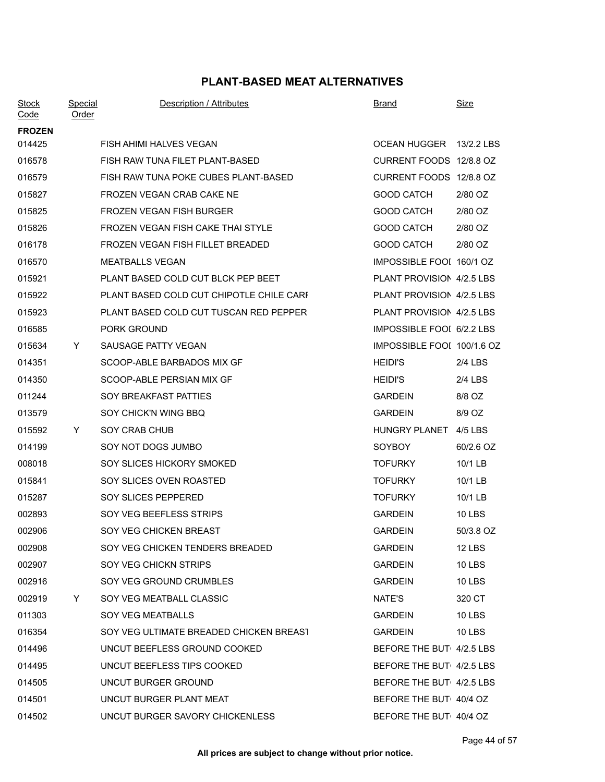| <b>Stock</b><br><u>Code</u> | <u>Special</u><br>Order | Description / Attributes                 | <b>Brand</b>               | <u>Size</u>   |
|-----------------------------|-------------------------|------------------------------------------|----------------------------|---------------|
| <b>FROZEN</b>               |                         |                                          |                            |               |
| 014425                      |                         | FISH AHIMI HALVES VEGAN                  | OCEAN HUGGER 13/2.2 LBS    |               |
| 016578                      |                         | FISH RAW TUNA FILET PLANT-BASED          | CURRENT FOODS 12/8.8 OZ    |               |
| 016579                      |                         | FISH RAW TUNA POKE CUBES PLANT-BASED     | CURRENT FOODS 12/8.8 OZ    |               |
| 015827                      |                         | FROZEN VEGAN CRAB CAKE NE                | <b>GOOD CATCH</b>          | 2/80 OZ       |
| 015825                      |                         | FROZEN VEGAN FISH BURGER                 | <b>GOOD CATCH</b>          | 2/80 OZ       |
| 015826                      |                         | FROZEN VEGAN FISH CAKE THAI STYLE        | <b>GOOD CATCH</b>          | 2/80 OZ       |
| 016178                      |                         | FROZEN VEGAN FISH FILLET BREADED         | <b>GOOD CATCH</b>          | 2/80 OZ       |
| 016570                      |                         | <b>MEATBALLS VEGAN</b>                   | IMPOSSIBLE FOOI 160/1 OZ   |               |
| 015921                      |                         | PLANT BASED COLD CUT BLCK PEP BEET       | PLANT PROVISION 4/2.5 LBS  |               |
| 015922                      |                         | PLANT BASED COLD CUT CHIPOTLE CHILE CARF | PLANT PROVISION 4/2.5 LBS  |               |
| 015923                      |                         | PLANT BASED COLD CUT TUSCAN RED PEPPER   | PLANT PROVISION 4/2.5 LBS  |               |
| 016585                      |                         | <b>PORK GROUND</b>                       | IMPOSSIBLE FOOI 6/2.2 LBS  |               |
| 015634                      | Y                       | SAUSAGE PATTY VEGAN                      | IMPOSSIBLE FOOI 100/1.6 OZ |               |
| 014351                      |                         | SCOOP-ABLE BARBADOS MIX GF               | <b>HEIDI'S</b>             | $2/4$ LBS     |
| 014350                      |                         | SCOOP-ABLE PERSIAN MIX GF                | <b>HEIDI'S</b>             | $2/4$ LBS     |
| 011244                      |                         | SOY BREAKFAST PATTIES                    | <b>GARDEIN</b>             | 8/8 OZ        |
| 013579                      |                         | SOY CHICK'N WING BBQ                     | <b>GARDEIN</b>             | 8/9 OZ        |
| 015592                      | Y.                      | SOY CRAB CHUB                            | HUNGRY PLANET 4/5 LBS      |               |
| 014199                      |                         | SOY NOT DOGS JUMBO                       | <b>SOYBOY</b>              | 60/2.6 OZ     |
| 008018                      |                         | SOY SLICES HICKORY SMOKED                | <b>TOFURKY</b>             | 10/1 LB       |
| 015841                      |                         | SOY SLICES OVEN ROASTED                  | <b>TOFURKY</b>             | 10/1 LB       |
| 015287                      |                         | SOY SLICES PEPPERED                      | <b>TOFURKY</b>             | 10/1 LB       |
| 002893                      |                         | SOY VEG BEEFLESS STRIPS                  | <b>GARDEIN</b>             | <b>10 LBS</b> |
| 002906                      |                         | SOY VEG CHICKEN BREAST                   | <b>GARDEIN</b>             | 50/3.8 OZ     |
| 002908                      |                         | SOY VEG CHICKEN TENDERS BREADED          | <b>GARDEIN</b>             | <b>12 LBS</b> |
| 002907                      |                         | SOY VEG CHICKN STRIPS                    | <b>GARDEIN</b>             | <b>10 LBS</b> |
| 002916                      |                         | SOY VEG GROUND CRUMBLES                  | <b>GARDEIN</b>             | <b>10 LBS</b> |
| 002919                      | Y                       | SOY VEG MEATBALL CLASSIC                 | NATE'S                     | 320 CT        |
| 011303                      |                         | SOY VEG MEATBALLS                        | GARDEIN                    | 10 LBS        |
| 016354                      |                         | SOY VEG ULTIMATE BREADED CHICKEN BREAST  | <b>GARDEIN</b>             | <b>10 LBS</b> |
| 014496                      |                         | UNCUT BEEFLESS GROUND COOKED             | BEFORE THE BUT 4/2.5 LBS   |               |
| 014495                      |                         | UNCUT BEEFLESS TIPS COOKED               | BEFORE THE BUT 4/2.5 LBS   |               |
| 014505                      |                         | UNCUT BURGER GROUND                      | BEFORE THE BUT 4/2.5 LBS   |               |
| 014501                      |                         | UNCUT BURGER PLANT MEAT                  | BEFORE THE BUT 40/4 OZ     |               |
| 014502                      |                         | UNCUT BURGER SAVORY CHICKENLESS          | BEFORE THE BUT 40/4 OZ     |               |
|                             |                         |                                          |                            |               |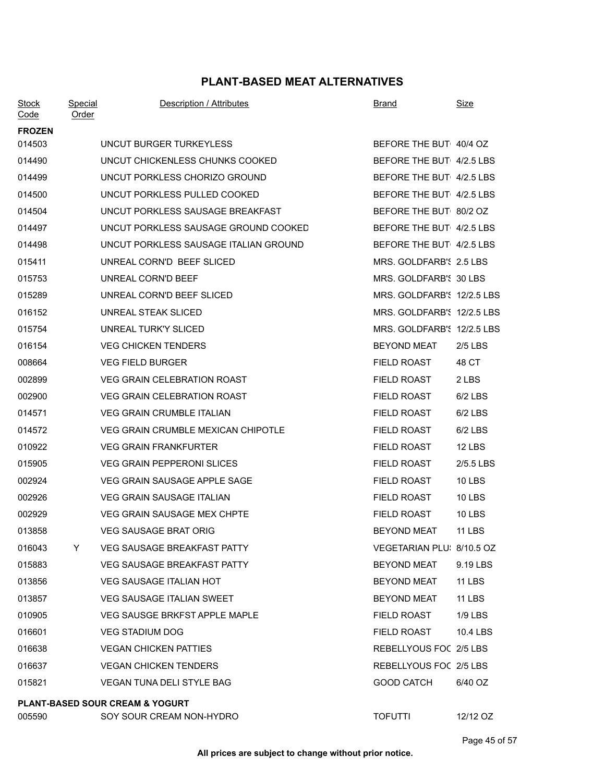| <b>Stock</b><br>Code | <b>Special</b><br>Order | Description / Attributes                   | <b>Brand</b>               | <u>Size</u>   |
|----------------------|-------------------------|--------------------------------------------|----------------------------|---------------|
| <b>FROZEN</b>        |                         |                                            |                            |               |
| 014503               |                         | UNCUT BURGER TURKEYLESS                    | BEFORE THE BUT 40/4 OZ     |               |
| 014490               |                         | UNCUT CHICKENLESS CHUNKS COOKED            | BEFORE THE BUT 4/2.5 LBS   |               |
| 014499               |                         | UNCUT PORKLESS CHORIZO GROUND              | BEFORE THE BUT 4/2.5 LBS   |               |
| 014500               |                         | UNCUT PORKLESS PULLED COOKED               | BEFORE THE BUT 4/2.5 LBS   |               |
| 014504               |                         | UNCUT PORKLESS SAUSAGE BREAKFAST           | BEFORE THE BUT 80/2 OZ     |               |
| 014497               |                         | UNCUT PORKLESS SAUSAGE GROUND COOKED       | BEFORE THE BUT 4/2.5 LBS   |               |
| 014498               |                         | UNCUT PORKLESS SAUSAGE ITALIAN GROUND      | BEFORE THE BUT 4/2.5 LBS   |               |
| 015411               |                         | UNREAL CORN'D BEEF SLICED                  | MRS. GOLDFARB'S 2.5 LBS    |               |
| 015753               |                         | UNREAL CORN'D BEEF                         | MRS. GOLDFARB'S 30 LBS     |               |
| 015289               |                         | UNREAL CORN'D BEEF SLICED                  | MRS. GOLDFARB'S 12/2.5 LBS |               |
| 016152               |                         | UNREAL STEAK SLICED                        | MRS. GOLDFARB'S 12/2.5 LBS |               |
| 015754               |                         | UNREAL TURK'Y SLICED                       | MRS. GOLDFARB'S 12/2.5 LBS |               |
| 016154               |                         | <b>VEG CHICKEN TENDERS</b>                 | <b>BEYOND MEAT</b>         | $2/5$ LBS     |
| 008664               |                         | <b>VEG FIELD BURGER</b>                    | <b>FIELD ROAST</b>         | 48 CT         |
| 002899               |                         | <b>VEG GRAIN CELEBRATION ROAST</b>         | <b>FIELD ROAST</b>         | 2 LBS         |
| 002900               |                         | <b>VEG GRAIN CELEBRATION ROAST</b>         | <b>FIELD ROAST</b>         | $6/2$ LBS     |
| 014571               |                         | <b>VEG GRAIN CRUMBLE ITALIAN</b>           | <b>FIELD ROAST</b>         | $6/2$ LBS     |
| 014572               |                         | VEG GRAIN CRUMBLE MEXICAN CHIPOTLE         | <b>FIELD ROAST</b>         | $6/2$ LBS     |
| 010922               |                         | <b>VEG GRAIN FRANKFURTER</b>               | <b>FIELD ROAST</b>         | <b>12 LBS</b> |
| 015905               |                         | <b>VEG GRAIN PEPPERONI SLICES</b>          | <b>FIELD ROAST</b>         | 2/5.5 LBS     |
| 002924               |                         | <b>VEG GRAIN SAUSAGE APPLE SAGE</b>        | <b>FIELD ROAST</b>         | <b>10 LBS</b> |
| 002926               |                         | <b>VEG GRAIN SAUSAGE ITALIAN</b>           | <b>FIELD ROAST</b>         | <b>10 LBS</b> |
| 002929               |                         | <b>VEG GRAIN SAUSAGE MEX CHPTE</b>         | <b>FIELD ROAST</b>         | <b>10 LBS</b> |
| 013858               |                         | <b>VEG SAUSAGE BRAT ORIG</b>               | <b>BEYOND MEAT</b>         | <b>11 LBS</b> |
| 016043               | Y                       | <b>VEG SAUSAGE BREAKFAST PATTY</b>         | VEGETARIAN PLU: 8/10.5 OZ  |               |
| 015883               |                         | <b>VEG SAUSAGE BREAKFAST PATTY</b>         | <b>BEYOND MEAT</b>         | 9.19 LBS      |
| 013856               |                         | <b>VEG SAUSAGE ITALIAN HOT</b>             | <b>BEYOND MEAT</b>         | <b>11 LBS</b> |
| 013857               |                         | VEG SAUSAGE ITALIAN SWEET                  | <b>BEYOND MEAT</b>         | <b>11 LBS</b> |
| 010905               |                         | VEG SAUSGE BRKFST APPLE MAPLE              | <b>FIELD ROAST</b>         | $1/9$ LBS     |
| 016601               |                         | <b>VEG STADIUM DOG</b>                     | <b>FIELD ROAST</b>         | 10.4 LBS      |
| 016638               |                         | <b>VEGAN CHICKEN PATTIES</b>               | REBELLYOUS FOC 2/5 LBS     |               |
| 016637               |                         | <b>VEGAN CHICKEN TENDERS</b>               | REBELLYOUS FOC 2/5 LBS     |               |
| 015821               |                         | <b>VEGAN TUNA DELI STYLE BAG</b>           | <b>GOOD CATCH</b>          | 6/40 OZ       |
|                      |                         | <b>PLANT-BASED SOUR CREAM &amp; YOGURT</b> |                            |               |
| 005590               |                         | SOY SOUR CREAM NON-HYDRO                   | <b>TOFUTTI</b>             | 12/12 OZ      |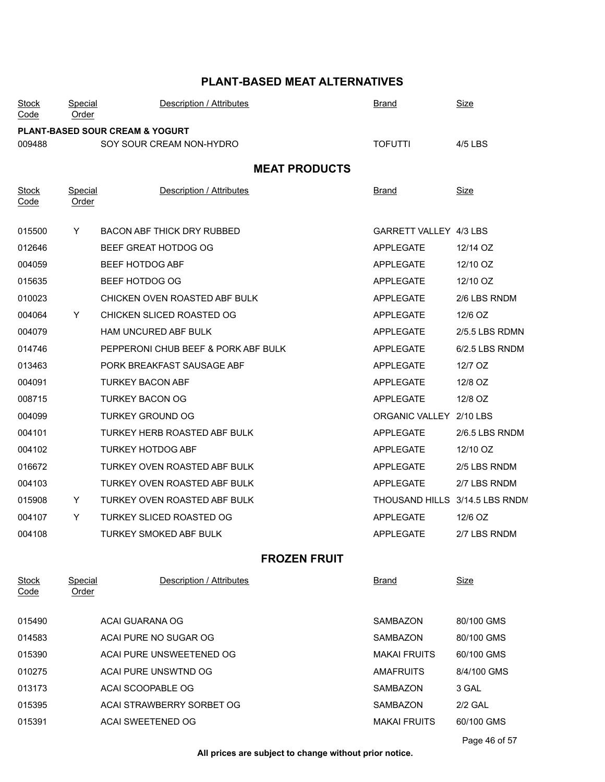| <b>Stock</b><br>Code | Special<br><u>Order</u>                    | Description / Attributes            | <b>Brand</b>                   | <b>Size</b>    |  |  |  |
|----------------------|--------------------------------------------|-------------------------------------|--------------------------------|----------------|--|--|--|
|                      | <b>PLANT-BASED SOUR CREAM &amp; YOGURT</b> |                                     |                                |                |  |  |  |
| 009488               |                                            | SOY SOUR CREAM NON-HYDRO            | <b>TOFUTTI</b>                 | 4/5 LBS        |  |  |  |
| <b>MEAT PRODUCTS</b> |                                            |                                     |                                |                |  |  |  |
| <b>Stock</b><br>Code | <b>Special</b><br><u>Order</u>             | Description / Attributes            | <u>Brand</u>                   | <u>Size</u>    |  |  |  |
| 015500               | Y                                          | <b>BACON ABF THICK DRY RUBBED</b>   | GARRETT VALLEY 4/3 LBS         |                |  |  |  |
| 012646               |                                            | BEEF GREAT HOTDOG OG                | <b>APPLEGATE</b>               | 12/14 OZ       |  |  |  |
| 004059               |                                            | BEEF HOTDOG ABF                     | <b>APPLEGATE</b>               | 12/10 OZ       |  |  |  |
| 015635               |                                            | BEEF HOTDOG OG                      | <b>APPLEGATE</b>               | 12/10 OZ       |  |  |  |
| 010023               |                                            | CHICKEN OVEN ROASTED ABF BULK       | <b>APPLEGATE</b>               | 2/6 LBS RNDM   |  |  |  |
| 004064               | Y                                          | CHICKEN SLICED ROASTED OG           | <b>APPLEGATE</b>               | 12/6 OZ        |  |  |  |
| 004079               |                                            | HAM UNCURED ABF BULK                | <b>APPLEGATE</b>               | 2/5.5 LBS RDMN |  |  |  |
| 014746               |                                            | PEPPERONI CHUB BEEF & PORK ABF BULK | <b>APPLEGATE</b>               | 6/2.5 LBS RNDM |  |  |  |
| 013463               |                                            | PORK BREAKFAST SAUSAGE ABF          | <b>APPLEGATE</b>               | 12/7 OZ        |  |  |  |
| 004091               |                                            | <b>TURKEY BACON ABF</b>             | <b>APPLEGATE</b>               | 12/8 OZ        |  |  |  |
| 008715               |                                            | <b>TURKEY BACON OG</b>              | <b>APPLEGATE</b>               | 12/8 OZ        |  |  |  |
| 004099               |                                            | <b>TURKEY GROUND OG</b>             | ORGANIC VALLEY 2/10 LBS        |                |  |  |  |
| 004101               |                                            | TURKEY HERB ROASTED ABF BULK        | APPLEGATE                      | 2/6.5 LBS RNDM |  |  |  |
| 004102               |                                            | <b>TURKEY HOTDOG ABF</b>            | <b>APPLEGATE</b>               | 12/10 OZ       |  |  |  |
| 016672               |                                            | TURKEY OVEN ROASTED ABF BULK        | <b>APPLEGATE</b>               | 2/5 LBS RNDM   |  |  |  |
| 004103               |                                            | TURKEY OVEN ROASTED ABF BULK        | <b>APPLEGATE</b>               | 2/7 LBS RNDM   |  |  |  |
| 015908               | Y                                          | TURKEY OVEN ROASTED ABF BULK        | THOUSAND HILLS 3/14.5 LBS RNDN |                |  |  |  |
| 004107               | Y                                          | <b>TURKEY SLICED ROASTED OG</b>     | <b>APPLEGATE</b>               | 12/6 OZ        |  |  |  |
| 004108               |                                            | <b>TURKEY SMOKED ABF BULK</b>       | <b>APPLEGATE</b>               | 2/7 LBS RNDM   |  |  |  |
|                      |                                            | <b>FROZEN FRUIT</b>                 |                                |                |  |  |  |
| <b>Stock</b><br>Code | Special<br>Order                           | Description / Attributes            | <b>Brand</b>                   | <u>Size</u>    |  |  |  |
| 015490               |                                            | ACAI GUARANA OG                     | <b>SAMBAZON</b>                | 80/100 GMS     |  |  |  |
| 014583               |                                            | ACAI PURE NO SUGAR OG               | SAMBAZON                       | 80/100 GMS     |  |  |  |
| 015390               |                                            | ACAI PURE UNSWEETENED OG            | <b>MAKAI FRUITS</b>            | 60/100 GMS     |  |  |  |
| 010275               |                                            | ACAI PURE UNSWTND OG                | AMAFRUITS                      | 8/4/100 GMS    |  |  |  |
| 013173               |                                            | ACAI SCOOPABLE OG                   | SAMBAZON                       | 3 GAL          |  |  |  |
| 015395               |                                            | ACAI STRAWBERRY SORBET OG           | SAMBAZON                       | <b>2/2 GAL</b> |  |  |  |
| 015391               |                                            | ACAI SWEETENED OG                   | <b>MAKAI FRUITS</b>            | 60/100 GMS     |  |  |  |
|                      |                                            |                                     |                                |                |  |  |  |

Page 46 of 57

**All prices are subject to change without prior notice.**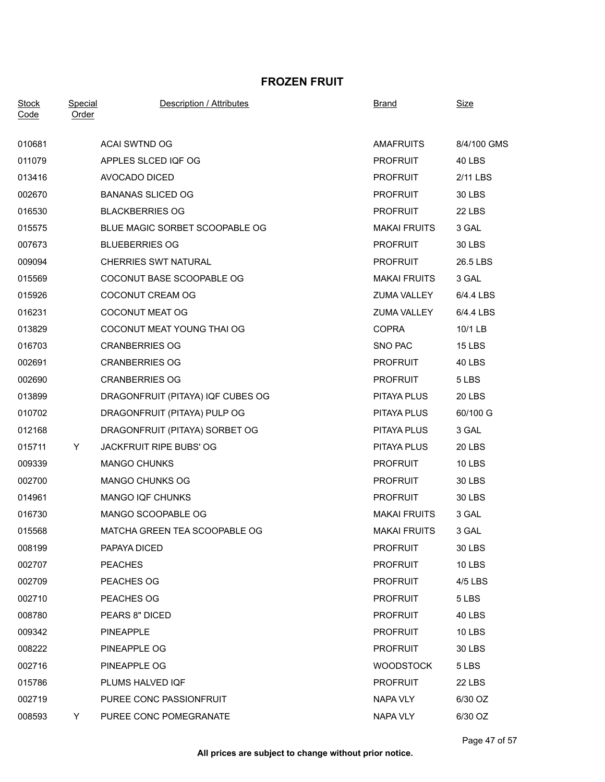### **FROZEN FRUIT**

| <b>Stock</b> | <b>Special</b> | Description / Attributes          | <b>Brand</b>        | <u>Size</u>   |
|--------------|----------------|-----------------------------------|---------------------|---------------|
| Code         | <b>Order</b>   |                                   |                     |               |
| 010681       |                | <b>ACAI SWTND OG</b>              | <b>AMAFRUITS</b>    | 8/4/100 GMS   |
| 011079       |                | APPLES SLCED IQF OG               | <b>PROFRUIT</b>     | <b>40 LBS</b> |
| 013416       |                | AVOCADO DICED                     | <b>PROFRUIT</b>     | 2/11 LBS      |
| 002670       |                | <b>BANANAS SLICED OG</b>          | <b>PROFRUIT</b>     | <b>30 LBS</b> |
| 016530       |                | <b>BLACKBERRIES OG</b>            | <b>PROFRUIT</b>     | 22 LBS        |
| 015575       |                | BLUE MAGIC SORBET SCOOPABLE OG    | <b>MAKAI FRUITS</b> | 3 GAL         |
| 007673       |                | <b>BLUEBERRIES OG</b>             | <b>PROFRUIT</b>     | 30 LBS        |
| 009094       |                | <b>CHERRIES SWT NATURAL</b>       | <b>PROFRUIT</b>     | 26.5 LBS      |
| 015569       |                | COCONUT BASE SCOOPABLE OG         | <b>MAKAI FRUITS</b> | 3 GAL         |
| 015926       |                | COCONUT CREAM OG                  | <b>ZUMA VALLEY</b>  | 6/4.4 LBS     |
| 016231       |                | <b>COCONUT MEAT OG</b>            | ZUMA VALLEY         | 6/4.4 LBS     |
| 013829       |                | COCONUT MEAT YOUNG THAI OG        | <b>COPRA</b>        | 10/1 LB       |
| 016703       |                | <b>CRANBERRIES OG</b>             | SNO PAC             | <b>15 LBS</b> |
| 002691       |                | <b>CRANBERRIES OG</b>             | <b>PROFRUIT</b>     | 40 LBS        |
| 002690       |                | <b>CRANBERRIES OG</b>             | <b>PROFRUIT</b>     | 5 LBS         |
| 013899       |                | DRAGONFRUIT (PITAYA) IQF CUBES OG | PITAYA PLUS         | 20 LBS        |
| 010702       |                | DRAGONFRUIT (PITAYA) PULP OG      | PITAYA PLUS         | 60/100 G      |
| 012168       |                | DRAGONFRUIT (PITAYA) SORBET OG    | PITAYA PLUS         | 3 GAL         |
| 015711       | Y.             | <b>JACKFRUIT RIPE BUBS' OG</b>    | PITAYA PLUS         | <b>20 LBS</b> |
| 009339       |                | <b>MANGO CHUNKS</b>               | <b>PROFRUIT</b>     | 10 LBS        |
| 002700       |                | <b>MANGO CHUNKS OG</b>            | <b>PROFRUIT</b>     | <b>30 LBS</b> |
| 014961       |                | <b>MANGO IQF CHUNKS</b>           | <b>PROFRUIT</b>     | 30 LBS        |
| 016730       |                | MANGO SCOOPABLE OG                | <b>MAKAI FRUITS</b> | 3 GAL         |
| 015568       |                | MATCHA GREEN TEA SCOOPABLE OG     | <b>MAKAI FRUITS</b> | 3 GAL         |
| 008199       |                | PAPAYA DICED                      | <b>PROFRUIT</b>     | <b>30 LBS</b> |
| 002707       |                | <b>PEACHES</b>                    | <b>PROFRUIT</b>     | <b>10 LBS</b> |
| 002709       |                | PEACHES OG                        | <b>PROFRUIT</b>     | 4/5 LBS       |
| 002710       |                | PEACHES OG                        | <b>PROFRUIT</b>     | 5 LBS         |
| 008780       |                | PEARS 8" DICED                    | <b>PROFRUIT</b>     | 40 LBS        |
| 009342       |                | <b>PINEAPPLE</b>                  | <b>PROFRUIT</b>     | <b>10 LBS</b> |
| 008222       |                | PINEAPPLE OG                      | <b>PROFRUIT</b>     | 30 LBS        |
| 002716       |                | PINEAPPLE OG                      | <b>WOODSTOCK</b>    | 5 LBS         |
| 015786       |                | PLUMS HALVED IQF                  | <b>PROFRUIT</b>     | <b>22 LBS</b> |
| 002719       |                | PUREE CONC PASSIONFRUIT           | <b>NAPA VLY</b>     | 6/30 OZ       |
| 008593       | Y.             | PUREE CONC POMEGRANATE            | NAPA VLY            | 6/30 OZ       |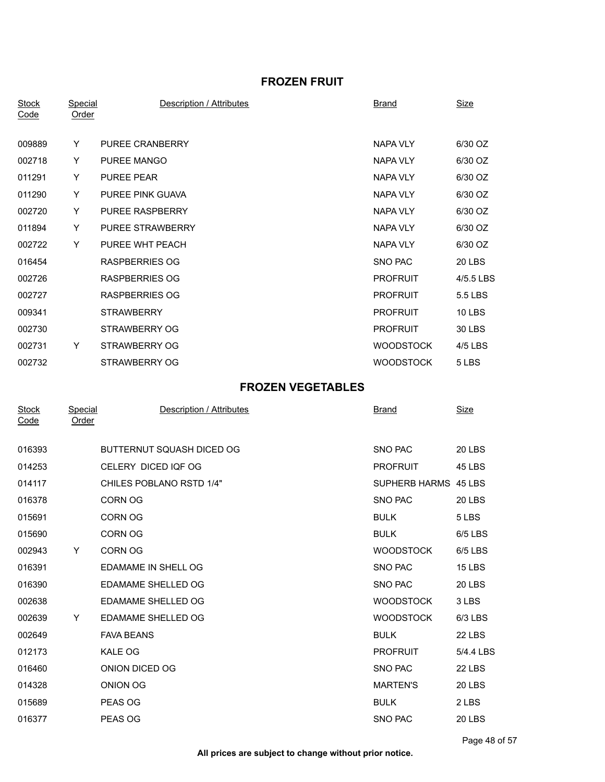## **FROZEN FRUIT**

| <b>Stock</b><br>Code | <b>Special</b><br>Order | Description / Attributes  | <b>Brand</b>         | <b>Size</b>   |
|----------------------|-------------------------|---------------------------|----------------------|---------------|
| 009889               | Y                       | PUREE CRANBERRY           | <b>NAPA VLY</b>      | 6/30 OZ       |
| 002718               | Y                       | PUREE MANGO               | <b>NAPA VLY</b>      | 6/30 OZ       |
| 011291               | Y                       | PUREE PEAR                | <b>NAPA VLY</b>      | 6/30 OZ       |
| 011290               | Y                       | PUREE PINK GUAVA          | <b>NAPA VLY</b>      | 6/30 OZ       |
| 002720               | Y                       | PUREE RASPBERRY           | NAPA VLY             | 6/30 OZ       |
| 011894               | Y                       | PUREE STRAWBERRY          | <b>NAPA VLY</b>      | 6/30 OZ       |
| 002722               | Y                       | PUREE WHT PEACH           | <b>NAPA VLY</b>      | 6/30 OZ       |
| 016454               |                         | <b>RASPBERRIES OG</b>     | SNO PAC              | 20 LBS        |
| 002726               |                         | <b>RASPBERRIES OG</b>     | <b>PROFRUIT</b>      | 4/5.5 LBS     |
| 002727               |                         | <b>RASPBERRIES OG</b>     | <b>PROFRUIT</b>      | 5.5 LBS       |
| 009341               |                         | <b>STRAWBERRY</b>         | <b>PROFRUIT</b>      | 10 LBS        |
| 002730               |                         | STRAWBERRY OG             | <b>PROFRUIT</b>      | 30 LBS        |
| 002731               | Y                       | STRAWBERRY OG             | <b>WOODSTOCK</b>     | 4/5 LBS       |
| 002732               |                         | STRAWBERRY OG             | <b>WOODSTOCK</b>     | 5 LBS         |
|                      |                         | <b>FROZEN VEGETABLES</b>  |                      |               |
| <b>Stock</b><br>Code | Special<br><b>Order</b> | Description / Attributes  | <u>Brand</u>         | <u>Size</u>   |
| 016393               |                         | BUTTERNUT SQUASH DICED OG | SNO PAC              | <b>20 LBS</b> |
| 014253               |                         | CELERY DICED IQF OG       | <b>PROFRUIT</b>      | 45 LBS        |
| 014117               |                         | CHILES POBLANO RSTD 1/4"  | SUPHERB HARMS 45 LBS |               |
| 016378               |                         | CORN OG                   | SNO PAC              | <b>20 LBS</b> |
| 015691               |                         | <b>CORN OG</b>            | <b>BULK</b>          | 5 LBS         |
| 015690               |                         | <b>CORN OG</b>            | <b>BULK</b>          | 6/5 LBS       |
| 002943               | Y                       | CORN OG                   | <b>WOODSTOCK</b>     | 6/5 LBS       |
| 016391               |                         | EDAMAME IN SHELL OG       | SNO PAC              | <b>15 LBS</b> |
| 016390               |                         | EDAMAME SHELLED OG        | SNO PAC              | 20 LBS        |
| 002638               |                         | <b>EDAMAME SHELLED OG</b> | <b>WOODSTOCK</b>     | 3 LBS         |
| 002639               | Y                       | EDAMAME SHELLED OG        | <b>WOODSTOCK</b>     | 6/3 LBS       |
| 002649               |                         | <b>FAVA BEANS</b>         | <b>BULK</b>          | 22 LBS        |
| 012173               |                         | KALE OG                   | <b>PROFRUIT</b>      | 5/4.4 LBS     |
| 016460               |                         | ONION DICED OG            | SNO PAC              | 22 LBS        |
| 014328               |                         | ONION OG                  | <b>MARTEN'S</b>      | 20 LBS        |
| 015689               |                         | PEAS OG                   | <b>BULK</b>          | 2 LBS         |
| 016377               |                         | PEAS OG                   | SNO PAC              | 20 LBS        |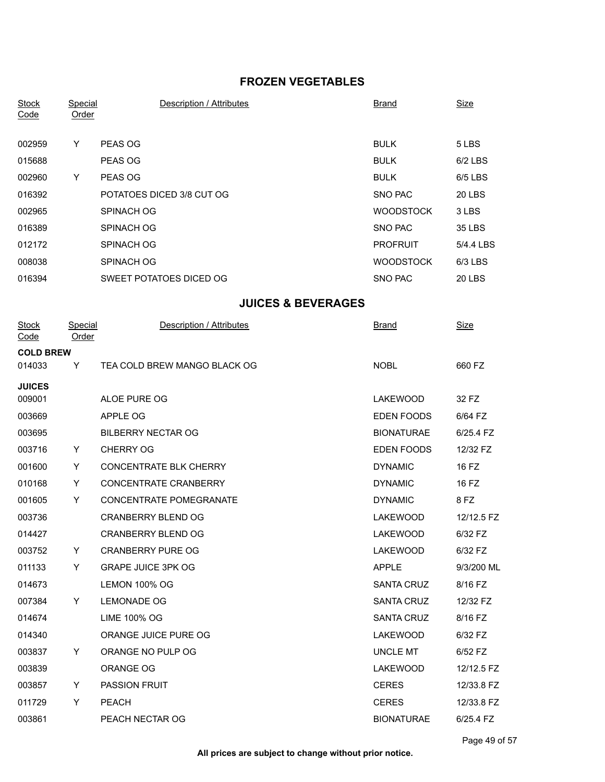## **FROZEN VEGETABLES**

| <b>Stock</b><br>Code | <u>Special</u><br><b>Order</b> | <b>Description / Attributes</b>               | <b>Brand</b>                           | <b>Size</b>           |
|----------------------|--------------------------------|-----------------------------------------------|----------------------------------------|-----------------------|
|                      |                                |                                               |                                        |                       |
| 002959               | Y                              | PEAS OG                                       | <b>BULK</b>                            | 5 LBS                 |
| 015688               |                                | PEAS OG                                       | <b>BULK</b>                            | 6/2 LBS               |
| 002960               | Y                              | PEAS OG                                       | <b>BULK</b>                            | 6/5 LBS               |
| 016392               |                                | POTATOES DICED 3/8 CUT OG                     | SNO PAC                                | <b>20 LBS</b>         |
| 002965               |                                | SPINACH OG                                    | <b>WOODSTOCK</b>                       | 3 LBS                 |
| 016389               |                                | <b>SPINACH OG</b>                             | SNO PAC                                | <b>35 LBS</b>         |
| 012172               |                                | SPINACH OG                                    | <b>PROFRUIT</b>                        | 5/4.4 LBS             |
| 008038               |                                | SPINACH OG                                    | <b>WOODSTOCK</b>                       | 6/3 LBS               |
| 016394               |                                | SWEET POTATOES DICED OG                       | SNO PAC                                | 20 LBS                |
|                      |                                | <b>JUICES &amp; BEVERAGES</b>                 |                                        |                       |
| <b>Stock</b><br>Code | <b>Special</b><br>Order        | Description / Attributes                      | Brand                                  | <b>Size</b>           |
| <b>COLD BREW</b>     |                                |                                               |                                        |                       |
| 014033               | Y                              | TEA COLD BREW MANGO BLACK OG                  | <b>NOBL</b>                            | 660 FZ                |
| <b>JUICES</b>        |                                |                                               |                                        |                       |
| 009001               |                                | ALOE PURE OG                                  | LAKEWOOD                               | 32 FZ                 |
| 003669               |                                | APPLE OG                                      | <b>EDEN FOODS</b>                      | 6/64 FZ               |
| 003695<br>003716     |                                | <b>BILBERRY NECTAR OG</b><br><b>CHERRY OG</b> | <b>BIONATURAE</b><br><b>EDEN FOODS</b> | 6/25.4 FZ<br>12/32 FZ |
| 001600               | Y.<br>Y                        | CONCENTRATE BLK CHERRY                        | <b>DYNAMIC</b>                         | 16 FZ                 |
| 010168               | Y                              | <b>CONCENTRATE CRANBERRY</b>                  | <b>DYNAMIC</b>                         | 16 FZ                 |
| 001605               | Y                              | CONCENTRATE POMEGRANATE                       | <b>DYNAMIC</b>                         | 8 FZ                  |
| 003736               |                                | <b>CRANBERRY BLEND OG</b>                     | <b>LAKEWOOD</b>                        | 12/12.5 FZ            |
| 014427               |                                | <b>CRANBERRY BLEND OG</b>                     | <b>LAKEWOOD</b>                        | 6/32 FZ               |
| 003752               | Y.                             | <b>CRANBERRY PURE OG</b>                      | LAKEWOOD                               | 6/32 FZ               |
| 011133               | Y.                             | <b>GRAPE JUICE 3PK OG</b>                     | <b>APPLE</b>                           | 9/3/200 ML            |
| 014673               |                                | LEMON 100% OG                                 | <b>SANTA CRUZ</b>                      | 8/16 FZ               |
| 007384               | Y                              | <b>LEMONADE OG</b>                            | SANTA CRUZ                             | 12/32 FZ              |
| 014674               |                                | <b>LIME 100% OG</b>                           | SANTA CRUZ                             | 8/16 FZ               |
| 014340               |                                | ORANGE JUICE PURE OG                          | LAKEWOOD                               | 6/32 FZ               |
| 003837               | Y                              | ORANGE NO PULP OG                             | <b>UNCLE MT</b>                        | 6/52 FZ               |
| 003839               |                                | ORANGE OG                                     | LAKEWOOD                               | 12/12.5 FZ            |
| 003857               | Y.                             | PASSION FRUIT                                 | <b>CERES</b>                           | 12/33.8 FZ            |
| 011729               | Y                              | PEACH                                         | <b>CERES</b>                           | 12/33.8 FZ            |
| 003861               |                                | PEACH NECTAR OG                               | <b>BIONATURAE</b>                      | 6/25.4 FZ             |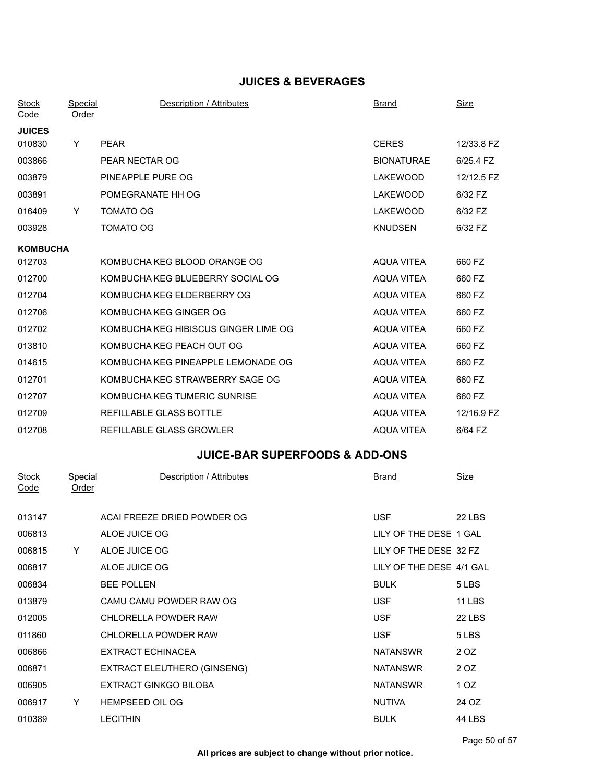## **JUICES & BEVERAGES**

| <b>Stock</b><br>$\overline{\textsf{Code}}$ | Special<br><u>Order</u> | Description / Attributes             | <b>Brand</b>      | Size       |
|--------------------------------------------|-------------------------|--------------------------------------|-------------------|------------|
| <b>JUICES</b>                              |                         |                                      |                   |            |
| 010830                                     | Y                       | <b>PEAR</b>                          | <b>CERES</b>      | 12/33.8 FZ |
| 003866                                     |                         | PEAR NECTAR OG                       | <b>BIONATURAE</b> | 6/25.4 FZ  |
| 003879                                     |                         | PINEAPPLE PURE OG                    | LAKEWOOD          | 12/12.5 FZ |
| 003891                                     |                         | POMEGRANATE HH OG                    | <b>LAKEWOOD</b>   | 6/32 FZ    |
| 016409                                     | Y                       | <b>TOMATO OG</b>                     | <b>LAKEWOOD</b>   | 6/32 FZ    |
| 003928                                     |                         | TOMATO OG                            | <b>KNUDSEN</b>    | 6/32 FZ    |
| <b>KOMBUCHA</b>                            |                         |                                      |                   |            |
| 012703                                     |                         | KOMBUCHA KEG BLOOD ORANGE OG         | AQUA VITEA        | 660 FZ     |
| 012700                                     |                         | KOMBUCHA KEG BLUEBERRY SOCIAL OG     | <b>AQUA VITEA</b> | 660 FZ     |
| 012704                                     |                         | KOMBUCHA KEG ELDERBERRY OG           | <b>AQUA VITEA</b> | 660 FZ     |
| 012706                                     |                         | KOMBUCHA KEG GINGER OG               | AQUA VITEA        | 660 FZ     |
| 012702                                     |                         | KOMBUCHA KEG HIBISCUS GINGER LIME OG | AQUA VITEA        | 660 FZ     |
| 013810                                     |                         | KOMBUCHA KEG PEACH OUT OG            | <b>AQUA VITEA</b> | 660 FZ     |
| 014615                                     |                         | KOMBUCHA KEG PINEAPPLE LEMONADE OG   | <b>AQUA VITEA</b> | 660 FZ     |
| 012701                                     |                         | KOMBUCHA KEG STRAWBERRY SAGE OG      | <b>AQUA VITEA</b> | 660 FZ     |
| 012707                                     |                         | KOMBUCHA KEG TUMERIC SUNRISE         | <b>AQUA VITEA</b> | 660 FZ     |
| 012709                                     |                         | REFILLABLE GLASS BOTTLE              | AQUA VITEA        | 12/16.9 FZ |
| 012708                                     |                         | REFILLABLE GLASS GROWLER             | <b>AQUA VITEA</b> | 6/64 FZ    |

# **JUICE-BAR SUPERFOODS & ADD-ONS**

| <b>Stock</b><br>Code | Special<br>Order | Description / Attributes     | <b>Brand</b>             | <b>Size</b>   |
|----------------------|------------------|------------------------------|--------------------------|---------------|
|                      |                  |                              |                          |               |
| 013147               |                  | ACAI FREEZE DRIED POWDER OG  | <b>USF</b>               | <b>22 LBS</b> |
| 006813               |                  | ALOE JUICE OG                | LILY OF THE DESE 1 GAL   |               |
| 006815               | Y                | ALOE JUICE OG                | LILY OF THE DESE 32 FZ   |               |
| 006817               |                  | ALOE JUICE OG                | LILY OF THE DESE 4/1 GAL |               |
| 006834               |                  | <b>BEE POLLEN</b>            | <b>BULK</b>              | 5 LBS         |
| 013879               |                  | CAMU CAMU POWDER RAW OG      | <b>USF</b>               | <b>11 LBS</b> |
| 012005               |                  | CHLORELLA POWDER RAW         | <b>USF</b>               | <b>22 LBS</b> |
| 011860               |                  | CHLORELLA POWDER RAW         | <b>USF</b>               | 5 LBS         |
| 006866               |                  | EXTRACT ECHINACEA            | <b>NATANSWR</b>          | 2 OZ          |
| 006871               |                  | EXTRACT ELEUTHERO (GINSENG)  | <b>NATANSWR</b>          | 2 OZ          |
| 006905               |                  | <b>EXTRACT GINKGO BILOBA</b> | <b>NATANSWR</b>          | 1 OZ          |
| 006917               | Y                | HEMPSEED OIL OG              | <b>NUTIVA</b>            | 24 OZ         |
| 010389               |                  | <b>LECITHIN</b>              | <b>BULK</b>              | 44 LBS        |
|                      |                  |                              |                          |               |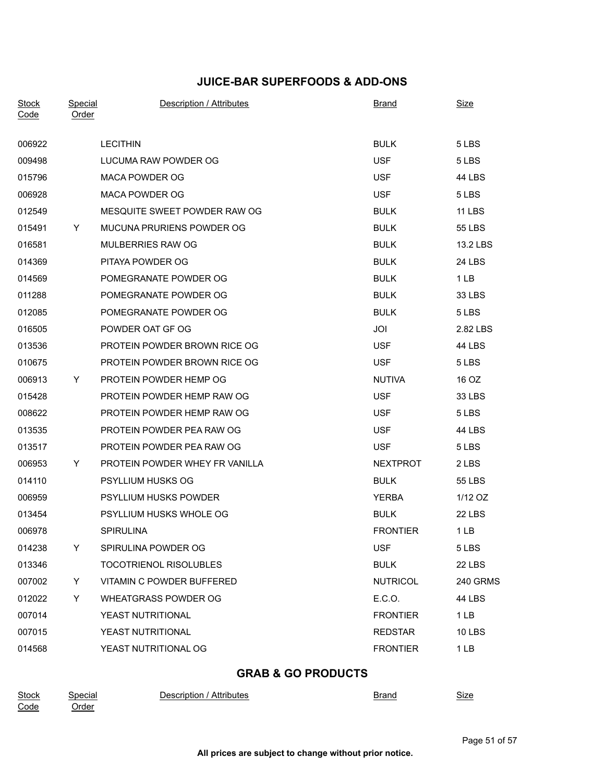## **JUICE-BAR SUPERFOODS & ADD-ONS**

| <b>Stock</b><br>Code | Special<br><b>Order</b> | Description / Attributes       | <b>Brand</b>    | <b>Size</b>     |
|----------------------|-------------------------|--------------------------------|-----------------|-----------------|
| 006922               |                         | <b>LECITHIN</b>                | <b>BULK</b>     | 5 LBS           |
| 009498               |                         | LUCUMA RAW POWDER OG           | <b>USF</b>      | 5 LBS           |
| 015796               |                         | MACA POWDER OG                 | <b>USF</b>      | 44 LBS          |
| 006928               |                         | <b>MACA POWDER OG</b>          | <b>USF</b>      | 5 LBS           |
| 012549               |                         | MESQUITE SWEET POWDER RAW OG   | <b>BULK</b>     | <b>11 LBS</b>   |
| 015491               | Y                       | MUCUNA PRURIENS POWDER OG      | <b>BULK</b>     | <b>55 LBS</b>   |
| 016581               |                         | MULBERRIES RAW OG              | <b>BULK</b>     | 13.2 LBS        |
| 014369               |                         | PITAYA POWDER OG               | <b>BULK</b>     | <b>24 LBS</b>   |
| 014569               |                         | POMEGRANATE POWDER OG          | <b>BULK</b>     | 1 <sub>LB</sub> |
| 011288               |                         | POMEGRANATE POWDER OG          | <b>BULK</b>     | 33 LBS          |
| 012085               |                         | POMEGRANATE POWDER OG          | <b>BULK</b>     | 5 LBS           |
| 016505               |                         | POWDER OAT GF OG               | JOI             | 2.82 LBS        |
| 013536               |                         | PROTEIN POWDER BROWN RICE OG   | <b>USF</b>      | <b>44 LBS</b>   |
| 010675               |                         | PROTEIN POWDER BROWN RICE OG   | <b>USF</b>      | 5 LBS           |
| 006913               | Y.                      | PROTEIN POWDER HEMP OG         | <b>NUTIVA</b>   | 16 OZ           |
| 015428               |                         | PROTEIN POWDER HEMP RAW OG     | <b>USF</b>      | 33 LBS          |
| 008622               |                         | PROTEIN POWDER HEMP RAW OG     | <b>USF</b>      | 5 LBS           |
| 013535               |                         | PROTEIN POWDER PEA RAW OG      | <b>USF</b>      | <b>44 LBS</b>   |
| 013517               |                         | PROTEIN POWDER PEA RAW OG      | <b>USF</b>      | 5 LBS           |
| 006953               | Y                       | PROTEIN POWDER WHEY FR VANILLA | <b>NEXTPROT</b> | 2 LBS           |
| 014110               |                         | <b>PSYLLIUM HUSKS OG</b>       | <b>BULK</b>     | 55 LBS          |
| 006959               |                         | <b>PSYLLIUM HUSKS POWDER</b>   | <b>YERBA</b>    | 1/12 OZ         |
| 013454               |                         | PSYLLIUM HUSKS WHOLE OG        | <b>BULK</b>     | 22 LBS          |
| 006978               |                         | <b>SPIRULINA</b>               | <b>FRONTIER</b> | 1 <sub>LB</sub> |
| 014238               | Y                       | SPIRULINA POWDER OG            | <b>USF</b>      | 5 LBS           |
| 013346               |                         | <b>TOCOTRIENOL RISOLUBLES</b>  | <b>BULK</b>     | 22 LBS          |
| 007002               | Y.                      | VITAMIN C POWDER BUFFERED      | <b>NUTRICOL</b> | <b>240 GRMS</b> |
| 012022               | Y                       | <b>WHEATGRASS POWDER OG</b>    | E.C.O.          | 44 LBS          |
| 007014               |                         | YEAST NUTRITIONAL              | <b>FRONTIER</b> | 1 LB            |
| 007015               |                         | YEAST NUTRITIONAL              | <b>REDSTAR</b>  | <b>10 LBS</b>   |
| 014568               |                         | YEAST NUTRITIONAL OG           | <b>FRONTIER</b> | 1 <sub>LB</sub> |
|                      |                         |                                |                 |                 |

| Stock | Special      | Attributes<br>Description | Branc | <b>.</b><br>Sıze |
|-------|--------------|---------------------------|-------|------------------|
| Code  | <u>Order</u> |                           |       |                  |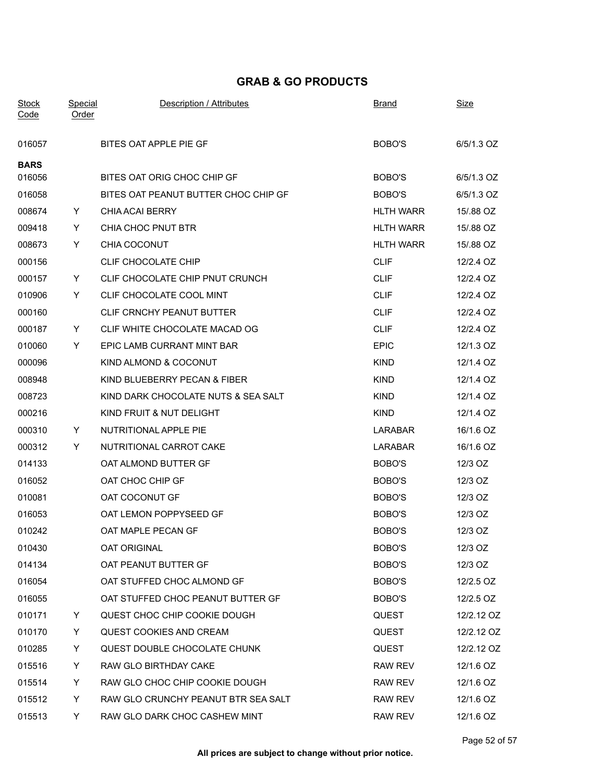| <b>Stock</b> | <b>Special</b> | Description / Attributes             | <b>Brand</b>     | <u>Size</u> |
|--------------|----------------|--------------------------------------|------------------|-------------|
| Code         | <b>Order</b>   |                                      |                  |             |
| 016057       |                | BITES OAT APPLE PIE GF               | BOBO'S           | 6/5/1.3 OZ  |
| <b>BARS</b>  |                |                                      |                  |             |
| 016056       |                | BITES OAT ORIG CHOC CHIP GF          | BOBO'S           | 6/5/1.3 OZ  |
| 016058       |                | BITES OAT PEANUT BUTTER CHOC CHIP GF | BOBO'S           | 6/5/1.3 OZ  |
| 008674       | Y.             | <b>CHIA ACAI BERRY</b>               | <b>HLTH WARR</b> | 15/.88 OZ   |
| 009418       | Y.             | CHIA CHOC PNUT BTR                   | <b>HLTH WARR</b> | 15/.88 OZ   |
| 008673       | Y              | CHIA COCONUT                         | <b>HLTH WARR</b> | 15/.88 OZ   |
| 000156       |                | CLIF CHOCOLATE CHIP                  | <b>CLIF</b>      | 12/2.4 OZ   |
| 000157       | Y.             | CLIF CHOCOLATE CHIP PNUT CRUNCH      | <b>CLIF</b>      | 12/2.4 OZ   |
| 010906       | Y              | CLIF CHOCOLATE COOL MINT             | <b>CLIF</b>      | 12/2.4 OZ   |
| 000160       |                | CLIF CRNCHY PEANUT BUTTER            | <b>CLIF</b>      | 12/2.4 OZ   |
| 000187       | Y.             | CLIF WHITE CHOCOLATE MACAD OG        | <b>CLIF</b>      | 12/2.4 OZ   |
| 010060       | Y              | EPIC LAMB CURRANT MINT BAR           | <b>EPIC</b>      | 12/1.3 OZ   |
| 000096       |                | KIND ALMOND & COCONUT                | <b>KIND</b>      | 12/1.4 OZ   |
| 008948       |                | KIND BLUEBERRY PECAN & FIBER         | <b>KIND</b>      | 12/1.4 OZ   |
| 008723       |                | KIND DARK CHOCOLATE NUTS & SEA SALT  | <b>KIND</b>      | 12/1.4 OZ   |
| 000216       |                | KIND FRUIT & NUT DELIGHT             | <b>KIND</b>      | 12/1.4 OZ   |
| 000310       | Y.             | NUTRITIONAL APPLE PIE                | LARABAR          | 16/1.6 OZ   |
| 000312       | Y.             | NUTRITIONAL CARROT CAKE              | LARABAR          | 16/1.6 OZ   |
| 014133       |                | OAT ALMOND BUTTER GF                 | BOBO'S           | 12/3 OZ     |
| 016052       |                | OAT CHOC CHIP GF                     | BOBO'S           | 12/3 OZ     |
| 010081       |                | OAT COCONUT GF                       | BOBO'S           | 12/3 OZ     |
| 016053       |                | OAT LEMON POPPYSEED GF               | BOBO'S           | 12/3 OZ     |
| 010242       |                | OAT MAPLE PECAN GF                   | BOBO'S           | 12/3 OZ     |
| 010430       |                | <b>OAT ORIGINAL</b>                  | BOBO'S           | 12/3 OZ     |
| 014134       |                | OAT PEANUT BUTTER GF                 | BOBO'S           | 12/3 OZ     |
| 016054       |                | OAT STUFFED CHOC ALMOND GF           | BOBO'S           | 12/2.5 OZ   |
| 016055       |                | OAT STUFFED CHOC PEANUT BUTTER GF    | BOBO'S           | 12/2.5 OZ   |
| 010171       | Y              | QUEST CHOC CHIP COOKIE DOUGH         | QUEST            | 12/2.12 OZ  |
| 010170       | Y.             | <b>QUEST COOKIES AND CREAM</b>       | <b>QUEST</b>     | 12/2.12 OZ  |
| 010285       | Y              | QUEST DOUBLE CHOCOLATE CHUNK         | <b>QUEST</b>     | 12/2.12 OZ  |
| 015516       | Y              | RAW GLO BIRTHDAY CAKE                | <b>RAW REV</b>   | 12/1.6 OZ   |
| 015514       | Y              | RAW GLO CHOC CHIP COOKIE DOUGH       | RAW REV          | 12/1.6 OZ   |
| 015512       | Y              | RAW GLO CRUNCHY PEANUT BTR SEA SALT  | <b>RAW REV</b>   | 12/1.6 OZ   |
| 015513       | Y.             | RAW GLO DARK CHOC CASHEW MINT        | RAW REV          | 12/1.6 OZ   |
|              |                |                                      |                  |             |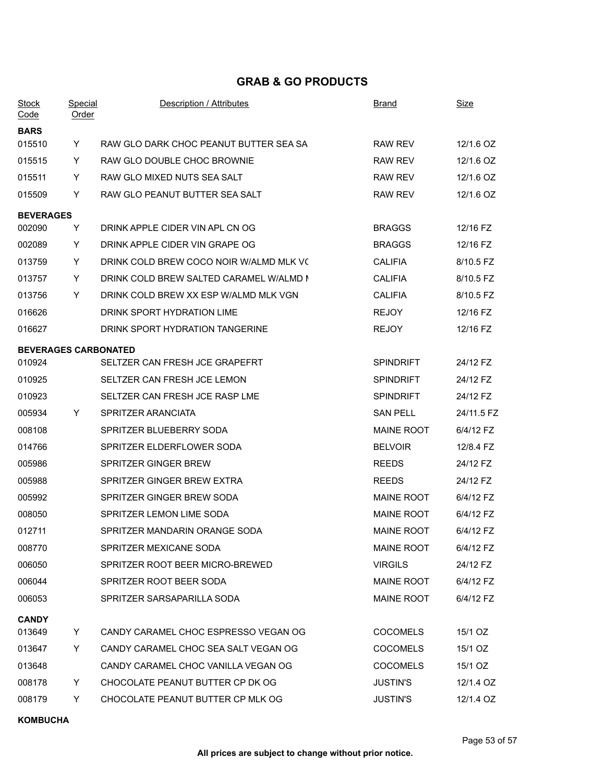| <b>Special</b><br><b>Order</b> | <b>Description / Attributes</b>         | <b>Brand</b>                | Size       |
|--------------------------------|-----------------------------------------|-----------------------------|------------|
|                                |                                         |                             |            |
| Y                              | RAW GLO DARK CHOC PEANUT BUTTER SEA SA  | <b>RAW REV</b>              | 12/1.6 OZ  |
| Y                              | RAW GLO DOUBLE CHOC BROWNIE             | <b>RAW REV</b>              | 12/1.6 OZ  |
| Y.                             | RAW GLO MIXED NUTS SEA SALT             | <b>RAW REV</b>              | 12/1.6 OZ  |
| Y                              | RAW GLO PEANUT BUTTER SEA SALT          | <b>RAW REV</b>              | 12/1.6 OZ  |
| <b>BEVERAGES</b>               |                                         |                             |            |
| Y.                             | DRINK APPLE CIDER VIN APL CN OG         | <b>BRAGGS</b>               | 12/16 FZ   |
| Y.                             | DRINK APPLE CIDER VIN GRAPE OG          | <b>BRAGGS</b>               | 12/16 FZ   |
| Y                              | DRINK COLD BREW COCO NOIR W/ALMD MLK VO | <b>CALIFIA</b>              | 8/10.5 FZ  |
| Y.                             | DRINK COLD BREW SALTED CARAMEL W/ALMD N | <b>CALIFIA</b>              | 8/10.5 FZ  |
| Y                              | DRINK COLD BREW XX ESP W/ALMD MLK VGN   | <b>CALIFIA</b>              | 8/10.5 FZ  |
|                                | DRINK SPORT HYDRATION LIME              | <b>REJOY</b>                | 12/16 FZ   |
|                                | DRINK SPORT HYDRATION TANGERINE         | <b>REJOY</b>                | 12/16 FZ   |
|                                |                                         |                             |            |
|                                | SELTZER CAN FRESH JCE GRAPEFRT          | <b>SPINDRIFT</b>            | 24/12 FZ   |
|                                | SELTZER CAN FRESH JCE LEMON             | <b>SPINDRIFT</b>            | 24/12 FZ   |
|                                | SELTZER CAN FRESH JCE RASP LME          | <b>SPINDRIFT</b>            | 24/12 FZ   |
| Y.                             | SPRITZER ARANCIATA                      | <b>SAN PELL</b>             | 24/11.5 FZ |
|                                | SPRITZER BLUEBERRY SODA                 | <b>MAINE ROOT</b>           | 6/4/12 FZ  |
|                                | SPRITZER ELDERFLOWER SODA               | <b>BELVOIR</b>              | 12/8.4 FZ  |
|                                | SPRITZER GINGER BREW                    | <b>REEDS</b>                | 24/12 FZ   |
|                                | SPRITZER GINGER BREW EXTRA              | <b>REEDS</b>                | 24/12 FZ   |
|                                | SPRITZER GINGER BREW SODA               | <b>MAINE ROOT</b>           | 6/4/12 FZ  |
|                                | SPRITZER LEMON LIME SODA                | <b>MAINE ROOT</b>           | 6/4/12 FZ  |
|                                | SPRITZER MANDARIN ORANGE SODA           | MAINE ROOT                  | 6/4/12 FZ  |
|                                | SPRITZER MEXICANE SODA                  | <b>MAINE ROOT</b>           | 6/4/12 FZ  |
|                                | SPRITZER ROOT BEER MICRO-BREWED         | <b>VIRGILS</b>              | 24/12 FZ   |
|                                | SPRITZER ROOT BEER SODA                 | <b>MAINE ROOT</b>           | 6/4/12 FZ  |
|                                | SPRITZER SARSAPARILLA SODA              | <b>MAINE ROOT</b>           | 6/4/12 FZ  |
|                                |                                         |                             |            |
| Y.                             | CANDY CARAMEL CHOC ESPRESSO VEGAN OG    | <b>COCOMELS</b>             | 15/1 OZ    |
| Y                              | CANDY CARAMEL CHOC SEA SALT VEGAN OG    | <b>COCOMELS</b>             | 15/1 OZ    |
|                                | CANDY CARAMEL CHOC VANILLA VEGAN OG     | <b>COCOMELS</b>             | 15/1 OZ    |
| Y                              | CHOCOLATE PEANUT BUTTER CP DK OG        | <b>JUSTIN'S</b>             | 12/1.4 OZ  |
| Y                              | CHOCOLATE PEANUT BUTTER CP MLK OG       | <b>JUSTIN'S</b>             | 12/1.4 OZ  |
|                                |                                         | <b>BEVERAGES CARBONATED</b> |            |

#### **KOMBUCHA**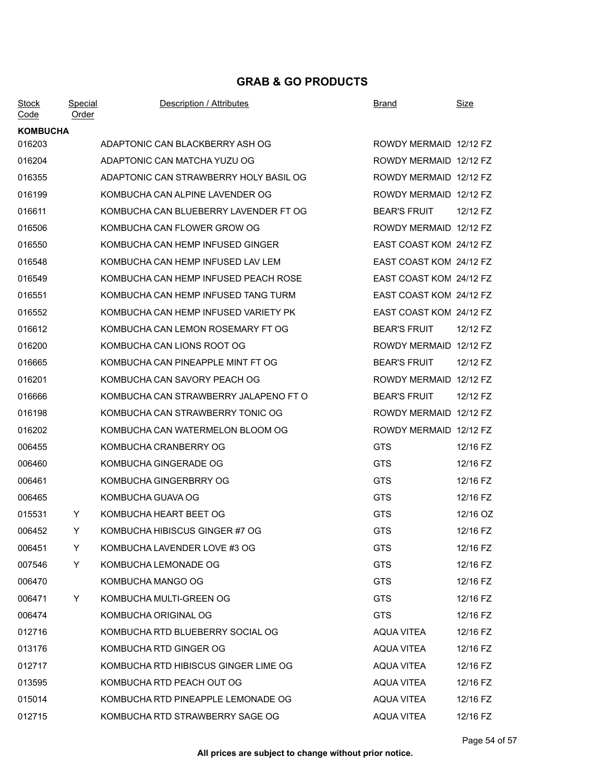| <b>Stock</b><br>Code | Special<br><b>Order</b> | Description / Attributes               | <b>Brand</b>            | <b>Size</b> |
|----------------------|-------------------------|----------------------------------------|-------------------------|-------------|
| <b>KOMBUCHA</b>      |                         |                                        |                         |             |
| 016203               |                         | ADAPTONIC CAN BLACKBERRY ASH OG        | ROWDY MERMAID 12/12 FZ  |             |
| 016204               |                         | ADAPTONIC CAN MATCHA YUZU OG           | ROWDY MERMAID 12/12 FZ  |             |
| 016355               |                         | ADAPTONIC CAN STRAWBERRY HOLY BASIL OG | ROWDY MERMAID 12/12 FZ  |             |
| 016199               |                         | KOMBUCHA CAN ALPINE LAVENDER OG        | ROWDY MERMAID 12/12 FZ  |             |
| 016611               |                         | KOMBUCHA CAN BLUEBERRY LAVENDER FT OG  | <b>BEAR'S FRUIT</b>     | 12/12 FZ    |
| 016506               |                         | KOMBUCHA CAN FLOWER GROW OG            | ROWDY MERMAID 12/12 FZ  |             |
| 016550               |                         | KOMBUCHA CAN HEMP INFUSED GINGER       | EAST COAST KOM 24/12 FZ |             |
| 016548               |                         | KOMBUCHA CAN HEMP INFUSED LAV LEM      | EAST COAST KOM 24/12 FZ |             |
| 016549               |                         | KOMBUCHA CAN HEMP INFUSED PEACH ROSE   | EAST COAST KOM 24/12 FZ |             |
| 016551               |                         | KOMBUCHA CAN HEMP INFUSED TANG TURM    | EAST COAST KOM 24/12 FZ |             |
| 016552               |                         | KOMBUCHA CAN HEMP INFUSED VARIETY PK   | EAST COAST KOM 24/12 FZ |             |
| 016612               |                         | KOMBUCHA CAN LEMON ROSEMARY FT OG      | <b>BEAR'S FRUIT</b>     | 12/12 FZ    |
| 016200               |                         | KOMBUCHA CAN LIONS ROOT OG             | ROWDY MERMAID 12/12 FZ  |             |
| 016665               |                         | KOMBUCHA CAN PINEAPPLE MINT FT OG      | <b>BEAR'S FRUIT</b>     | 12/12 FZ    |
| 016201               |                         | KOMBUCHA CAN SAVORY PEACH OG           | ROWDY MERMAID 12/12 FZ  |             |
| 016666               |                         | KOMBUCHA CAN STRAWBERRY JALAPENO FT O  | <b>BEAR'S FRUIT</b>     | 12/12 FZ    |
| 016198               |                         | KOMBUCHA CAN STRAWBERRY TONIC OG       | ROWDY MERMAID 12/12 FZ  |             |
| 016202               |                         | KOMBUCHA CAN WATERMELON BLOOM OG       | ROWDY MERMAID 12/12 FZ  |             |
| 006455               |                         | KOMBUCHA CRANBERRY OG                  | <b>GTS</b>              | 12/16 FZ    |
| 006460               |                         | KOMBUCHA GINGERADE OG                  | <b>GTS</b>              | 12/16 FZ    |
| 006461               |                         | KOMBUCHA GINGERBRRY OG                 | <b>GTS</b>              | 12/16 FZ    |
| 006465               |                         | KOMBUCHA GUAVA OG                      | <b>GTS</b>              | 12/16 FZ    |
| 015531               | Y                       | KOMBUCHA HEART BEET OG                 | <b>GTS</b>              | 12/16 OZ    |
| 006452               | Y                       | KOMBUCHA HIBISCUS GINGER #7 OG         | <b>GTS</b>              | 12/16 FZ    |
| 006451               | Y                       | KOMBUCHA LAVENDER LOVE #3 OG           | <b>GTS</b>              | 12/16 FZ    |
| 007546               | Y.                      | KOMBUCHA LEMONADE OG                   | <b>GTS</b>              | 12/16 FZ    |
| 006470               |                         | KOMBUCHA MANGO OG                      | <b>GTS</b>              | 12/16 FZ    |
| 006471               | Y                       | KOMBUCHA MULTI-GREEN OG                | <b>GTS</b>              | 12/16 FZ    |
| 006474               |                         | KOMBUCHA ORIGINAL OG                   | <b>GTS</b>              | 12/16 FZ    |
| 012716               |                         | KOMBUCHA RTD BLUEBERRY SOCIAL OG       | AQUA VITEA              | 12/16 FZ    |
| 013176               |                         | KOMBUCHA RTD GINGER OG                 | <b>AQUA VITEA</b>       | 12/16 FZ    |
| 012717               |                         | KOMBUCHA RTD HIBISCUS GINGER LIME OG   | <b>AQUA VITEA</b>       | 12/16 FZ    |
| 013595               |                         | KOMBUCHA RTD PEACH OUT OG              | AQUA VITEA              | 12/16 FZ    |
| 015014               |                         | KOMBUCHA RTD PINEAPPLE LEMONADE OG     | AQUA VITEA              | 12/16 FZ    |
| 012715               |                         | KOMBUCHA RTD STRAWBERRY SAGE OG        | AQUA VITEA              | 12/16 FZ    |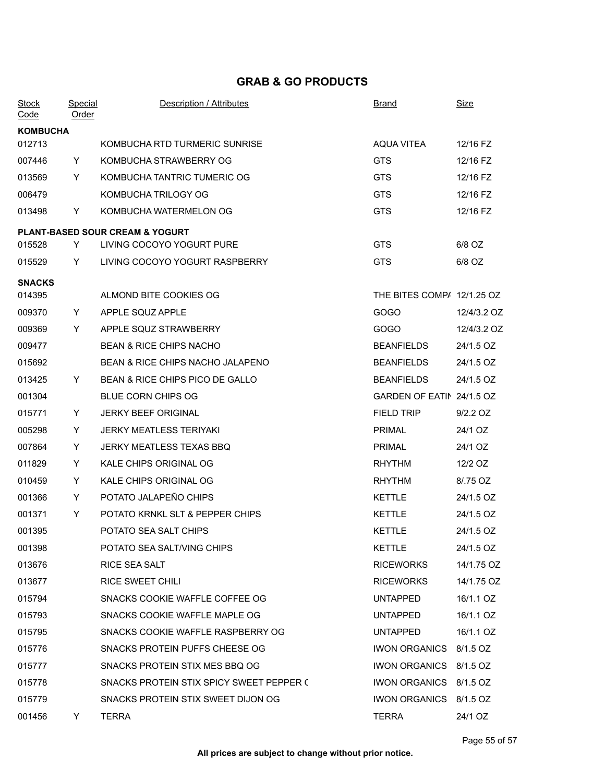| <b>Stock</b><br>Code | <b>Special</b><br><u>Order</u> | Description / Attributes                   | <b>Brand</b>               | Size        |
|----------------------|--------------------------------|--------------------------------------------|----------------------------|-------------|
| <b>KOMBUCHA</b>      |                                |                                            |                            |             |
| 012713               |                                | KOMBUCHA RTD TURMERIC SUNRISE              | <b>AQUA VITEA</b>          | 12/16 FZ    |
| 007446               | Y.                             | KOMBUCHA STRAWBERRY OG                     | <b>GTS</b>                 | 12/16 FZ    |
| 013569               | Y                              | KOMBUCHA TANTRIC TUMERIC OG                | <b>GTS</b>                 | 12/16 FZ    |
| 006479               |                                | KOMBUCHA TRILOGY OG                        | <b>GTS</b>                 | 12/16 FZ    |
| 013498               | Y.                             | KOMBUCHA WATERMELON OG                     | <b>GTS</b>                 | 12/16 FZ    |
|                      |                                | <b>PLANT-BASED SOUR CREAM &amp; YOGURT</b> |                            |             |
| 015528               | Y                              | LIVING COCOYO YOGURT PURE                  | <b>GTS</b>                 | 6/8 OZ      |
| 015529               | Y.                             | LIVING COCOYO YOGURT RASPBERRY             | <b>GTS</b>                 | 6/8 OZ      |
| <b>SNACKS</b>        |                                |                                            |                            |             |
| 014395               |                                | ALMOND BITE COOKIES OG                     | THE BITES COMP/ 12/1.25 OZ |             |
| 009370               | Y.                             | APPLE SQUZ APPLE                           | GOGO                       | 12/4/3.2 OZ |
| 009369               | Y                              | APPLE SQUZ STRAWBERRY                      | GOGO                       | 12/4/3.2 OZ |
| 009477               |                                | <b>BEAN &amp; RICE CHIPS NACHO</b>         | <b>BEANFIELDS</b>          | 24/1.5 OZ   |
| 015692               |                                | BEAN & RICE CHIPS NACHO JALAPENO           | <b>BEANFIELDS</b>          | 24/1.5 OZ   |
| 013425               | Y.                             | BEAN & RICE CHIPS PICO DE GALLO            | <b>BEANFIELDS</b>          | 24/1.5 OZ   |
| 001304               |                                | <b>BLUE CORN CHIPS OG</b>                  | GARDEN OF EATIN 24/1.5 OZ  |             |
| 015771               | Y.                             | <b>JERKY BEEF ORIGINAL</b>                 | <b>FIELD TRIP</b>          | 9/2.2 OZ    |
| 005298               | Y                              | <b>JERKY MEATLESS TERIYAKI</b>             | <b>PRIMAL</b>              | 24/1 OZ     |
| 007864               | Y.                             | JERKY MEATLESS TEXAS BBQ                   | <b>PRIMAL</b>              | 24/1 OZ     |
| 011829               | Y                              | KALE CHIPS ORIGINAL OG                     | <b>RHYTHM</b>              | 12/2 OZ     |
| 010459               | Y                              | KALE CHIPS ORIGINAL OG                     | <b>RHYTHM</b>              | 8/.75 OZ    |
| 001366               | Y                              | POTATO JALAPEÑO CHIPS                      | <b>KETTLE</b>              | 24/1.5 OZ   |
| 001371               | Y.                             | POTATO KRNKL SLT & PEPPER CHIPS            | <b>KETTLE</b>              | 24/1.5 OZ   |
| 001395               |                                | POTATO SEA SALT CHIPS                      | <b>KETTLE</b>              | 24/1.5 OZ   |
| 001398               |                                | POTATO SEA SALT/VING CHIPS                 | KETTLE                     | 24/1.5 OZ   |
| 013676               |                                | RICE SEA SALT                              | <b>RICEWORKS</b>           | 14/1.75 OZ  |
| 013677               |                                | RICE SWEET CHILI                           | <b>RICEWORKS</b>           | 14/1.75 OZ  |
| 015794               |                                | SNACKS COOKIE WAFFLE COFFEE OG             | <b>UNTAPPED</b>            | 16/1.1 OZ   |
| 015793               |                                | SNACKS COOKIE WAFFLE MAPLE OG              | <b>UNTAPPED</b>            | 16/1.1 OZ   |
| 015795               |                                | SNACKS COOKIE WAFFLE RASPBERRY OG          | <b>UNTAPPED</b>            | 16/1.1 OZ   |
| 015776               |                                | SNACKS PROTEIN PUFFS CHEESE OG             | IWON ORGANICS 8/1.5 OZ     |             |
| 015777               |                                | SNACKS PROTEIN STIX MES BBQ OG             | IWON ORGANICS 8/1.5 OZ     |             |
| 015778               |                                | SNACKS PROTEIN STIX SPICY SWEET PEPPER C   | IWON ORGANICS 8/1.5 OZ     |             |
| 015779               |                                | SNACKS PROTEIN STIX SWEET DIJON OG         | IWON ORGANICS 8/1.5 OZ     |             |
| 001456               | Y.                             | <b>TERRA</b>                               | <b>TERRA</b>               | 24/1 OZ     |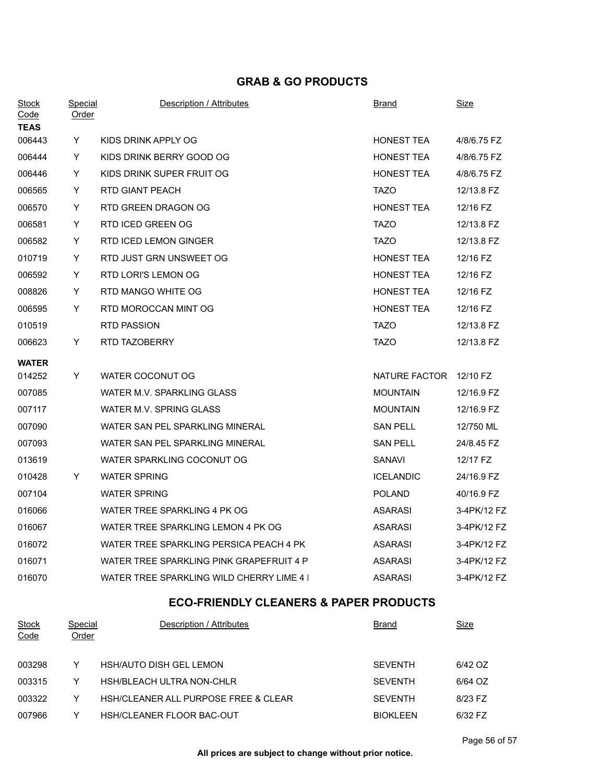| <b>Stock</b><br>Code                              | <b>Special</b><br>Order        | Description / Attributes                  | <b>Brand</b>           | <u>Size</u> |  |
|---------------------------------------------------|--------------------------------|-------------------------------------------|------------------------|-------------|--|
| <b>TEAS</b>                                       |                                |                                           |                        |             |  |
| 006443                                            | Y                              | KIDS DRINK APPLY OG                       | HONEST TEA             | 4/8/6.75 FZ |  |
| 006444                                            | Y                              | KIDS DRINK BERRY GOOD OG                  | <b>HONEST TEA</b>      | 4/8/6.75 FZ |  |
| 006446                                            | Y                              | KIDS DRINK SUPER FRUIT OG                 | <b>HONEST TEA</b>      | 4/8/6.75 FZ |  |
| 006565                                            | Y                              | RTD GIANT PEACH                           | <b>TAZO</b>            | 12/13.8 FZ  |  |
| 006570                                            | Y.                             | RTD GREEN DRAGON OG                       | <b>HONEST TEA</b>      | 12/16 FZ    |  |
| 006581                                            | Y.                             | RTD ICED GREEN OG                         | <b>TAZO</b>            | 12/13.8 FZ  |  |
| 006582                                            | Y                              | RTD ICED LEMON GINGER                     | <b>TAZO</b>            | 12/13.8 FZ  |  |
| 010719                                            | Y                              | RTD JUST GRN UNSWEET OG                   | <b>HONEST TEA</b>      | 12/16 FZ    |  |
| 006592                                            | Y.                             | RTD LORI'S LEMON OG                       | <b>HONEST TEA</b>      | 12/16 FZ    |  |
| 008826                                            | Y                              | RTD MANGO WHITE OG                        | <b>HONEST TEA</b>      | 12/16 FZ    |  |
| 006595                                            | Y                              | RTD MOROCCAN MINT OG                      | <b>HONEST TEA</b>      | 12/16 FZ    |  |
| 010519                                            |                                | RTD PASSION                               | <b>TAZO</b>            | 12/13.8 FZ  |  |
| 006623                                            | Y                              | RTD TAZOBERRY                             | <b>TAZO</b>            | 12/13.8 FZ  |  |
| <b>WATER</b>                                      |                                |                                           |                        |             |  |
| 014252                                            | Y.                             | WATER COCONUT OG                          | NATURE FACTOR 12/10 FZ |             |  |
| 007085                                            |                                | WATER M.V. SPARKLING GLASS                | <b>MOUNTAIN</b>        | 12/16.9 FZ  |  |
| 007117                                            |                                | WATER M.V. SPRING GLASS                   | <b>MOUNTAIN</b>        | 12/16.9 FZ  |  |
| 007090                                            |                                | WATER SAN PEL SPARKLING MINERAL           | <b>SAN PELL</b>        | 12/750 ML   |  |
| 007093                                            |                                | WATER SAN PEL SPARKLING MINERAL           | <b>SAN PELL</b>        | 24/8.45 FZ  |  |
| 013619                                            |                                | WATER SPARKLING COCONUT OG                | SANAVI                 | 12/17 FZ    |  |
| 010428                                            | Y                              | <b>WATER SPRING</b>                       | <b>ICELANDIC</b>       | 24/16.9 FZ  |  |
| 007104                                            |                                | <b>WATER SPRING</b>                       | <b>POLAND</b>          | 40/16.9 FZ  |  |
| 016066                                            |                                | WATER TREE SPARKLING 4 PK OG              | <b>ASARASI</b>         | 3-4PK/12 FZ |  |
| 016067                                            |                                | WATER TREE SPARKLING LEMON 4 PK OG        | <b>ASARASI</b>         | 3-4PK/12 FZ |  |
| 016072                                            |                                | WATER TREE SPARKLING PERSICA PEACH 4 PK   | <b>ASARASI</b>         | 3-4PK/12 FZ |  |
| 016071                                            |                                | WATER TREE SPARKLING PINK GRAPEFRUIT 4 P  | <b>ASARASI</b>         | 3-4PK/12 FZ |  |
| 016070                                            |                                | WATER TREE SPARKLING WILD CHERRY LIME 4 I | <b>ASARASI</b>         | 3-4PK/12 FZ |  |
| <b>ECO-FRIENDLY CLEANERS &amp; PAPER PRODUCTS</b> |                                |                                           |                        |             |  |
| <b>Stock</b><br>Code                              | <b>Special</b><br><b>Order</b> | Description / Attributes                  | <u>Brand</u>           | <u>Size</u> |  |
| 003298                                            | Y                              | <b>HSH/AUTO DISH GEL LEMON</b>            | <b>SEVENTH</b>         | 6/42 OZ     |  |
| 003315                                            | Y                              | HSH/BLEACH ULTRA NON-CHLR                 | <b>SEVENTH</b>         | 6/64 OZ     |  |
| 003322                                            | Y                              | HSH/CLEANER ALL PURPOSE FREE & CLEAR      | <b>SEVENTH</b>         | 8/23 FZ     |  |
| 007966                                            | Y                              | HSH/CLEANER FLOOR BAC-OUT                 | <b>BIOKLEEN</b>        | 6/32 FZ     |  |